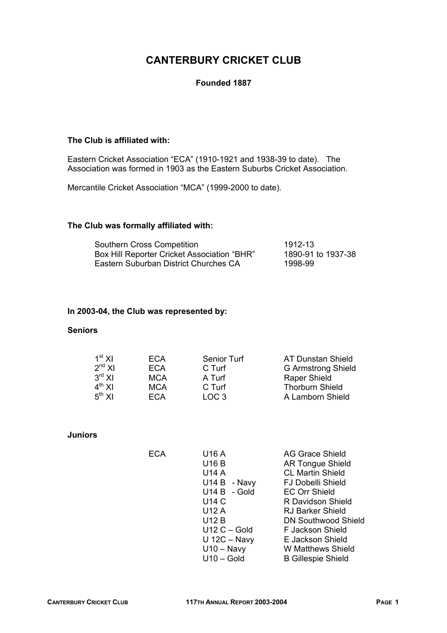# **CANTERBURY CRICKET CLUB**

## **Founded 1887**

## **The Club is affiliated with:**

Eastern Cricket Association "ECA" (1910-1921 and 1938-39 to date). The Association was formed in 1903 as the Eastern Suburbs Cricket Association.

Mercantile Cricket Association "MCA" (1999-2000 to date).

## **The Club was formally affiliated with:**

| Southern Cross Competition                  | 1912-13            |
|---------------------------------------------|--------------------|
| Box Hill Reporter Cricket Association "BHR" | 1890-91 to 1937-38 |
| Eastern Suburban District Churches CA       | 1998-99            |

## **In 2003-04, the Club was represented by:**

## **Seniors**

| $1st$ XI    | ECA        | Senior Turf      | <b>AT Dunstan Shield</b>  |
|-------------|------------|------------------|---------------------------|
| $2^{nd}$ XI | ECA        | C Turf           | <b>G Armstrong Shield</b> |
| $3^{rd}$ XI | <b>MCA</b> | A Turf           | <b>Raper Shield</b>       |
| $4^{th}$ XI | <b>MCA</b> | C Turf           | <b>Thorburn Shield</b>    |
| $5^{th}$ XI | ECA        | LOC <sub>3</sub> | A Lamborn Shield          |

#### **Juniors**

| <b>ECA</b> | U16 A        |                | AG Grace Shield            |
|------------|--------------|----------------|----------------------------|
|            | <b>U16 B</b> |                | <b>AR Tongue Shield</b>    |
|            | <b>U14 A</b> |                | <b>CL Martin Shield</b>    |
|            |              | $U14 B - Navy$ | <b>FJ Dobelli Shield</b>   |
|            |              | U14 B - Gold   | <b>EC Orr Shield</b>       |
|            | <b>U14 C</b> |                | R Davidson Shield          |
|            | U12 A        |                | <b>RJ Barker Shield</b>    |
|            | <b>U12 B</b> |                | <b>DN Southwood Shield</b> |
|            |              | $U12C - Gold$  | F Jackson Shield           |
|            |              | $U$ 12C – Navy | E Jackson Shield           |
|            |              | $U10 - Navy$   | W Matthews Shield          |
|            |              | $U10 - Gold$   | <b>B Gillespie Shield</b>  |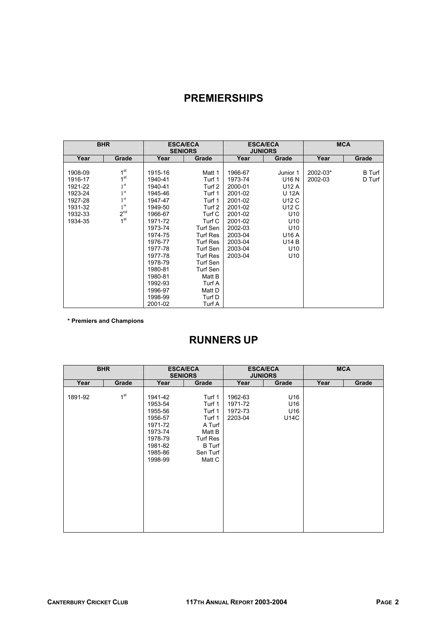# **PREMIERSHIPS**

|         | <b>BHR</b>      |         | <b>ESCA/ECA</b><br><b>SENIORS</b> |         | <b>ESCA/ECA</b><br><b>JUNIORS</b> |          | <b>MCA</b>    |
|---------|-----------------|---------|-----------------------------------|---------|-----------------------------------|----------|---------------|
| Year    | Grade           | Year    | Grade                             | Year    | Grade                             | Year     | Grade         |
|         |                 |         |                                   |         |                                   |          |               |
| 1908-09 | 1 <sup>st</sup> | 1915-16 | Matt 1                            | 1966-67 | Junior 1                          | 2002-03* | <b>B</b> Turf |
| 1916-17 | 1 <sup>st</sup> | 1940-41 | Turf 1                            | 1973-74 | U16 N                             | 2002-03  | D Turf        |
| 1921-22 | 1 <sup>st</sup> | 1940-41 | Turf 2                            | 2000-01 | U12 A                             |          |               |
| 1923-24 | 1 <sup>st</sup> | 1945-46 | Turf 1                            | 2001-02 | U 12A                             |          |               |
| 1927-28 | 1 <sup>st</sup> | 1947-47 | Turf 1                            | 2001-02 | U12 C                             |          |               |
| 1931-32 | 1 <sup>st</sup> | 1949-50 | Turf 2                            | 2001-02 | U12 C                             |          |               |
| 1932-33 | 2 <sup>nd</sup> | 1966-67 | Turf C                            | 2001-02 | U <sub>10</sub>                   |          |               |
| 1934-35 | 1 <sup>st</sup> | 1971-72 | Turf C                            | 2001-02 | U <sub>10</sub>                   |          |               |
|         |                 | 1973-74 | Turf Sen                          | 2002-03 | U <sub>10</sub>                   |          |               |
|         |                 | 1974-75 | <b>Turf Res</b>                   | 2003-04 | U16 A                             |          |               |
|         |                 | 1976-77 | <b>Turf Res</b>                   | 2003-04 | <b>U14 B</b>                      |          |               |
|         |                 | 1977-78 | Turf Sen                          | 2003-04 | U <sub>10</sub>                   |          |               |
|         |                 | 1977-78 | Turf Res                          | 2003-04 | U10                               |          |               |
|         |                 | 1978-79 | Turf Sen                          |         |                                   |          |               |
|         |                 | 1980-81 | Turf Sen                          |         |                                   |          |               |
|         |                 | 1980-81 | Matt B                            |         |                                   |          |               |
|         |                 | 1992-93 | Turf A                            |         |                                   |          |               |
|         |                 | 1996-97 | Matt D                            |         |                                   |          |               |
|         |                 | 1998-99 | Turf D                            |         |                                   |          |               |
|         |                 | 2001-02 | Turf A                            |         |                                   |          |               |

**\* Premiers and Champions** 

# **RUNNERS UP**

|         | <b>BHR</b>      |                                                                                                            | <b>ESCA/ECA</b><br><b>SENIORS</b>                                                                                  |                                          | <b>ESCA/ECA</b><br><b>JUNIORS</b> |      | <b>MCA</b> |
|---------|-----------------|------------------------------------------------------------------------------------------------------------|--------------------------------------------------------------------------------------------------------------------|------------------------------------------|-----------------------------------|------|------------|
| Year    | Grade           | Year                                                                                                       | Grade                                                                                                              | Year                                     | Grade                             | Year | Grade      |
| 1891-92 | 1 <sup>st</sup> | 1941-42<br>1953-54<br>1955-56<br>1956-57<br>1971-72<br>1973-74<br>1978-79<br>1981-82<br>1985-86<br>1998-99 | Turf 1<br>Turf 1<br>Turf 1<br>Turf 1<br>A Turf<br>Matt B<br><b>Turf Res</b><br><b>B</b> Turf<br>Sen Turf<br>Matt C | 1962-63<br>1971-72<br>1972-73<br>2203-04 | U16<br>U16<br>U16<br>U14C         |      |            |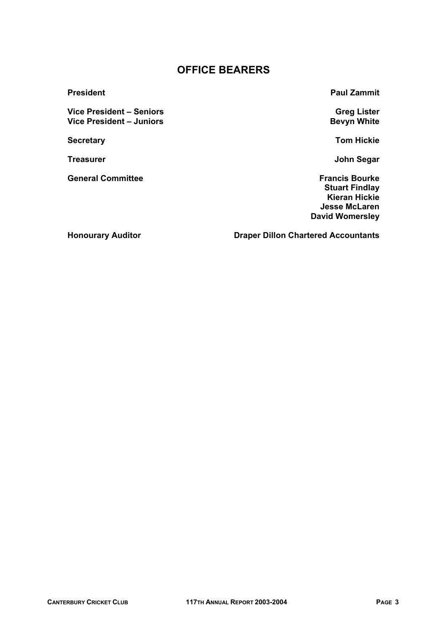## **OFFICE BEARERS**

Vice President – Seniors<br>
Vice President – Juniors<br>
Vice President – Juniors **Vice President – Juniors** 

**General Committee Francis Bourke** 

**President Contract President Contract Paul Zammit** 

**Secretary Community Secretary Community Secretary Community Secretary Community Secretary Community Secretary Community Secretary Community Secretary Community Secretary Community Secretary Community Secretary Community S** 

**Treasurer General Community Community Community Community Community Community Community Community Community Community Community Community Community Community Community Community Community Community Community Community Com** 

 **Stuart Findlay Kieran Hickie Jesse McLaren David Womersley**

**Honourary Auditor Chartered Accountants**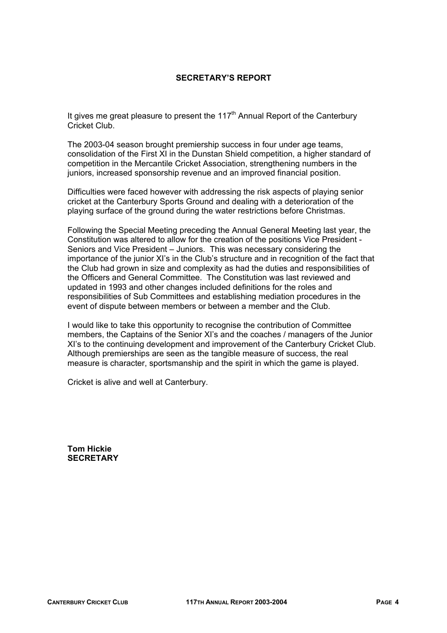## **SECRETARY'S REPORT**

It gives me great pleasure to present the  $117<sup>th</sup>$  Annual Report of the Canterbury Cricket Club.

The 2003-04 season brought premiership success in four under age teams, consolidation of the First XI in the Dunstan Shield competition, a higher standard of competition in the Mercantile Cricket Association, strengthening numbers in the juniors, increased sponsorship revenue and an improved financial position.

Difficulties were faced however with addressing the risk aspects of playing senior cricket at the Canterbury Sports Ground and dealing with a deterioration of the playing surface of the ground during the water restrictions before Christmas.

Following the Special Meeting preceding the Annual General Meeting last year, the Constitution was altered to allow for the creation of the positions Vice President - Seniors and Vice President – Juniors. This was necessary considering the importance of the junior XI's in the Club's structure and in recognition of the fact that the Club had grown in size and complexity as had the duties and responsibilities of the Officers and General Committee. The Constitution was last reviewed and updated in 1993 and other changes included definitions for the roles and responsibilities of Sub Committees and establishing mediation procedures in the event of dispute between members or between a member and the Club.

I would like to take this opportunity to recognise the contribution of Committee members, the Captains of the Senior XI's and the coaches / managers of the Junior XI's to the continuing development and improvement of the Canterbury Cricket Club. Although premierships are seen as the tangible measure of success, the real measure is character, sportsmanship and the spirit in which the game is played.

Cricket is alive and well at Canterbury.

**Tom Hickie SECRETARY**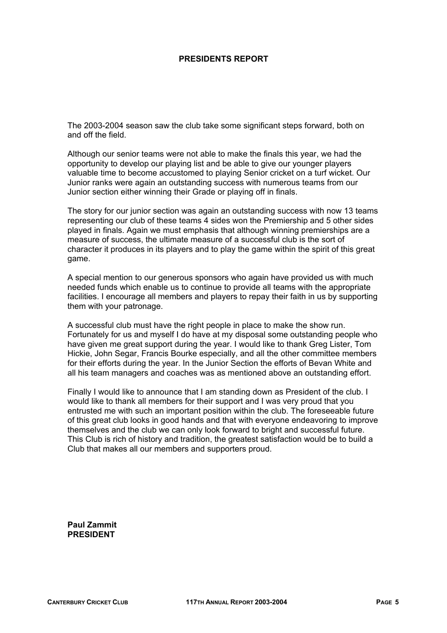## **PRESIDENTS REPORT**

The 2003-2004 season saw the club take some significant steps forward, both on and off the field.

Although our senior teams were not able to make the finals this year, we had the opportunity to develop our playing list and be able to give our younger players valuable time to become accustomed to playing Senior cricket on a turf wicket. Our Junior ranks were again an outstanding success with numerous teams from our Junior section either winning their Grade or playing off in finals.

The story for our junior section was again an outstanding success with now 13 teams representing our club of these teams 4 sides won the Premiership and 5 other sides played in finals. Again we must emphasis that although winning premierships are a measure of success, the ultimate measure of a successful club is the sort of character it produces in its players and to play the game within the spirit of this great game.

A special mention to our generous sponsors who again have provided us with much needed funds which enable us to continue to provide all teams with the appropriate facilities. I encourage all members and players to repay their faith in us by supporting them with your patronage.

A successful club must have the right people in place to make the show run. Fortunately for us and myself I do have at my disposal some outstanding people who have given me great support during the year. I would like to thank Greg Lister, Tom Hickie, John Segar, Francis Bourke especially, and all the other committee members for their efforts during the year. In the Junior Section the efforts of Bevan White and all his team managers and coaches was as mentioned above an outstanding effort.

Finally I would like to announce that I am standing down as President of the club. I would like to thank all members for their support and I was very proud that you entrusted me with such an important position within the club. The foreseeable future of this great club looks in good hands and that with everyone endeavoring to improve themselves and the club we can only look forward to bright and successful future. This Club is rich of history and tradition, the greatest satisfaction would be to build a Club that makes all our members and supporters proud.

**Paul Zammit PRESIDENT**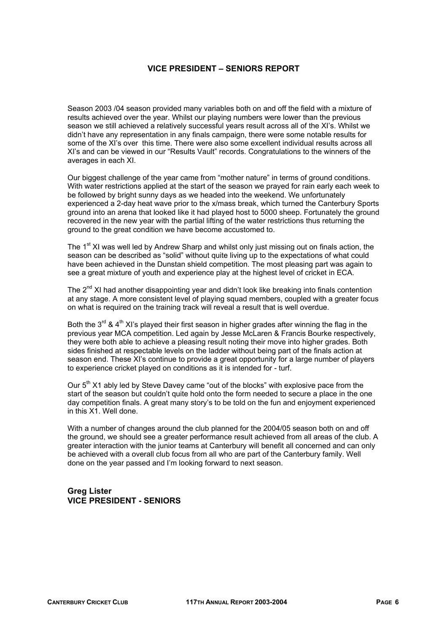## **VICE PRESIDENT – SENIORS REPORT**

Season 2003 /04 season provided many variables both on and off the field with a mixture of results achieved over the year. Whilst our playing numbers were lower than the previous season we still achieved a relatively successful years result across all of the XI's. Whilst we didn't have any representation in any finals campaign, there were some notable results for some of the XI's over this time. There were also some excellent individual results across all XI's and can be viewed in our "Results Vault" records. Congratulations to the winners of the averages in each XI.

Our biggest challenge of the year came from "mother nature" in terms of ground conditions. With water restrictions applied at the start of the season we prayed for rain early each week to be followed by bright sunny days as we headed into the weekend. We unfortunately experienced a 2-day heat wave prior to the x/mass break, which turned the Canterbury Sports ground into an arena that looked like it had played host to 5000 sheep. Fortunately the ground recovered in the new year with the partial lifting of the water restrictions thus returning the ground to the great condition we have become accustomed to.

The 1<sup>st</sup> XI was well led by Andrew Sharp and whilst only just missing out on finals action, the season can be described as "solid" without quite living up to the expectations of what could have been achieved in the Dunstan shield competition. The most pleasing part was again to see a great mixture of youth and experience play at the highest level of cricket in ECA.

The  $2^{nd}$  XI had another disappointing year and didn't look like breaking into finals contention at any stage. A more consistent level of playing squad members, coupled with a greater focus on what is required on the training track will reveal a result that is well overdue.

Both the  $3^{rd}$  & 4<sup>th</sup> XI's played their first season in higher grades after winning the flag in the previous year MCA competition. Led again by Jesse McLaren & Francis Bourke respectively, they were both able to achieve a pleasing result noting their move into higher grades. Both sides finished at respectable levels on the ladder without being part of the finals action at season end. These XI's continue to provide a great opportunity for a large number of players to experience cricket played on conditions as it is intended for - turf.

Our  $5<sup>th</sup>$  X1 ably led by Steve Davey came "out of the blocks" with explosive pace from the start of the season but couldn't quite hold onto the form needed to secure a place in the one day competition finals. A great many story's to be told on the fun and enjoyment experienced in this X1. Well done.

With a number of changes around the club planned for the 2004/05 season both on and off the ground, we should see a greater performance result achieved from all areas of the club. A greater interaction with the junior teams at Canterbury will benefit all concerned and can only be achieved with a overall club focus from all who are part of the Canterbury family. Well done on the year passed and I'm looking forward to next season.

## **Greg Lister VICE PRESIDENT - SENIORS**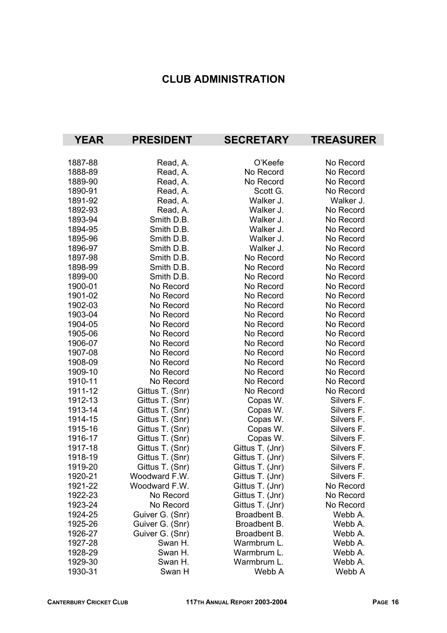# **CLUB ADMINISTRATION**

| <b>YEAR</b> | <b>PRESIDENT</b> | <b>SECRETARY</b> | <b>TREASURER</b> |
|-------------|------------------|------------------|------------------|
|             |                  |                  |                  |
| 1887-88     | Read, A.         | O'Keefe          | No Record        |
| 1888-89     | Read, A.         | No Record        | No Record        |
| 1889-90     | Read, A.         | No Record        | No Record        |
| 1890-91     | Read, A.         | Scott G.         | No Record        |
| 1891-92     | Read, A.         | Walker J.        | Walker J.        |
| 1892-93     | Read, A.         | Walker J.        | No Record        |
| 1893-94     | Smith D.B.       | Walker J.        | No Record        |
| 1894-95     | Smith D.B.       | Walker J.        | No Record        |
| 1895-96     | Smith D.B.       | Walker J.        | No Record        |
| 1896-97     | Smith D.B.       | Walker J.        | No Record        |
| 1897-98     | Smith D.B.       | No Record        | No Record        |
| 1898-99     | Smith D.B.       | No Record        | No Record        |
| 1899-00     | Smith D.B.       | No Record        | No Record        |
| 1900-01     | No Record        | No Record        | No Record        |
| 1901-02     | No Record        | No Record        | No Record        |
| 1902-03     | No Record        | No Record        | No Record        |
| 1903-04     | No Record        | No Record        | No Record        |
| 1904-05     | No Record        | No Record        | No Record        |
| 1905-06     | No Record        | No Record        | No Record        |
| 1906-07     | No Record        | No Record        | No Record        |
| 1907-08     | No Record        | No Record        | No Record        |
| 1908-09     | No Record        | No Record        | No Record        |
| 1909-10     | No Record        | No Record        | No Record        |
| 1910-11     | No Record        | No Record        | No Record        |
| 1911-12     | Gittus T. (Snr)  | No Record        | No Record        |
| 1912-13     | Gittus T. (Snr)  | Copas W.         | Silvers F.       |
| 1913-14     | Gittus T. (Snr)  | Copas W.         | Silvers F.       |
| 1914-15     | Gittus T. (Snr)  | Copas W.         | Silvers F.       |
| 1915-16     | Gittus T. (Snr)  | Copas W.         | Silvers F.       |
| 1916-17     | Gittus T. (Snr)  | Copas W.         | Silvers F.       |
| 1917-18     | Gittus T. (Snr)  | Gittus T. (Jnr)  | Silvers F.       |
| 1918-19     | Gittus T. (Snr)  | Gittus T. (Jnr)  | Silvers F.       |
| 1919-20     | Gittus T. (Snr)  | Gittus T. (Jnr)  | Silvers F.       |
| 1920-21     | Woodward F.W.    | Gittus T. (Jnr)  | Silvers F.       |
| 1921-22     | Woodward F.W.    | Gittus T. (Jnr)  | No Record        |
| 1922-23     | No Record        | Gittus T. (Jnr)  | No Record        |
| 1923-24     | No Record        | Gittus T. (Jnr)  | No Record        |
| 1924-25     | Guiver G. (Snr)  | Broadbent B.     | Webb A.          |
| 1925-26     | Guiver G. (Snr)  | Broadbent B.     | Webb A.          |
| 1926-27     | Guiver G. (Snr)  | Broadbent B.     | Webb A.          |
| 1927-28     | Swan H.          | Warmbrum L.      | Webb A.          |
| 1928-29     | Swan H.          | Warmbrum L.      | Webb A.          |
| 1929-30     | Swan H.          | Warmbrum L.      | Webb A.          |
| 1930-31     | Swan H           | Webb A           | Webb A           |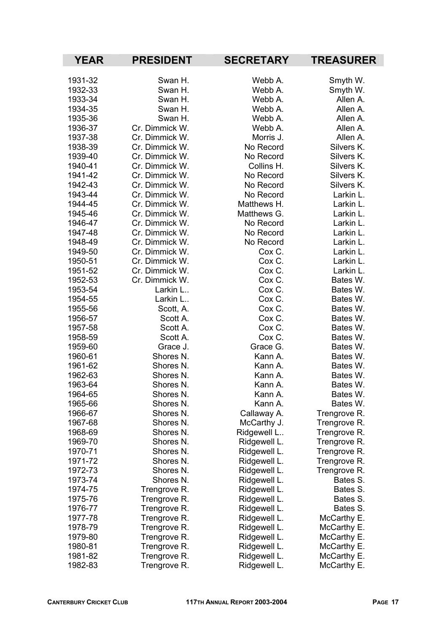| <b>YEAR</b> | <b>PRESIDENT</b> | <b>SECRETARY</b> | <b>TREASURER</b> |
|-------------|------------------|------------------|------------------|
| 1931-32     | Swan H.          | Webb A.          | Smyth W.         |
| 1932-33     | Swan H.          | Webb A.          | Smyth W.         |
| 1933-34     | Swan H.          | Webb A.          | Allen A.         |
| 1934-35     | Swan H.          | Webb A.          | Allen A.         |
| 1935-36     | Swan H.          | Webb A.          | Allen A.         |
| 1936-37     | Cr. Dimmick W.   | Webb A.          | Allen A.         |
| 1937-38     | Cr. Dimmick W.   | Morris J.        | Allen A.         |
| 1938-39     | Cr. Dimmick W.   | No Record        | Silvers K.       |
| 1939-40     | Cr. Dimmick W.   | No Record        | Silvers K.       |
| 1940-41     | Cr. Dimmick W.   | Collins H.       | Silvers K.       |
| 1941-42     | Cr. Dimmick W.   | No Record        | Silvers K.       |
| 1942-43     | Cr. Dimmick W.   | No Record        | Silvers K.       |
| 1943-44     | Cr. Dimmick W.   | No Record        | Larkin L.        |
| 1944-45     | Cr. Dimmick W.   | Matthews H.      | Larkin L.        |
| 1945-46     | Cr. Dimmick W.   | Matthews G.      | Larkin L.        |
| 1946-47     | Cr. Dimmick W.   | No Record        | Larkin L.        |
| 1947-48     | Cr. Dimmick W.   | No Record        | Larkin L.        |
| 1948-49     | Cr. Dimmick W.   | No Record        | Larkin L.        |
| 1949-50     | Cr. Dimmick W.   | Cox C.           | Larkin L.        |
| 1950-51     | Cr. Dimmick W.   | Cox C.           | Larkin L.        |
| 1951-52     | Cr. Dimmick W.   | Cox C.           | Larkin L.        |
| 1952-53     | Cr. Dimmick W.   | Cox C.           | Bates W.         |
| 1953-54     | Larkin L         | Cox C.           | Bates W.         |
| 1954-55     | Larkin L         | Cox C.           | Bates W.         |
| 1955-56     | Scott, A.        | Cox C.           | Bates W.         |
| 1956-57     | Scott A.         | Cox C.           | Bates W.         |
| 1957-58     | Scott A.         | Cox C.           | Bates W.         |
| 1958-59     | Scott A.         | Cox C.           | Bates W.         |
| 1959-60     | Grace J.         | Grace G.         | Bates W.         |
| 1960-61     | Shores N.        | Kann A.          | Bates W.         |
| 1961-62     | Shores N.        | Kann A.          | Bates W.         |
| 1962-63     | Shores N.        | Kann A.          | Bates W.         |
| 1963-64     | Shores N.        | Kann A.          | Bates W.         |
| 1964-65     | Shores N.        | Kann A.          | Bates W.         |
| 1965-66     | Shores N.        | Kann A.          | Bates W.         |
| 1966-67     | Shores N.        | Callaway A.      | Trengrove R.     |
| 1967-68     | Shores N.        | McCarthy J.      | Trengrove R.     |
| 1968-69     | Shores N.        | Ridgewell L      | Trengrove R.     |
| 1969-70     | Shores N.        | Ridgewell L.     | Trengrove R.     |
| 1970-71     | Shores N.        | Ridgewell L.     | Trengrove R.     |
| 1971-72     | Shores N.        | Ridgewell L.     | Trengrove R.     |
| 1972-73     | Shores N.        | Ridgewell L.     | Trengrove R.     |
| 1973-74     | Shores N.        | Ridgewell L.     | Bates S.         |
| 1974-75     | Trengrove R.     | Ridgewell L.     | Bates S.         |
| 1975-76     | Trengrove R.     | Ridgewell L.     | Bates S.         |
| 1976-77     | Trengrove R.     | Ridgewell L.     | Bates S.         |
| 1977-78     | Trengrove R.     | Ridgewell L.     | McCarthy E.      |
| 1978-79     | Trengrove R.     | Ridgewell L.     | McCarthy E.      |
| 1979-80     | Trengrove R.     | Ridgewell L.     | McCarthy E.      |
| 1980-81     | Trengrove R.     | Ridgewell L.     | McCarthy E.      |
| 1981-82     | Trengrove R.     | Ridgewell L.     | McCarthy E.      |
| 1982-83     | Trengrove R.     | Ridgewell L.     | McCarthy E.      |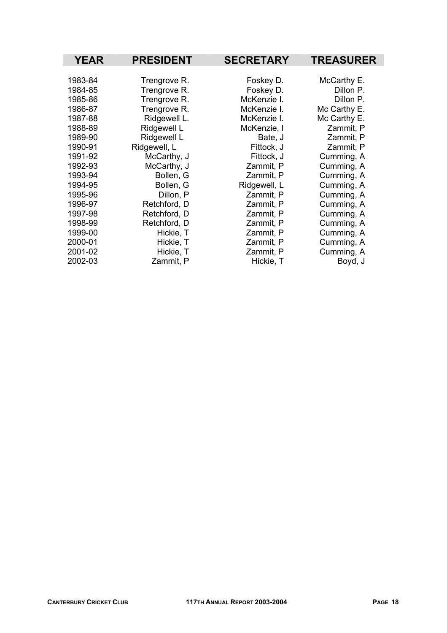| <b>YEAR</b> | <b>PRESIDENT</b> | <b>SECRETARY</b> | <b>TREASURER</b> |
|-------------|------------------|------------------|------------------|
|             |                  |                  |                  |
| 1983-84     | Trengrove R.     | Foskey D.        | McCarthy E.      |
| 1984-85     | Trengrove R.     | Foskey D.        | Dillon P.        |
| 1985-86     | Trengrove R.     | McKenzie I.      | Dillon P.        |
| 1986-87     | Trengrove R.     | McKenzie I.      | Mc Carthy E.     |
| 1987-88     | Ridgewell L.     | McKenzie I.      | Mc Carthy E.     |
| 1988-89     | Ridgewell L      | McKenzie, I      | Zammit, P        |
| 1989-90     | Ridgewell L      | Bate, J          | Zammit, P        |
| 1990-91     | Ridgewell, L     | Fittock, J       | Zammit, P        |
| 1991-92     | McCarthy, J      | Fittock, J       | Cumming, A       |
| 1992-93     | McCarthy, J      | Zammit, P        | Cumming, A       |
| 1993-94     | Bollen, G        | Zammit, P        | Cumming, A       |
| 1994-95     | Bollen, G        | Ridgewell, L     | Cumming, A       |
| 1995-96     | Dillon, P        | Zammit, P        | Cumming, A       |
| 1996-97     | Retchford, D     | Zammit, P        | Cumming, A       |
| 1997-98     | Retchford, D     | Zammit, P        | Cumming, A       |
| 1998-99     | Retchford, D     | Zammit, P        | Cumming, A       |
| 1999-00     | Hickie, T        | Zammit, P        | Cumming, A       |
| 2000-01     | Hickie, T        | Zammit, P        | Cumming, A       |
| 2001-02     | Hickie, T        | Zammit, P        | Cumming, A       |
| 2002-03     | Zammit, P        | Hickie, T        | Boyd, J          |

I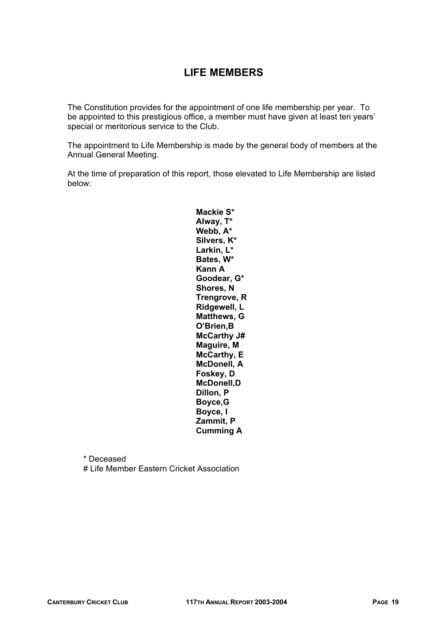# **LIFE MEMBERS**

The Constitution provides for the appointment of one life membership per year. To be appointed to this prestigious office, a member must have given at least ten years' special or meritorious service to the Club.

The appointment to Life Membership is made by the general body of members at the Annual General Meeting.

At the time of preparation of this report, those elevated to Life Membership are listed below:

> **Mackie S\* Alway, T\* Webb, A\* Silvers, K\* Larkin, L\* Bates, W\* Kann A Goodear, G\* Shores, N Trengrove, R Ridgewell, L Matthews, G O'Brien,B McCarthy J# Maguire, M McCarthy, E McDonell, A Foskey, D McDonell,D Dillon, P Boyce,G Boyce, I Zammit, P Cumming A**

 \* Deceased # Life Member Eastern Cricket Association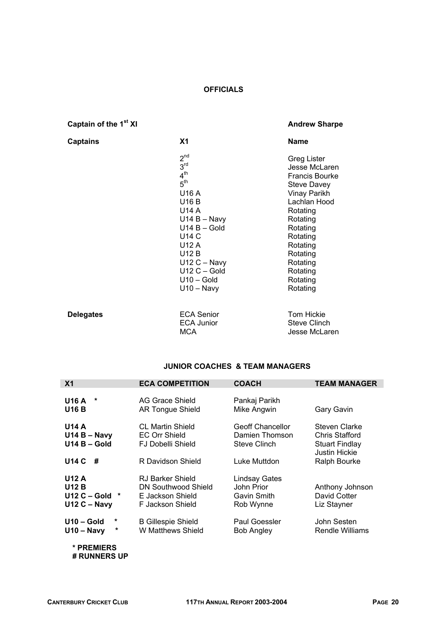## **OFFICIALS**

# **Captain of the 1<sup>st</sup> XI Andrew Sharpe <b>Andrew Sharpe Andrew Sharpe Andrew Sharpe**

Jesse McLaren

| <b>Captains</b>  | <b>X1</b>                                                                                                                                                                                                                                   | <b>Name</b>                                                                                                                                                                                                                                |
|------------------|---------------------------------------------------------------------------------------------------------------------------------------------------------------------------------------------------------------------------------------------|--------------------------------------------------------------------------------------------------------------------------------------------------------------------------------------------------------------------------------------------|
|                  | 2 <sup>nd</sup><br>3 <sup>rd</sup><br>4 <sup>th</sup><br>5 <sup>th</sup><br>U16 A<br>U16 B<br>U14 A<br>$U14 B - Navy$<br>$U14 B - Gold$<br>U14 C<br>U12 A<br><b>U12 B</b><br>$U12C - Navy$<br>$U12C - Gold$<br>$U10 - Gold$<br>$U10 - Navy$ | <b>Greg Lister</b><br>Jesse McLaren<br><b>Francis Bourke</b><br><b>Steve Davey</b><br>Vinay Parikh<br>Lachlan Hood<br>Rotating<br>Rotating<br>Rotating<br>Rotating<br>Rotating<br>Rotating<br>Rotating<br>Rotating<br>Rotating<br>Rotating |
| <b>Delegates</b> | <b>ECA Senior</b><br><b>ECA Junior</b><br>MCA                                                                                                                                                                                               | Tom Hickie<br><b>Steve Clinch</b><br>Jesse McLaren                                                                                                                                                                                         |

#### **JUNIOR COACHES & TEAM MANAGERS**

| X <sub>1</sub>                                                       | <b>ECA COMPETITION</b>                                                                           | <b>COACH</b>                                                              | <b>TEAM MANAGER</b>                                                                              |
|----------------------------------------------------------------------|--------------------------------------------------------------------------------------------------|---------------------------------------------------------------------------|--------------------------------------------------------------------------------------------------|
| <b>U16 A</b><br>*<br><b>U16 B</b>                                    | AG Grace Shield<br><b>AR Tongue Shield</b>                                                       | Pankaj Parikh<br>Mike Angwin                                              | Gary Gavin                                                                                       |
| <b>U14 A</b><br>$U14B - Navy$<br>$U14B - Gold$<br><b>U14 C</b><br>-# | <b>CL Martin Shield</b><br><b>EC Orr Shield</b><br><b>FJ Dobelli Shield</b><br>R Davidson Shield | <b>Geoff Chancellor</b><br>Damien Thomson<br>Steve Clinch<br>Luke Muttdon | Steven Clarke<br><b>Chris Stafford</b><br><b>Stuart Findlay</b><br>Justin Hickie<br>Ralph Bourke |
| U12 A<br><b>U12 B</b><br>$U12C - Gold$<br>$\ast$<br>$U12C - Navy$    | RJ Barker Shield<br><b>DN Southwood Shield</b><br>E Jackson Shield<br>F Jackson Shield           | Lindsay Gates<br>John Prior<br>Gavin Smith<br>Rob Wynne                   | Anthony Johnson<br>David Cotter<br>Liz Stayner                                                   |
| $U10 - Gold$<br>*<br>*<br>$U10 - Navy$                               | <b>B Gillespie Shield</b><br>W Matthews Shield                                                   | Paul Goessler<br>Bob Angley                                               | John Sesten<br>Rendle Williams                                                                   |
| * PREMIERS<br># RUNNERS UP                                           |                                                                                                  |                                                                           |                                                                                                  |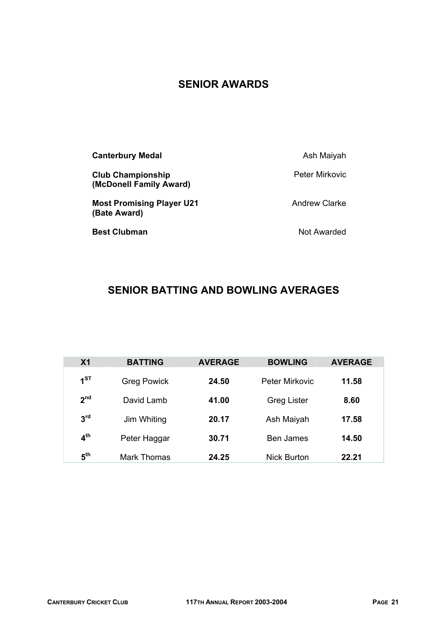# **SENIOR AWARDS**

| <b>Canterbury Medal</b>                             | Ash Maiyah           |
|-----------------------------------------------------|----------------------|
| <b>Club Championship</b><br>(McDonell Family Award) | Peter Mirkovic       |
| <b>Most Promising Player U21</b><br>(Bate Award)    | <b>Andrew Clarke</b> |
| <b>Best Clubman</b>                                 | Not Awarded          |

# **SENIOR BATTING AND BOWLING AVERAGES**

| X <sub>1</sub>  | <b>BATTING</b>     | <b>AVERAGE</b> | <b>BOWLING</b>        | <b>AVERAGE</b> |
|-----------------|--------------------|----------------|-----------------------|----------------|
| 1 <sup>ST</sup> | <b>Greg Powick</b> | 24.50          | <b>Peter Mirkovic</b> | 11.58          |
| 2 <sup>nd</sup> | David Lamb         | 41.00          | <b>Greg Lister</b>    | 8.60           |
| 3 <sup>rd</sup> | Jim Whiting        | 20.17          | Ash Maiyah            | 17.58          |
| 4 <sup>th</sup> | Peter Haggar       | 30.71          | <b>Ben James</b>      | 14.50          |
| 5 <sup>th</sup> | <b>Mark Thomas</b> | 24.25          | <b>Nick Burton</b>    | 22.21          |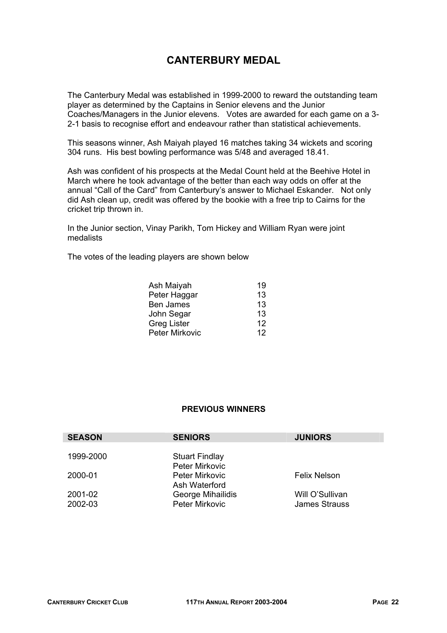# **CANTERBURY MEDAL**

The Canterbury Medal was established in 1999-2000 to reward the outstanding team player as determined by the Captains in Senior elevens and the Junior Coaches/Managers in the Junior elevens. Votes are awarded for each game on a 3- 2-1 basis to recognise effort and endeavour rather than statistical achievements.

This seasons winner, Ash Maiyah played 16 matches taking 34 wickets and scoring 304 runs. His best bowling performance was 5/48 and averaged 18.41.

Ash was confident of his prospects at the Medal Count held at the Beehive Hotel in March where he took advantage of the better than each way odds on offer at the annual "Call of the Card" from Canterbury's answer to Michael Eskander. Not only did Ash clean up, credit was offered by the bookie with a free trip to Cairns for the cricket trip thrown in.

In the Junior section, Vinay Parikh, Tom Hickey and William Ryan were joint medalists

The votes of the leading players are shown below

| Ash Maiyah            | 19 |
|-----------------------|----|
| Peter Haggar          | 13 |
| <b>Ben James</b>      | 13 |
| John Segar            | 13 |
| <b>Greg Lister</b>    | 12 |
| <b>Peter Mirkovic</b> | 12 |

## **PREVIOUS WINNERS**

| <b>SEASON</b>      | <b>SENIORS</b>                          | <b>JUNIORS</b>                          |
|--------------------|-----------------------------------------|-----------------------------------------|
| 1999-2000          | <b>Stuart Findlay</b><br>Peter Mirkovic |                                         |
| 2000-01            | <b>Peter Mirkovic</b><br>Ash Waterford  | Felix Nelson                            |
| 2001-02<br>2002-03 | George Mihailidis<br>Peter Mirkovic     | Will O'Sullivan<br><b>James Strauss</b> |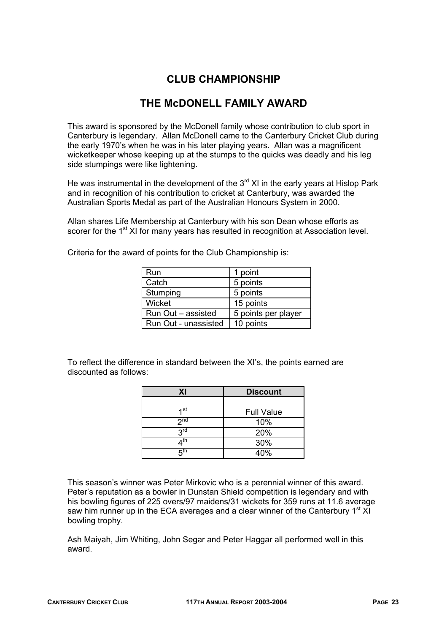# **CLUB CHAMPIONSHIP**

# **THE McDONELL FAMILY AWARD**

This award is sponsored by the McDonell family whose contribution to club sport in Canterbury is legendary. Allan McDonell came to the Canterbury Cricket Club during the early 1970's when he was in his later playing years. Allan was a magnificent wicketkeeper whose keeping up at the stumps to the quicks was deadly and his leg side stumpings were like lightening.

He was instrumental in the development of the  $3<sup>rd</sup>$  XI in the early years at Hislop Park and in recognition of his contribution to cricket at Canterbury, was awarded the Australian Sports Medal as part of the Australian Honours System in 2000.

Allan shares Life Membership at Canterbury with his son Dean whose efforts as scorer for the 1<sup>st</sup> XI for many years has resulted in recognition at Association level.

| Run                  | 1 point             |
|----------------------|---------------------|
| Catch                | 5 points            |
| Stumping             | 5 points            |
| Wicket               | 15 points           |
| Run Out - assisted   | 5 points per player |
| Run Out - unassisted | 10 points           |

Criteria for the award of points for the Club Championship is:

To reflect the difference in standard between the XI's, the points earned are discounted as follows:

| XI              | <b>Discount</b>   |
|-----------------|-------------------|
|                 |                   |
| 4 st            | <b>Full Value</b> |
| 2 <sub>nd</sub> | 10%               |
| $2^{\text{rd}}$ | 20%               |
| ⊿th             | 30%               |
| ҕ <sup>th</sup> | 40%               |

This season's winner was Peter Mirkovic who is a perennial winner of this award. Peter's reputation as a bowler in Dunstan Shield competition is legendary and with his bowling figures of 225 overs/97 maidens/31 wickets for 359 runs at 11.6 average saw him runner up in the ECA averages and a clear winner of the Canterbury  $1<sup>st</sup>$  XI bowling trophy.

Ash Maiyah, Jim Whiting, John Segar and Peter Haggar all performed well in this award.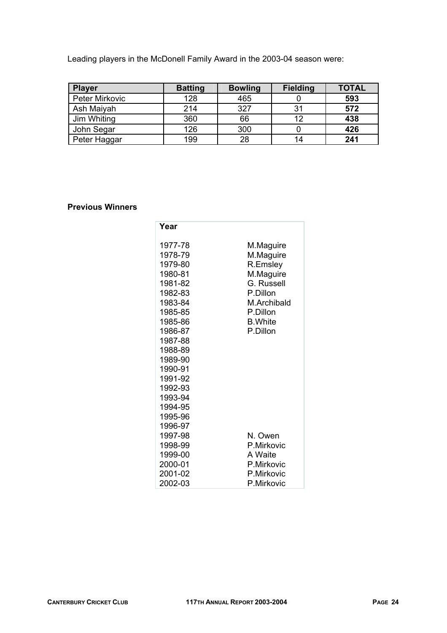Leading players in the McDonell Family Award in the 2003-04 season were:

| <b>Player</b>         | <b>Batting</b> | <b>Bowling</b> | <b>Fielding</b> | <b>TOTAL</b> |
|-----------------------|----------------|----------------|-----------------|--------------|
| <b>Peter Mirkovic</b> | 128            | 465            |                 | 593          |
| Ash Maiyah            | 214            | 327            | 31              | 572          |
| Jim Whiting           | 360            | 66             | 12              | 438          |
| John Segar            | 126            | 300            |                 | 426          |
| Peter Haggar          | 199            | 28             | 14              | 241          |

## **Previous Winners**

| Year    |                 |
|---------|-----------------|
| 1977-78 | M.Maguire       |
| 1978-79 | M.Maguire       |
| 1979-80 | R.Emsley        |
| 1980-81 | M.Maguire       |
| 1981-82 | G. Russell      |
| 1982-83 | P.Dillon        |
| 1983-84 | M.Archibald     |
| 1985-85 | P.Dillon        |
| 1985-86 | <b>B.</b> White |
| 1986-87 | P.Dillon        |
| 1987-88 |                 |
| 1988-89 |                 |
| 1989-90 |                 |
| 1990-91 |                 |
| 1991-92 |                 |
| 1992-93 |                 |
| 1993-94 |                 |
| 1994-95 |                 |
| 1995-96 |                 |
| 1996-97 |                 |
| 1997-98 | N. Owen         |
| 1998-99 | P.Mirkovic      |
| 1999-00 | A Waite         |
| 2000-01 | P.Mirkovic      |
| 2001-02 | P.Mirkovic      |
| 2002-03 | P.Mirkovic      |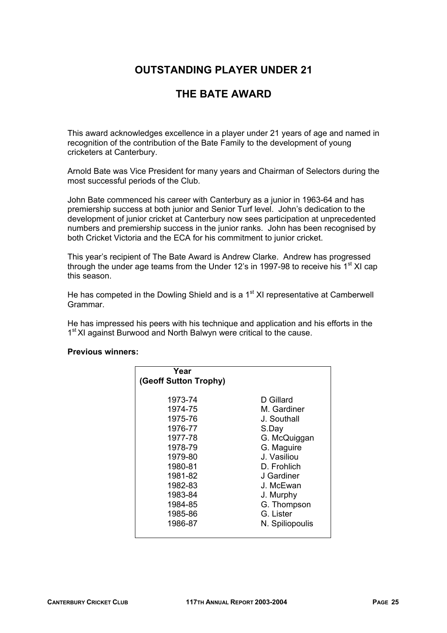# **OUTSTANDING PLAYER UNDER 21**

# **THE BATE AWARD**

This award acknowledges excellence in a player under 21 years of age and named in recognition of the contribution of the Bate Family to the development of young cricketers at Canterbury.

Arnold Bate was Vice President for many years and Chairman of Selectors during the most successful periods of the Club.

John Bate commenced his career with Canterbury as a junior in 1963-64 and has premiership success at both junior and Senior Turf level. John's dedication to the development of junior cricket at Canterbury now sees participation at unprecedented numbers and premiership success in the junior ranks. John has been recognised by both Cricket Victoria and the ECA for his commitment to junior cricket.

This year's recipient of The Bate Award is Andrew Clarke. Andrew has progressed through the under age teams from the Under 12's in 1997-98 to receive his 1<sup>st</sup> XI cap this season.

He has competed in the Dowling Shield and is a  $1<sup>st</sup>$  XI representative at Camberwell Grammar.

He has impressed his peers with his technique and application and his efforts in the 1<sup>st</sup> XI against Burwood and North Balwyn were critical to the cause.

#### **Previous winners:**

| Year<br>(Geoff Sutton Trophy) |                 |
|-------------------------------|-----------------|
| 1973-74                       | D Gillard       |
| 1974-75                       | M. Gardiner     |
| 1975-76                       | J. Southall     |
| 1976-77                       | S.Day           |
| 1977-78                       | G. McQuiggan    |
| 1978-79                       | G. Maguire      |
| 1979-80                       | J. Vasiliou     |
| 1980-81                       | D. Frohlich     |
| 1981-82                       | J Gardiner      |
| 1982-83                       | J. McEwan       |
| 1983-84                       | J. Murphy       |
| 1984-85                       | G. Thompson     |
| 1985-86                       | G. Lister       |
| 1986-87                       | N. Spiliopoulis |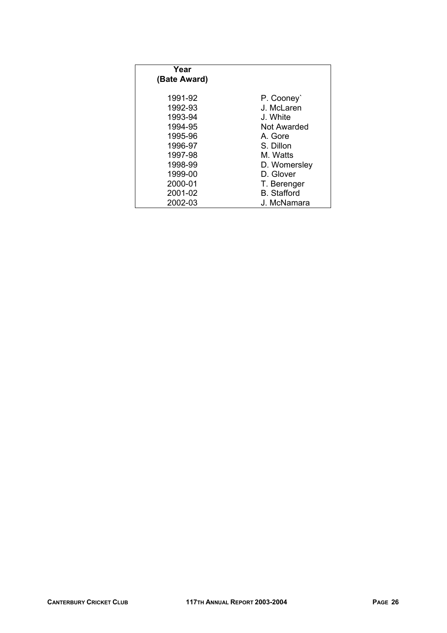| Year<br>(Bate Award) |                    |
|----------------------|--------------------|
| 1991-92              | P. Cooney          |
| 1992-93              | J. McLaren         |
| 1993-94              | J. White           |
| 1994-95              | Not Awarded        |
| 1995-96              | A. Gore            |
| 1996-97              | S. Dillon          |
| 1997-98              | M. Watts           |
| 1998-99              | D. Womersley       |
| 1999-00              | D. Glover          |
| 2000-01              | T. Berenger        |
| 2001-02              | <b>B.</b> Stafford |
| 2002-03              | J. McNamara        |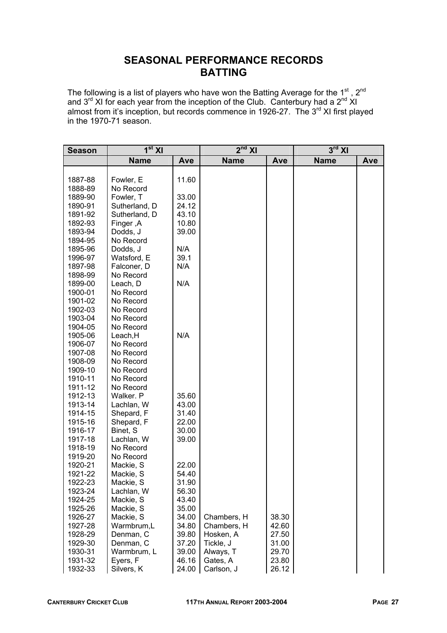# **SEASONAL PERFORMANCE RECORDS BATTING**

The following is a list of players who have won the Batting Average for the 1<sup>st</sup>, 2<sup>nd</sup> and  $3^{rd}$  XI for each year from the inception of the Club. Canterbury had a  $2^{nd}$  XI almost from it's inception, but records commence in 1926-27. The 3<sup>rd</sup> XI first played in the 1970-71 season.

| <b>Season</b>      | 1 <sup>st</sup> XI     |                | $2nd$ XI              |                | $3rd$ XI    |     |
|--------------------|------------------------|----------------|-----------------------|----------------|-------------|-----|
|                    | <b>Name</b>            | Ave            | <b>Name</b>           | Ave            | <b>Name</b> | Ave |
|                    |                        |                |                       |                |             |     |
| 1887-88            | Fowler, E              | 11.60          |                       |                |             |     |
| 1888-89            | No Record              |                |                       |                |             |     |
| 1889-90            | Fowler, T              | 33.00          |                       |                |             |     |
| 1890-91            | Sutherland, D          | 24.12          |                       |                |             |     |
| 1891-92            | Sutherland, D          | 43.10          |                       |                |             |     |
| 1892-93            | Finger, A              | 10.80          |                       |                |             |     |
| 1893-94            | Dodds, J               | 39.00          |                       |                |             |     |
| 1894-95            | No Record              |                |                       |                |             |     |
| 1895-96            | Dodds, J               | N/A            |                       |                |             |     |
| 1996-97            | Watsford, E            | 39.1           |                       |                |             |     |
| 1897-98            | Falconer, D            | N/A            |                       |                |             |     |
| 1898-99            | No Record              |                |                       |                |             |     |
| 1899-00            | Leach, D               | N/A            |                       |                |             |     |
| 1900-01            | No Record              |                |                       |                |             |     |
| 1901-02            | No Record              |                |                       |                |             |     |
| 1902-03            | No Record              |                |                       |                |             |     |
| 1903-04            | No Record              |                |                       |                |             |     |
| 1904-05            | No Record              |                |                       |                |             |     |
| 1905-06            | Leach, H               | N/A            |                       |                |             |     |
| 1906-07            | No Record              |                |                       |                |             |     |
| 1907-08            | No Record              |                |                       |                |             |     |
| 1908-09            | No Record              |                |                       |                |             |     |
| 1909-10            | No Record              |                |                       |                |             |     |
| 1910-11            | No Record              |                |                       |                |             |     |
| 1911-12            | No Record              |                |                       |                |             |     |
| 1912-13            | Walker. P              | 35.60          |                       |                |             |     |
| 1913-14            | Lachlan, W             | 43.00          |                       |                |             |     |
| 1914-15            | Shepard, F             | 31.40          |                       |                |             |     |
| 1915-16            | Shepard, F             | 22.00          |                       |                |             |     |
| 1916-17            | Binet, S               | 30.00          |                       |                |             |     |
| 1917-18            | Lachlan, W             | 39.00          |                       |                |             |     |
| 1918-19            | No Record              |                |                       |                |             |     |
| 1919-20            | No Record              |                |                       |                |             |     |
| 1920-21            | Mackie, S              | 22.00          |                       |                |             |     |
| 1921-22            | Mackie, S              | 54.40          |                       |                |             |     |
| 1922-23            | Mackie, S              | 31.90          |                       |                |             |     |
| 1923-24            | Lachlan, W             | 56.30          |                       |                |             |     |
| 1924-25            | Mackie, S              | 43.40          |                       |                |             |     |
| 1925-26            | Mackie, S              | 35.00          |                       |                |             |     |
| 1926-27            | Mackie, S              | 34.00          | Chambers, H           | 38.30          |             |     |
| 1927-28            | Warmbrum,L             | 34.80          | Chambers, H           | 42.60          |             |     |
| 1928-29            | Denman, C              | 39.80          | Hosken, A             | 27.50          |             |     |
| 1929-30            | Denman, C              | 37.20          | Tickle, J             | 31.00          |             |     |
| 1930-31<br>1931-32 | Warmbrum, L            | 39.00<br>46.16 | Always, T<br>Gates, A | 29.70<br>23.80 |             |     |
| 1932-33            | Eyers, F<br>Silvers, K | 24.00          | Carlson, J            | 26.12          |             |     |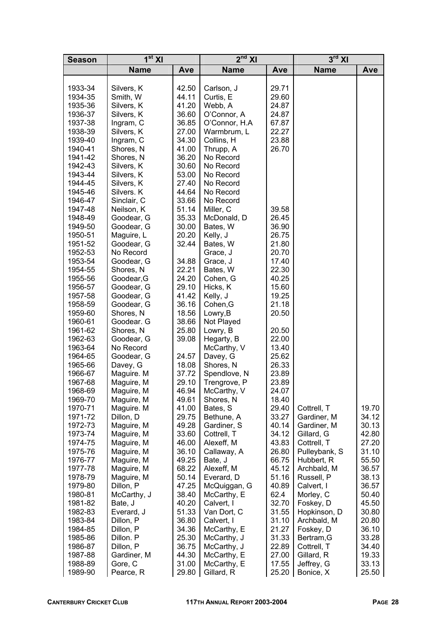| <b>Season</b> | 1 <sup>st</sup> XI |       | $2^{nd}$ XI    |       | $3^{\overline{\text{rd}}}$ XI |       |
|---------------|--------------------|-------|----------------|-------|-------------------------------|-------|
|               | <b>Name</b>        | Ave   | <b>Name</b>    | Ave   | <b>Name</b>                   | Ave   |
|               |                    |       |                |       |                               |       |
| 1933-34       | Silvers, K         | 42.50 | Carlson, J     | 29.71 |                               |       |
| 1934-35       | Smith, W           | 44.11 | Curtis, E      | 29.60 |                               |       |
| 1935-36       | Silvers, K         | 41.20 | Webb, A        | 24.87 |                               |       |
| 1936-37       | Silvers, K         | 36.60 | O'Connor, A    | 24.87 |                               |       |
| 1937-38       | Ingram, C          | 36.85 | O'Connor, H.A. | 67.87 |                               |       |
| 1938-39       | Silvers, K         | 27.00 | Warmbrum, L    | 22.27 |                               |       |
| 1939-40       | Ingram, C          | 34.30 | Collins, H     | 23.88 |                               |       |
| 1940-41       | Shores, N          | 41.00 | Thrupp, A      | 26.70 |                               |       |
| 1941-42       | Shores, N          | 36.20 | No Record      |       |                               |       |
| 1942-43       | Silvers, K         | 30.60 | No Record      |       |                               |       |
| 1943-44       | Silvers, K         | 53.00 | No Record      |       |                               |       |
| 1944-45       | Silvers, K         | 27.40 | No Record      |       |                               |       |
| 1945-46       | Silvers. K         | 44.64 | No Record      |       |                               |       |
| 1946-47       | Sinclair, C        | 33.66 | No Record      |       |                               |       |
| 1947-48       | Neilson, K         | 51.14 | Miller, C      | 39.58 |                               |       |
| 1948-49       | Goodear, G         | 35.33 | McDonald, D    | 26.45 |                               |       |
| 1949-50       | Goodear, G         | 30.00 | Bates, W       | 36.90 |                               |       |
| 1950-51       | Maguire, L         | 20.20 | Kelly, J       | 26.75 |                               |       |
| 1951-52       | Goodear, G         | 32.44 | Bates, W       | 21.80 |                               |       |
| 1952-53       | No Record          |       | Grace, J       | 20.70 |                               |       |
| 1953-54       | Goodear, G         | 34.88 | Grace, J       | 17.40 |                               |       |
| 1954-55       | Shores, N          | 22.21 | Bates, W       | 22.30 |                               |       |
| 1955-56       | Goodear, G         | 24.20 | Cohen, G       | 40.25 |                               |       |
| 1956-57       | Goodear, G         | 29.10 | Hicks, K       | 15.60 |                               |       |
| 1957-58       | Goodear, G         | 41.42 | Kelly, J       | 19.25 |                               |       |
| 1958-59       | Goodear, G         | 36.16 | Cohen, G       | 21.18 |                               |       |
| 1959-60       | Shores, N          | 18.56 | Lowry, B       | 20.50 |                               |       |
| 1960-61       | Goodear. G         | 38.66 | Not Played     |       |                               |       |
| 1961-62       | Shores, N          | 25.80 | Lowry, B       | 20.50 |                               |       |
| 1962-63       | Goodear, G         | 39.08 | Hegarty, B     | 22.00 |                               |       |
| 1963-64       | No Record          |       | McCarthy, V    | 13.40 |                               |       |
| 1964-65       | Goodear, G         | 24.57 | Davey, G       | 25.62 |                               |       |
| 1965-66       | Davey, G           | 18.08 | Shores, N      | 26.33 |                               |       |
| 1966-67       | Maguire. M         | 37.72 | Spendlove, N   | 23.89 |                               |       |
| 1967-68       | Maguire, M         | 29.10 | Trengrove, P   | 23.89 |                               |       |
| 1968-69       | Maguire, M         | 46.94 | McCarthy, V    | 24.07 |                               |       |
| 1969-70       | Maguire, M         | 49.61 | Shores, N      | 18.40 |                               |       |
| 1970-71       | Maguire. M         | 41.00 | Bates, S       | 29.40 | Cottrell, T                   | 19.70 |
| 1971-72       | Dillon, D          | 29.75 | Bethune, A     | 33.27 | Gardiner, M                   | 34.12 |
| 1972-73       | Maguire, M         | 49.28 | Gardiner, S    | 40.14 | Gardiner, M                   | 30.13 |
| 1973-74       | Maguire, M         | 33.60 | Cottrell, T    | 34.12 | Gillard, G                    | 42.80 |
| 1974-75       | Maguire, M         | 46.00 | Alexeff, M     | 43.83 | Cottrell, T                   | 27.20 |
| 1975-76       | Maguire, M         | 36.10 | Callaway, A    | 26.80 | Pulleybank, S                 | 31.10 |
| 1976-77       | Maguire, M         | 49.25 | Bate, J        | 66.75 | Hubbert, R                    | 55.50 |
| 1977-78       | Maguire, M         | 68.22 | Alexeff, M     | 45.12 | Archbald, M                   | 36.57 |
| 1978-79       | Maguire, M         | 50.14 | Everard, D     | 51.16 | Russell, P                    | 38.13 |
| 1979-80       | Dillon, P          | 47.25 | McQuiggan, G   | 40.89 | Calvert, I                    | 36.57 |
| 1980-81       | McCarthy, J        | 38.40 | McCarthy, E    | 62.4  | Morley, C                     | 50.40 |
| 1981-82       | Bate, J            | 40.20 | Calvert, I     | 32.70 | Foskey, D                     | 45.50 |
| 1982-83       | Everard, J         | 51.33 | Van Dort, C    | 31.55 | Hopkinson, D                  | 30.80 |
| 1983-84       | Dillon, P          | 36.80 | Calvert, I     | 31.10 | Archbald, M                   | 20.80 |
| 1984-85       | Dillon, P          | 34.36 | McCarthy, E    | 21.27 | Foskey, D                     | 36.10 |
| 1985-86       | Dillon. P          | 25.30 | McCarthy, J    | 31.33 | Bertram, G                    | 33.28 |
| 1986-87       | Dillon, P          | 36.75 | McCarthy, J    | 22.89 | Cottrell, T                   | 34.40 |
| 1987-88       | Gardiner, M        | 44.30 | McCarthy, E    | 27.00 | Gillard, R                    | 19.33 |
| 1988-89       | Gore, C            | 31.00 | McCarthy, E    | 17.55 | Jeffrey, G                    | 33.13 |
| 1989-90       | Pearce, R          | 29.80 | Gillard, R     | 25.20 | Bonice, X                     | 25.50 |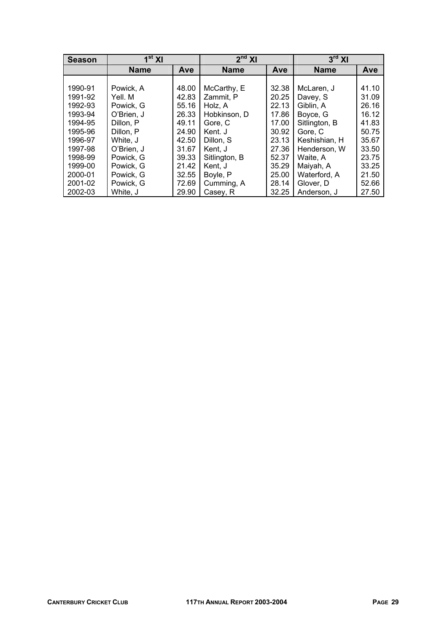| <b>Season</b> | $1st$ XI    |       | $2nd$ XI      |       | $3rd$ XI      |       |
|---------------|-------------|-------|---------------|-------|---------------|-------|
|               | <b>Name</b> | Ave   | <b>Name</b>   | Ave   | <b>Name</b>   | Ave   |
|               |             |       |               |       |               |       |
| 1990-91       | Powick, A   | 48.00 | McCarthy, E   | 32.38 | McLaren, J    | 41.10 |
| 1991-92       | Yell. M     | 42.83 | Zammit, P     | 20.25 | Davey, S      | 31.09 |
| 1992-93       | Powick, G   | 55.16 | Holz, A       | 22.13 | Giblin, A     | 26.16 |
| 1993-94       | O'Brien, J  | 26.33 | Hobkinson, D  | 17.86 | Boyce, G      | 16.12 |
| 1994-95       | Dillon, P   | 49.11 | Gore, C       | 17.00 | Sitlington, B | 41.83 |
| 1995-96       | Dillon, P   | 24.90 | Kent. J       | 30.92 | Gore, C       | 50.75 |
| 1996-97       | White, J    | 42.50 | Dillon, S     | 23.13 | Keshishian, H | 35.67 |
| 1997-98       | O'Brien, J  | 31.67 | Kent, J       | 27.36 | Henderson, W  | 33.50 |
| 1998-99       | Powick, G   | 39.33 | Sitlington, B | 52.37 | Waite, A      | 23.75 |
| 1999-00       | Powick, G   | 21.42 | Kent, J       | 35.29 | Maiyah, A     | 33.25 |
| 2000-01       | Powick, G   | 32.55 | Boyle, P      | 25.00 | Waterford, A  | 21.50 |
| 2001-02       | Powick, G   | 72.69 | Cumming, A    | 28.14 | Glover, D     | 52.66 |
| 2002-03       | White, J    | 29.90 | Casey, R      | 32.25 | Anderson, J   | 27.50 |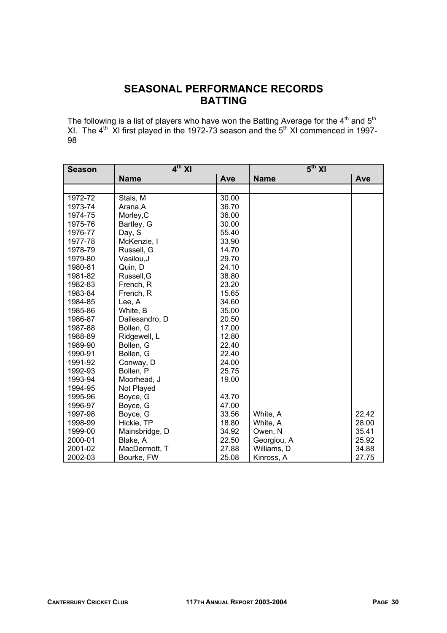# **SEASONAL PERFORMANCE RECORDS BATTING**

The following is a list of players who have won the Batting Average for the  $4<sup>th</sup>$  and  $5<sup>th</sup>$ XI. The  $4^{\text{th}}$  XI first played in the 1972-73 season and the  $5^{\text{th}}$  XI commenced in 1997-98

| <b>Season</b> | 4 <sup>th</sup> XI |       | 5 <sup>th</sup> XI |       |
|---------------|--------------------|-------|--------------------|-------|
|               | <b>Name</b>        | Ave   | <b>Name</b>        | Ave   |
|               |                    |       |                    |       |
| 1972-72       | Stals, M           | 30.00 |                    |       |
| 1973-74       | Arana, A           | 36.70 |                    |       |
| 1974-75       | Morley, C          | 36.00 |                    |       |
| 1975-76       | Bartley, G         | 30.00 |                    |       |
| 1976-77       | Day, S             | 55.40 |                    |       |
| 1977-78       | McKenzie, I        | 33.90 |                    |       |
| 1978-79       | Russell, G         | 14.70 |                    |       |
| 1979-80       | Vasilou, J         | 29.70 |                    |       |
| 1980-81       | Quin, D            | 24.10 |                    |       |
| 1981-82       | Russell, G         | 38.80 |                    |       |
| 1982-83       | French, R          | 23.20 |                    |       |
| 1983-84       | French, R          | 15.65 |                    |       |
| 1984-85       | Lee, A             | 34.60 |                    |       |
| 1985-86       | White, B           | 35.00 |                    |       |
| 1986-87       | Dallesandro, D     | 20.50 |                    |       |
| 1987-88       | Bollen, G          | 17.00 |                    |       |
| 1988-89       | Ridgewell, L       | 12.80 |                    |       |
| 1989-90       | Bollen, G          | 22.40 |                    |       |
| 1990-91       | Bollen, G          | 22.40 |                    |       |
| 1991-92       | Conway, D          | 24.00 |                    |       |
| 1992-93       | Bollen, P          | 25.75 |                    |       |
| 1993-94       | Moorhead, J        | 19.00 |                    |       |
| 1994-95       | Not Played         |       |                    |       |
| 1995-96       | Boyce, G           | 43.70 |                    |       |
| 1996-97       | Boyce, G           | 47.00 |                    |       |
| 1997-98       | Boyce, G           | 33.56 | White, A           | 22.42 |
| 1998-99       | Hickie, TP         | 18.80 | White, A           | 28.00 |
| 1999-00       | Mainsbridge, D     | 34.92 | Owen, N            | 35.41 |
| 2000-01       | Blake, A           | 22.50 | Georgiou, A        | 25.92 |
| 2001-02       | MacDermott, T      | 27.88 | Williams, D        | 34.88 |
| 2002-03       | Bourke, FW         | 25.08 | Kinross, A         | 27.75 |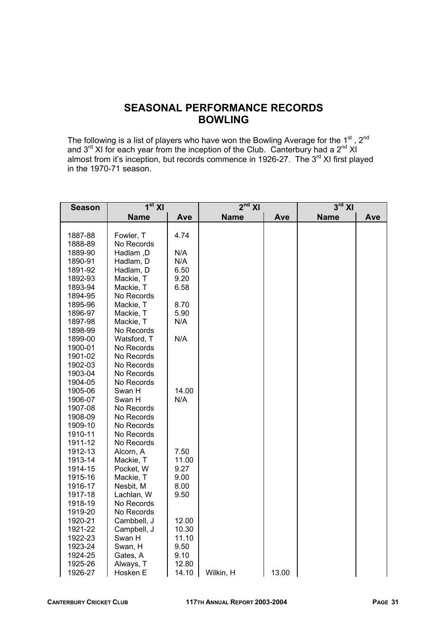# **SEASONAL PERFORMANCE RECORDS BOWLING**

The following is a list of players who have won the Bowling Average for the 1<sup>st</sup>, 2<sup>nd</sup> and  $3^{rd}$  XI for each year from the inception of the Club. Canterbury had a  $2^{nd}$  XI almost from it's inception, but records commence in 1926-27. The 3<sup>rd</sup> XI first played in the 1970-71 season.

| <b>Season</b>                                                                                                                                                                                                                                                                   | $1st$ XI                                                                                                                                                                                                                                                                                                                            |                                                                                                                            | $2nd$ XI    |       | $3^{\text{rd}}$ XI |     |  |
|---------------------------------------------------------------------------------------------------------------------------------------------------------------------------------------------------------------------------------------------------------------------------------|-------------------------------------------------------------------------------------------------------------------------------------------------------------------------------------------------------------------------------------------------------------------------------------------------------------------------------------|----------------------------------------------------------------------------------------------------------------------------|-------------|-------|--------------------|-----|--|
|                                                                                                                                                                                                                                                                                 | <b>Name</b><br>Ave                                                                                                                                                                                                                                                                                                                  |                                                                                                                            | <b>Name</b> | Ave   | <b>Name</b>        | Ave |  |
|                                                                                                                                                                                                                                                                                 |                                                                                                                                                                                                                                                                                                                                     |                                                                                                                            |             |       |                    |     |  |
| 1887-88                                                                                                                                                                                                                                                                         | Fowler, T                                                                                                                                                                                                                                                                                                                           | 4.74                                                                                                                       |             |       |                    |     |  |
| 1888-89                                                                                                                                                                                                                                                                         | No Records                                                                                                                                                                                                                                                                                                                          |                                                                                                                            |             |       |                    |     |  |
| 1889-90                                                                                                                                                                                                                                                                         | Hadlam, D                                                                                                                                                                                                                                                                                                                           | N/A                                                                                                                        |             |       |                    |     |  |
| 1890-91                                                                                                                                                                                                                                                                         | Hadlam, D                                                                                                                                                                                                                                                                                                                           | N/A                                                                                                                        |             |       |                    |     |  |
| 1891-92                                                                                                                                                                                                                                                                         | Hadlam, D                                                                                                                                                                                                                                                                                                                           | 6.50                                                                                                                       |             |       |                    |     |  |
| 1892-93                                                                                                                                                                                                                                                                         | Mackie, T                                                                                                                                                                                                                                                                                                                           | 9.20                                                                                                                       |             |       |                    |     |  |
| 1893-94                                                                                                                                                                                                                                                                         | Mackie, T                                                                                                                                                                                                                                                                                                                           | 6.58                                                                                                                       |             |       |                    |     |  |
| 1894-95                                                                                                                                                                                                                                                                         | No Records                                                                                                                                                                                                                                                                                                                          |                                                                                                                            |             |       |                    |     |  |
| 1895-96                                                                                                                                                                                                                                                                         | Mackie, T                                                                                                                                                                                                                                                                                                                           | 8.70                                                                                                                       |             |       |                    |     |  |
| 1896-97                                                                                                                                                                                                                                                                         | Mackie, T                                                                                                                                                                                                                                                                                                                           | 5.90                                                                                                                       |             |       |                    |     |  |
| 1897-98                                                                                                                                                                                                                                                                         | Mackie, T                                                                                                                                                                                                                                                                                                                           | N/A                                                                                                                        |             |       |                    |     |  |
| 1898-99                                                                                                                                                                                                                                                                         | No Records                                                                                                                                                                                                                                                                                                                          |                                                                                                                            |             |       |                    |     |  |
| 1899-00                                                                                                                                                                                                                                                                         | Watsford, T                                                                                                                                                                                                                                                                                                                         | N/A                                                                                                                        |             |       |                    |     |  |
| 1900-01                                                                                                                                                                                                                                                                         | No Records                                                                                                                                                                                                                                                                                                                          |                                                                                                                            |             |       |                    |     |  |
| 1901-02                                                                                                                                                                                                                                                                         | No Records                                                                                                                                                                                                                                                                                                                          |                                                                                                                            |             |       |                    |     |  |
|                                                                                                                                                                                                                                                                                 |                                                                                                                                                                                                                                                                                                                                     |                                                                                                                            |             |       |                    |     |  |
|                                                                                                                                                                                                                                                                                 |                                                                                                                                                                                                                                                                                                                                     |                                                                                                                            |             |       |                    |     |  |
|                                                                                                                                                                                                                                                                                 |                                                                                                                                                                                                                                                                                                                                     |                                                                                                                            |             |       |                    |     |  |
|                                                                                                                                                                                                                                                                                 |                                                                                                                                                                                                                                                                                                                                     |                                                                                                                            |             |       |                    |     |  |
|                                                                                                                                                                                                                                                                                 |                                                                                                                                                                                                                                                                                                                                     |                                                                                                                            |             |       |                    |     |  |
|                                                                                                                                                                                                                                                                                 |                                                                                                                                                                                                                                                                                                                                     |                                                                                                                            |             |       |                    |     |  |
|                                                                                                                                                                                                                                                                                 |                                                                                                                                                                                                                                                                                                                                     |                                                                                                                            |             |       |                    |     |  |
|                                                                                                                                                                                                                                                                                 |                                                                                                                                                                                                                                                                                                                                     |                                                                                                                            |             |       |                    |     |  |
|                                                                                                                                                                                                                                                                                 |                                                                                                                                                                                                                                                                                                                                     |                                                                                                                            |             |       |                    |     |  |
|                                                                                                                                                                                                                                                                                 |                                                                                                                                                                                                                                                                                                                                     |                                                                                                                            |             |       |                    |     |  |
|                                                                                                                                                                                                                                                                                 |                                                                                                                                                                                                                                                                                                                                     |                                                                                                                            |             |       |                    |     |  |
|                                                                                                                                                                                                                                                                                 |                                                                                                                                                                                                                                                                                                                                     |                                                                                                                            |             |       |                    |     |  |
|                                                                                                                                                                                                                                                                                 |                                                                                                                                                                                                                                                                                                                                     |                                                                                                                            |             |       |                    |     |  |
|                                                                                                                                                                                                                                                                                 |                                                                                                                                                                                                                                                                                                                                     |                                                                                                                            |             |       |                    |     |  |
|                                                                                                                                                                                                                                                                                 |                                                                                                                                                                                                                                                                                                                                     |                                                                                                                            |             |       |                    |     |  |
|                                                                                                                                                                                                                                                                                 |                                                                                                                                                                                                                                                                                                                                     |                                                                                                                            |             |       |                    |     |  |
|                                                                                                                                                                                                                                                                                 |                                                                                                                                                                                                                                                                                                                                     |                                                                                                                            |             |       |                    |     |  |
|                                                                                                                                                                                                                                                                                 |                                                                                                                                                                                                                                                                                                                                     |                                                                                                                            |             |       |                    |     |  |
|                                                                                                                                                                                                                                                                                 |                                                                                                                                                                                                                                                                                                                                     |                                                                                                                            |             |       |                    |     |  |
|                                                                                                                                                                                                                                                                                 |                                                                                                                                                                                                                                                                                                                                     |                                                                                                                            |             |       |                    |     |  |
|                                                                                                                                                                                                                                                                                 |                                                                                                                                                                                                                                                                                                                                     |                                                                                                                            |             |       |                    |     |  |
|                                                                                                                                                                                                                                                                                 |                                                                                                                                                                                                                                                                                                                                     |                                                                                                                            |             |       |                    |     |  |
|                                                                                                                                                                                                                                                                                 |                                                                                                                                                                                                                                                                                                                                     |                                                                                                                            |             |       |                    |     |  |
|                                                                                                                                                                                                                                                                                 |                                                                                                                                                                                                                                                                                                                                     |                                                                                                                            |             |       |                    |     |  |
| 1902-03<br>1903-04<br>1904-05<br>1905-06<br>1906-07<br>1907-08<br>1908-09<br>1909-10<br>1910-11<br>1911-12<br>1912-13<br>1913-14<br>1914-15<br>1915-16<br>1916-17<br>1917-18<br>1918-19<br>1919-20<br>1920-21<br>1921-22<br>1922-23<br>1923-24<br>1924-25<br>1925-26<br>1926-27 | No Records<br>No Records<br>No Records<br>Swan H<br>Swan H<br>No Records<br>No Records<br>No Records<br>No Records<br>No Records<br>Alcorn, A<br>Mackie, T<br>Pocket, W<br>Mackie, T<br>Nesbit, M<br>Lachlan, W<br>No Records<br>No Records<br>Cambbell, J<br>Campbell, J<br>Swan H<br>Swan, H<br>Gates, A<br>Always, T<br>Hosken E | 14.00<br>N/A<br>7.50<br>11.00<br>9.27<br>9.00<br>8.00<br>9.50<br>12.00<br>10.30<br>11.10<br>9.50<br>9.10<br>12.80<br>14.10 | Wilkin, H   | 13.00 |                    |     |  |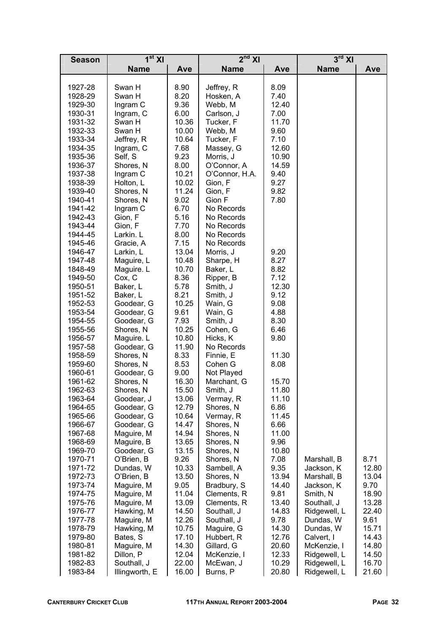| <b>Season</b>      | $1st$ XI                |                | $2nd$ XI                 |              | $3^{\text{rd}}$ XI        |               |
|--------------------|-------------------------|----------------|--------------------------|--------------|---------------------------|---------------|
|                    | <b>Name</b>             | Ave            | <b>Name</b>              | Ave          | <b>Name</b>               | Ave           |
|                    |                         |                |                          |              |                           |               |
| 1927-28            | Swan H                  | 8.90           | Jeffrey, R               | 8.09         |                           |               |
| 1928-29            | Swan H                  | 8.20           | Hosken, A                | 7.40         |                           |               |
| 1929-30            | Ingram C                | 9.36           | Webb, M                  | 12.40        |                           |               |
| 1930-31            | Ingram, C               | 6.00           | Carlson, J               | 7.00         |                           |               |
| 1931-32            | Swan H                  | 10.36          | Tucker, F                | 11.70        |                           |               |
| 1932-33            | Swan H                  | 10.00          | Webb, M                  | 9.60         |                           |               |
| 1933-34            | Jeffrey, R              | 10.64          | Tucker, F                | 7.10         |                           |               |
| 1934-35            | Ingram, C               | 7.68           | Massey, G                | 12.60        |                           |               |
| 1935-36            | Self, S                 | 9.23           | Morris, J                | 10.90        |                           |               |
| 1936-37            | Shores, N               | 8.00           | O'Connor, A              | 14.59        |                           |               |
| 1937-38            | Ingram C                | 10.21          | O'Connor, H.A.           | 9.40         |                           |               |
| 1938-39            | Holton, L               | 10.02          | Gion, F                  | 9.27         |                           |               |
| 1939-40            | Shores, N               | 11.24          | Gion, F                  | 9.82         |                           |               |
| 1940-41            | Shores, N               | 9.02           | Gion F                   | 7.80         |                           |               |
| 1941-42            | Ingram C                | 6.70           | No Records               |              |                           |               |
| 1942-43            | Gion, F                 | 5.16<br>7.70   | No Records<br>No Records |              |                           |               |
| 1943-44            | Gion, F<br>Larkin. L    | 8.00           | No Records               |              |                           |               |
| 1944-45<br>1945-46 | Gracie, A               | 7.15           | No Records               |              |                           |               |
| 1946-47            | Larkin, L               | 13.04          | Morris, J                | 9.20         |                           |               |
| 1947-48            | Maguire, L              | 10.48          | Sharpe, H                | 8.27         |                           |               |
| 1848-49            | Maguire. L              | 10.70          | Baker, L                 | 8.82         |                           |               |
| 1949-50            | Cox, C                  | 8.36           | Ripper, B                | 7.12         |                           |               |
| 1950-51            | Baker, L                | 5.78           | Smith, J                 | 12.30        |                           |               |
| 1951-52            | Baker, L                | 8.21           | Smith, J                 | 9.12         |                           |               |
| 1952-53            | Goodear, G              | 10.25          | Wain, G                  | 9.08         |                           |               |
| 1953-54            | Goodear, G              | 9.61           | Wain, G                  | 4.88         |                           |               |
| 1954-55            | Goodear, G              | 7.93           | Smith, J                 | 8.30         |                           |               |
| 1955-56            | Shores, N               | 10.25          | Cohen, G                 | 6.46         |                           |               |
| 1956-57            | Maguire. L              | 10.80          | Hicks, K                 | 9.80         |                           |               |
| 1957-58            | Goodear, G              | 11.90          | No Records               |              |                           |               |
| 1958-59            | Shores, N               | 8.33           | Finnie, E                | 11.30        |                           |               |
| 1959-60            | Shores, N               | 8.53           | Cohen G                  | 8.08         |                           |               |
| 1960-61            | Goodear, G              | 9.00           | Not Played               |              |                           |               |
| 1961-62            | Shores, N               | 16.30          | Marchant, G              | 15.70        |                           |               |
| 1962-63            | Shores, N               | 15.50          | Smith, J                 | 11.80        |                           |               |
| 1963-64            | Goodear, J              | 13.06          | Vermay, R                | 11.10        |                           |               |
| 1964-65            | Goodear, G              | 12.79          | Shores, N                | 6.86         |                           |               |
| 1965-66            | Goodear, G              | 10.64          | Vermay, R                | 11.45        |                           |               |
| 1966-67            | Goodear, G<br>14.47     |                | Shores, N                | 6.66         |                           |               |
| 1967-68            | Maguire, M              | 14.94          | Shores, N                | 11.00        |                           |               |
| 1968-69            | Maguire, B              | 13.65          | Shores, N                | 9.96         |                           |               |
| 1969-70            | Goodear, G              | 13.15          | Shores, N                | 10.80        |                           |               |
| 1970-71<br>1971-72 | O'Brien, B<br>Dundas, W | 9.26           | Shores, N<br>Sambell, A  | 7.08<br>9.35 | Marshall, B<br>Jackson, K | 8.71<br>12.80 |
| 1972-73            | O'Brien, B              | 10.33<br>13.50 | Shores, N                | 13.94        | Marshall, B               | 13.04         |
| 1973-74            | Maguire, M              | 9.05           | Bradbury, S              | 14.40        | Jackson, K                | 9.70          |
| 1974-75            | Maguire, M              | 11.04          | Clements, R              | 9.81         | Smith, N                  | 18.90         |
| 1975-76            | Maguire, M              | 13.09          | Clements, R              | 13.40        | Southall, J               | 13.28         |
| 1976-77            | Hawking, M              | 14.50          | Southall, J              | 14.83        | Ridgewell, L              | 22.40         |
| 1977-78            | Maguire, M              | 12.26          | Southall, J              | 9.78         | Dundas, W                 | 9.61          |
| 1978-79            | Hawking, M              | 10.75          | Maguire, G               | 14.30        | Dundas, W                 | 15.71         |
| 1979-80            | Bates, S                | 17.10          | Hubbert, R               | 12.76        | Calvert, I                | 14.43         |
| 1980-81            | Maguire, M              | 14.30          | Gillard, G               | 20.60        | McKenzie, I               | 14.80         |
| 1981-82            | Dillon, P               | 12.04          | McKenzie, I              | 12.33        | Ridgewell, L              | 14.50         |
| 1982-83            | Southall, J             | 22.00          | McEwan, J                | 10.29        | Ridgewell, L              | 16.70         |
| 1983-84            | Illingworth, E          | 16.00          | Burns, P                 | 20.80        | Ridgewell, L              | 21.60         |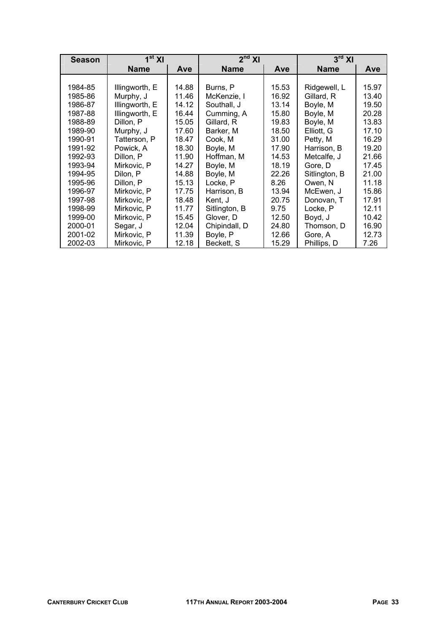| <b>Season</b> | 1 <sup>st</sup> XI   |            | $2nd$ XI          |       | $3rd$ XI      |       |  |
|---------------|----------------------|------------|-------------------|-------|---------------|-------|--|
|               | <b>Name</b>          | <b>Ave</b> | <b>Name</b>       | Ave   | <b>Name</b>   | Ave   |  |
|               |                      |            |                   |       |               |       |  |
| 1984-85       | Illingworth, E       | 14.88      | Burns, P          | 15.53 | Ridgewell, L  | 15.97 |  |
| 1985-86       | Murphy, J            | 11.46      | McKenzie, I       | 16.92 | Gillard, R    | 13.40 |  |
| 1986-87       | Illingworth, E       | 14.12      | Southall, J       | 13.14 | Boyle, M      | 19.50 |  |
| 1987-88       | Illingworth, E       | 16.44      | Cumming, A        | 15.80 | Boyle, M      | 20.28 |  |
| 1988-89       | Dillon, P            | 15.05      | Gillard, R        | 19.83 | Boyle, M      | 13.83 |  |
| 1989-90       | Murphy, J            | 17.60      | Barker, M         | 18.50 | Elliott, G    | 17.10 |  |
| 1990-91       | Tatterson, P         | 18.47      | Cook, M           | 31.00 | Petty, M      | 16.29 |  |
| 1991-92       | Powick, A            | 18.30      | Boyle, M          | 17.90 | Harrison, B   | 19.20 |  |
| 1992-93       | 11.90<br>Dillon, P   |            | Hoffman, M        | 14.53 | Metcalfe, J   | 21.66 |  |
| 1993-94       | Mirkovic, P<br>14.27 |            | Boyle, M          | 18.19 | Gore. D       | 17.45 |  |
| 1994-95       | 14.88<br>Dilon, P    |            | Boyle, M<br>22.26 |       | Sitlington, B | 21.00 |  |
| 1995-96       | Dillon, P            | 15.13      | Locke, P          | 8.26  | Owen, N       | 11.18 |  |
| 1996-97       | Mirkovic, P          | 17.75      | Harrison, B       | 13.94 | McEwen, J     | 15.86 |  |
| 1997-98       | Mirkovic, P          | 18.48      | Kent, J           | 20.75 | Donovan, T    | 17.91 |  |
| 1998-99       | Mirkovic, P          | 11.77      | Sitlington, B     | 9.75  | Locke, P      | 12.11 |  |
| 1999-00       | Mirkovic, P          | 15.45      | Glover, D         | 12.50 | Boyd, J       | 10.42 |  |
| 2000-01       | Segar, J             | 12.04      | Chipindall, D     | 24.80 | Thomson, D    | 16.90 |  |
| 2001-02       | Mirkovic, P          | 11.39      | Boyle, P          | 12.66 | Gore, A       | 12.73 |  |
| 2002-03       | 12.18<br>Mirkovic, P |            | Beckett, S        | 15.29 | Phillips, D   | 7.26  |  |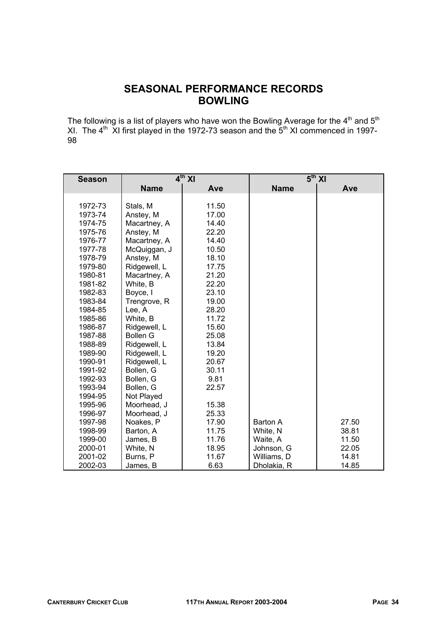# **SEASONAL PERFORMANCE RECORDS BOWLING**

The following is a list of players who have won the Bowling Average for the  $4<sup>th</sup>$  and  $5<sup>th</sup>$ XI. The  $4^{\text{th}}$  XI first played in the 1972-73 season and the  $5^{\text{th}}$  XI commenced in 1997-98

| <b>Season</b> |                 | $4th$ XI | $5th$ XI        |       |  |  |
|---------------|-----------------|----------|-----------------|-------|--|--|
|               | <b>Name</b>     | Ave      | <b>Name</b>     | Ave   |  |  |
|               |                 |          |                 |       |  |  |
| 1972-73       | Stals, M        | 11.50    |                 |       |  |  |
| 1973-74       | Anstey, M       | 17.00    |                 |       |  |  |
| 1974-75       | Macartney, A    | 14.40    |                 |       |  |  |
| 1975-76       | Anstey, M       | 22.20    |                 |       |  |  |
| 1976-77       | Macartney, A    | 14.40    |                 |       |  |  |
| 1977-78       | McQuiggan, J    | 10.50    |                 |       |  |  |
| 1978-79       | Anstey, M       | 18.10    |                 |       |  |  |
| 1979-80       | Ridgewell, L    | 17.75    |                 |       |  |  |
| 1980-81       | Macartney, A    | 21.20    |                 |       |  |  |
| 1981-82       | White, B        | 22.20    |                 |       |  |  |
| 1982-83       | Boyce, I        | 23.10    |                 |       |  |  |
| 1983-84       | Trengrove, R    | 19.00    |                 |       |  |  |
| 1984-85       | Lee, A          | 28.20    |                 |       |  |  |
| 1985-86       | White, B        | 11.72    |                 |       |  |  |
| 1986-87       | Ridgewell, L    | 15.60    |                 |       |  |  |
| 1987-88       | <b>Bollen G</b> | 25.08    |                 |       |  |  |
| 1988-89       | Ridgewell, L    | 13.84    |                 |       |  |  |
| 1989-90       | Ridgewell, L    | 19.20    |                 |       |  |  |
| 1990-91       | Ridgewell, L    | 20.67    |                 |       |  |  |
| 1991-92       | Bollen, G       | 30.11    |                 |       |  |  |
| 1992-93       | Bollen, G       | 9.81     |                 |       |  |  |
| 1993-94       | Bollen, G       | 22.57    |                 |       |  |  |
| 1994-95       | Not Played      |          |                 |       |  |  |
| 1995-96       | Moorhead, J     | 15.38    |                 |       |  |  |
| 1996-97       | Moorhead, J     | 25.33    |                 |       |  |  |
| 1997-98       | Noakes, P       | 17.90    | <b>Barton A</b> | 27.50 |  |  |
| 1998-99       | Barton, A       | 11.75    | White, N        | 38.81 |  |  |
| 1999-00       | James, B        | 11.76    | Waite, A        | 11.50 |  |  |
| 2000-01       | White, N        | 18.95    | Johnson, G      | 22.05 |  |  |
| 2001-02       | Burns, P        | 11.67    | Williams, D     | 14.81 |  |  |
| 2002-03       | James, B        | 6.63     | Dholakia, R     | 14.85 |  |  |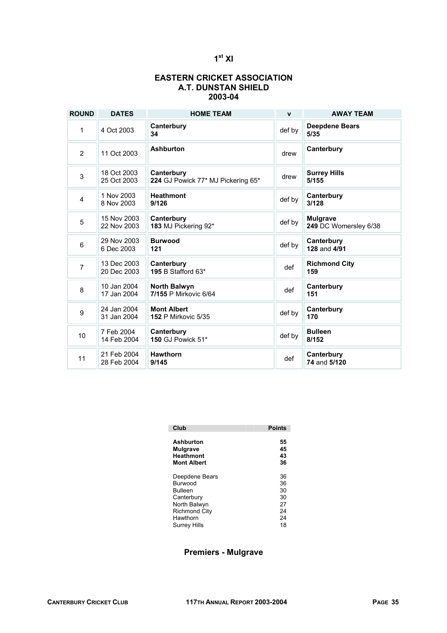## **1st XI**

## **EASTERN CRICKET ASSOCIATION A.T. DUNSTAN SHIELD 2003-04**

| <b>ROUND</b>   | <b>DATES</b>               | <b>HOME TEAM</b>                                 | $\mathbf{v}$ | <b>AWAY TEAM</b>                         |
|----------------|----------------------------|--------------------------------------------------|--------------|------------------------------------------|
| 1              | 4 Oct 2003                 | Canterbury<br>34                                 | def by       | <b>Deepdene Bears</b><br>5/35            |
| 2              | 11 Oct 2003                | <b>Ashburton</b>                                 | drew         | Canterbury                               |
| $\mathbf{3}$   | 18 Oct 2003<br>25 Oct 2003 | Canterbury<br>224 GJ Powick 77* MJ Pickering 65* | drew         | <b>Surrey Hills</b><br>5/155             |
| $\overline{4}$ | 1 Nov 2003<br>8 Nov 2003   | <b>Heathmont</b><br>9/126                        | def by       | Canterbury<br>3/128                      |
| 5              | 15 Nov 2003<br>22 Nov 2003 | Canterbury<br>183 MJ Pickering 92*               | def by       | <b>Mulgrave</b><br>249 DC Womersley 6/38 |
| $\,6$          | 29 Nov 2003<br>6 Dec 2003  | <b>Burwood</b><br>121                            | def by       | Canterbury<br>128 and 4/91               |
| $\overline{7}$ | 13 Dec 2003<br>20 Dec 2003 | Canterbury<br>195 B Stafford 63*                 | def          | <b>Richmond City</b><br>159              |
| 8              | 10 Jan 2004<br>17 Jan 2004 | <b>North Balwyn</b><br>7/155 P Mirkovic 6/64     | def          | Canterbury<br>151                        |
| 9              | 24 Jan 2004<br>31 Jan 2004 | <b>Mont Albert</b><br><b>152 P Mirkovic 5/35</b> | def by       | Canterbury<br>170                        |
| 10             | 7 Feb 2004<br>14 Feb 2004  | Canterbury<br>150 GJ Powick 51*                  | def by       | <b>Bulleen</b><br>8/152                  |
| 11             | 21 Feb 2004<br>28 Feb 2004 | <b>Hawthorn</b><br>9/145                         | def          | Canterbury<br>74 and 5/120               |

| Club                 | <b>Points</b> |
|----------------------|---------------|
| Ashburton            | 55            |
| <b>Mulgrave</b>      | 45            |
| <b>Heathmont</b>     | 43            |
| <b>Mont Albert</b>   | 36            |
| Deepdene Bears       | 36            |
| <b>Burwood</b>       | 36            |
| Bulleen              | 30            |
| Canterbury           | 30            |
| North Balwyn         | 27            |
| <b>Richmond City</b> | 24            |
| Hawthorn             | 24            |
| Surrey Hills         | 18            |

## **Premiers - Mulgrave**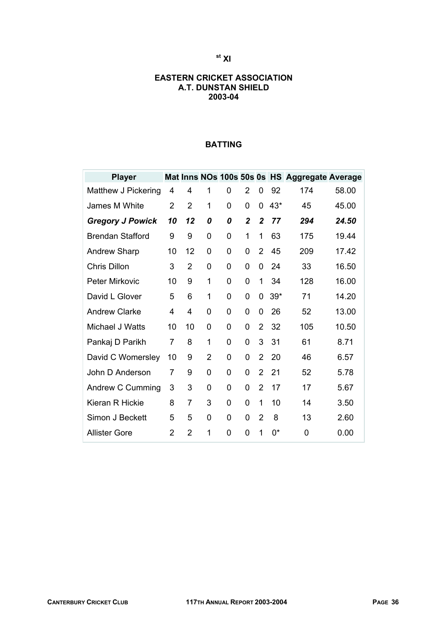## **st XI**

## **EASTERN CRICKET ASSOCIATION A.T. DUNSTAN SHIELD 2003-04**

## **BATTING**

| <b>Player</b>           |                |                |                |   |                |                |       | Mat Inns NOs 100s 50s 0s HS Aggregate Average |       |
|-------------------------|----------------|----------------|----------------|---|----------------|----------------|-------|-----------------------------------------------|-------|
| Matthew J Pickering     | 4              | 4              | 1              | 0 | $\overline{2}$ | 0              | 92    | 174                                           | 58.00 |
| James M White           | $\overline{2}$ | $\overline{2}$ | 1              | 0 | 0              | 0              | $43*$ | 45                                            | 45.00 |
| <b>Gregory J Powick</b> | 10             | 12             | 0              | 0 | $\mathbf{2}$   | 2              | 77    | 294                                           | 24.50 |
| <b>Brendan Stafford</b> | 9              | 9              | 0              | 0 | 1              | 1              | 63    | 175                                           | 19.44 |
| <b>Andrew Sharp</b>     | 10             | 12             | 0              | 0 | 0              | 2              | 45    | 209                                           | 17.42 |
| <b>Chris Dillon</b>     | 3              | 2              | 0              | 0 | 0              | 0              | 24    | 33                                            | 16.50 |
| <b>Peter Mirkovic</b>   | 10             | 9              | 1              | 0 | 0              | 1              | 34    | 128                                           | 16.00 |
| David L Glover          | 5              | 6              | 1              | 0 | 0              | 0              | $39*$ | 71                                            | 14.20 |
| <b>Andrew Clarke</b>    | 4              | 4              | 0              | 0 | 0              | 0              | 26    | 52                                            | 13.00 |
| Michael J Watts         | 10             | 10             | 0              | 0 | 0              | $\overline{2}$ | 32    | 105                                           | 10.50 |
| Pankaj D Parikh         | $\overline{7}$ | 8              | 1              | 0 | 0              | 3              | 31    | 61                                            | 8.71  |
| David C Womersley       | 10             | 9              | $\overline{2}$ | 0 | 0              | $\overline{2}$ | 20    | 46                                            | 6.57  |
| John D Anderson         | 7              | 9              | 0              | 0 | 0              | $\overline{2}$ | 21    | 52                                            | 5.78  |
| Andrew C Cumming        | 3              | 3              | 0              | 0 | 0              | $\overline{2}$ | 17    | 17                                            | 5.67  |
| Kieran R Hickie         | 8              | $\overline{7}$ | 3              | 0 | $\overline{0}$ | 1              | 10    | 14                                            | 3.50  |
| Simon J Beckett         | 5              | 5              | 0              | 0 | 0              | $\overline{2}$ | 8     | 13                                            | 2.60  |
| <b>Allister Gore</b>    | $\overline{2}$ | $\overline{2}$ | 1              | 0 | $\Omega$       | 1              | 0*    | 0                                             | 0.00  |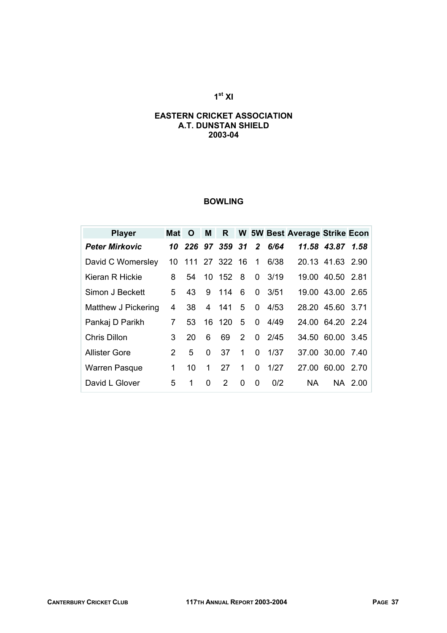## **1st XI**

#### **EASTERN CRICKET ASSOCIATION A.T. DUNSTAN SHIELD 2003-04**

### **BOWLING**

| <b>Player</b>         | Mat | <b>O</b> | M              | $\mathsf{R}$     |   |                |               | W 5W Best Average Strike Econ |                  |         |
|-----------------------|-----|----------|----------------|------------------|---|----------------|---------------|-------------------------------|------------------|---------|
| <b>Peter Mirkovic</b> |     |          |                | 10 226 97 359 31 |   | $\overline{2}$ | 6/64          |                               | 11.58 43.87      | 1.58    |
| David C Womersley     | 10  |          |                | 111 27 322 16    |   | 1              | 6/38          |                               | 20.13 41.63 2.90 |         |
| Kieran R Hickie       | 8   | 54       |                | 10 152 8         |   | 0              | 3/19          |                               | 19.00 40.50 2.81 |         |
| Simon J Beckett       | 5   | 43       | 9              | 114              | 6 | 0              | 3/51          |                               | 19.00 43.00 2.65 |         |
| Matthew J Pickering   | 4   | 38       | $\overline{4}$ | 141              | 5 | 0              | 4/53          |                               | 28.20 45.60 3.71 |         |
| Pankaj D Parikh       | 7   | 53       |                | 16 120           | 5 | $\mathbf{0}$   | 4/49          |                               | 24.00 64.20 2.24 |         |
| <b>Chris Dillon</b>   | 3   | 20       | 6              | 69               | 2 |                | $0\quad 2/45$ |                               | 34.50 60.00 3.45 |         |
| <b>Allister Gore</b>  | 2   | 5        | 0              | 37               | 1 | 0              | 1/37          |                               | 37.00 30.00 7.40 |         |
| <b>Warren Pasque</b>  | 1   | 10       | 1              | 27               | 1 | 0              | 1/27          | 27.00                         | 60.00            | 2.70    |
| David L Glover        | 5   | 1        | 0              | $\mathcal{P}$    | 0 | 0              | 0/2           | NA.                           |                  | NA 2.00 |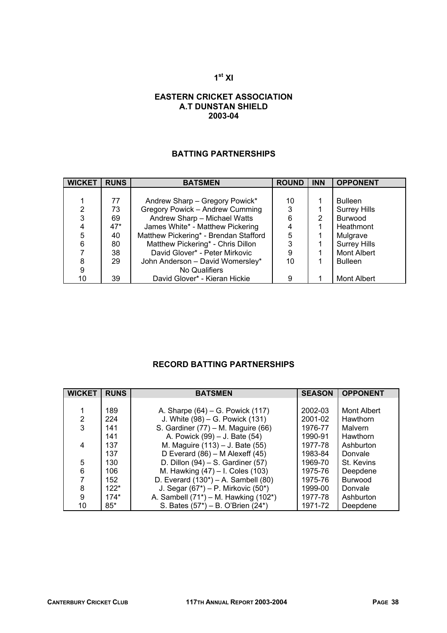#### **1st XI**

#### **EASTERN CRICKET ASSOCIATION A.T DUNSTAN SHIELD 2003-04**

## **BATTING PARTNERSHIPS**

| <b>WICKET</b> | <b>RUNS</b> | <b>BATSMEN</b>                        | <b>ROUND</b> | <b>INN</b> | <b>OPPONENT</b>     |
|---------------|-------------|---------------------------------------|--------------|------------|---------------------|
|               |             |                                       |              |            |                     |
|               | 77          | Andrew Sharp - Gregory Powick*        | 10           |            | <b>Bulleen</b>      |
| 2             | 73          | Gregory Powick - Andrew Cumming       | 3            |            | <b>Surrey Hills</b> |
| 3             | 69          | Andrew Sharp - Michael Watts          | 6            | 2          | <b>Burwood</b>      |
|               | $47*$       | James White* - Matthew Pickering      |              |            | Heathmont           |
| 5             | 40          | Matthew Pickering* - Brendan Stafford | 5            |            | Mulgrave            |
| 6             | 80          | Matthew Pickering* - Chris Dillon     | 3            |            | <b>Surrey Hills</b> |
|               | 38          | David Glover* - Peter Mirkovic        | 9            |            | <b>Mont Albert</b>  |
| 8             | 29          | John Anderson - David Womersley*      | 10           |            | <b>Bulleen</b>      |
| 9             |             | No Qualifiers                         |              |            |                     |
| 10            | 39          | David Glover* - Kieran Hickie         | 9            |            | Mont Albert         |

### **RECORD BATTING PARTNERSHIPS**

| <b>WICKET</b>  | <b>RUNS</b> | <b>BATSMEN</b>                             | <b>SEASON</b> | <b>OPPONENT</b> |
|----------------|-------------|--------------------------------------------|---------------|-----------------|
|                |             |                                            |               |                 |
|                | 189         | A. Sharpe (64) – G. Powick (117)           | 2002-03       | Mont Albert     |
| $\overline{2}$ | 224         | J. White (98) – G. Powick (131)            | 2001-02       | Hawthorn        |
| 3              | 141         | S. Gardiner (77) – M. Maguire (66)         | 1976-77       | Malvern         |
|                | 141         | A. Powick (99) – J. Bate (54)              | 1990-91       | Hawthorn        |
| 4              | 137         | M. Maguire (113) – J. Bate (55)            | 1977-78       | Ashburton       |
|                | 137         | D Everard $(86)$ – M Alexeff $(45)$        | 1983-84       | Donvale         |
| 5              | 130         | D. Dillon $(94)$ – S. Gardiner $(57)$      | 1969-70       | St. Kevins      |
| 6              | 106         | M. Hawking (47) - I. Coles (103)           | 1975-76       | Deepdene        |
| $\overline{7}$ | 152         | D. Everard $(130^*)$ – A. Sambell $(80)$   | 1975-76       | <b>Burwood</b>  |
| 8              | $122*$      | J. Segar $(67^*)$ – P. Mirkovic $(50^*)$   | 1999-00       | Donvale         |
| 9              | $174*$      | A. Sambell $(71^*)$ – M. Hawking $(102^*)$ | 1977-78       | Ashburton       |
| 10             | $85*$       | S. Bates (57*) – B. O'Brien (24*)          | 1971-72       | Deepdene        |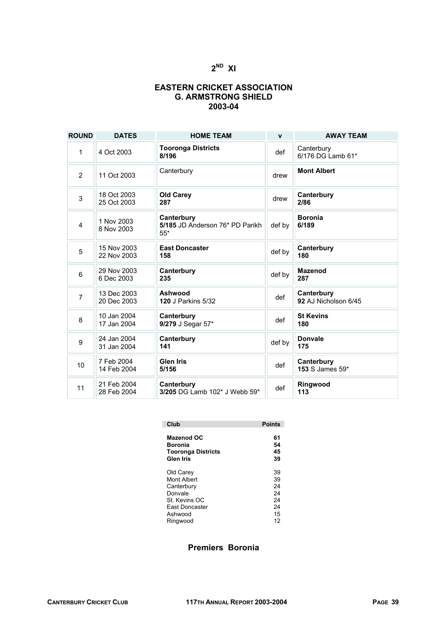#### **EASTERN CRICKET ASSOCIATION G. ARMSTRONG SHIELD 2003-04**

| <b>ROUND</b>     | <b>DATES</b>               | <b>HOME TEAM</b>                                       | $\mathbf{v}$ | <b>AWAY TEAM</b>                   |
|------------------|----------------------------|--------------------------------------------------------|--------------|------------------------------------|
| 1                | 4 Oct 2003                 | <b>Tooronga Districts</b><br>8/196                     | def          | Canterbury<br>6/176 DG Lamb 61*    |
| $\overline{2}$   | 11 Oct 2003                | Canterbury                                             | drew         | <b>Mont Albert</b>                 |
| 3                | 18 Oct 2003<br>25 Oct 2003 | <b>Old Carey</b><br>287                                | drew         | Canterbury<br>2/86                 |
| 4                | 1 Nov 2003<br>8 Nov 2003   | Canterbury<br>5/185 JD Anderson 76* PD Parikh<br>$55*$ | def by       | <b>Boronia</b><br>6/189            |
| 5                | 15 Nov 2003<br>22 Nov 2003 | <b>East Doncaster</b><br>158                           | def by       | Canterbury<br>180                  |
| 6                | 29 Nov 2003<br>6 Dec 2003  | Canterbury<br>235                                      | def by       | <b>Mazenod</b><br>287              |
| $\overline{7}$   | 13 Dec 2003<br>20 Dec 2003 | Ashwood<br><b>120 J Parkins 5/32</b>                   | def          | Canterbury<br>92 AJ Nicholson 6/45 |
| 8                | 10 Jan 2004<br>17 Jan 2004 | Canterbury<br>9/279 J Segar 57*                        | def          | <b>St Kevins</b><br>180            |
| $\boldsymbol{9}$ | 24 Jan 2004<br>31 Jan 2004 | Canterbury<br>141                                      | def by       | <b>Donvale</b><br>175              |
| 10               | 7 Feb 2004<br>14 Feb 2004  | <b>Glen Iris</b><br>5/156                              | def          | Canterbury<br>153 S James 59*      |
| 11               | 21 Feb 2004<br>28 Feb 2004 | Canterbury<br>3/205 DG Lamb 102* J Webb 59*            | def          | Ringwood<br>113                    |

| Club                      | <b>Points</b> |
|---------------------------|---------------|
| <b>Mazenod OC</b>         | 61            |
| Boronia                   | 54            |
| <b>Tooronga Districts</b> | 45            |
| Glen Iris                 | 39            |
| Old Carey                 | 39            |
| Mont Albert               | 39            |
| Canterbury                | 24            |
| Donvale                   | 24            |
| St. Kevins OC             | 24            |
| <b>Fast Doncaster</b>     | 24            |
| Ashwood                   | 15            |
| Ringwood                  | 12            |

#### **Premiers Boronia**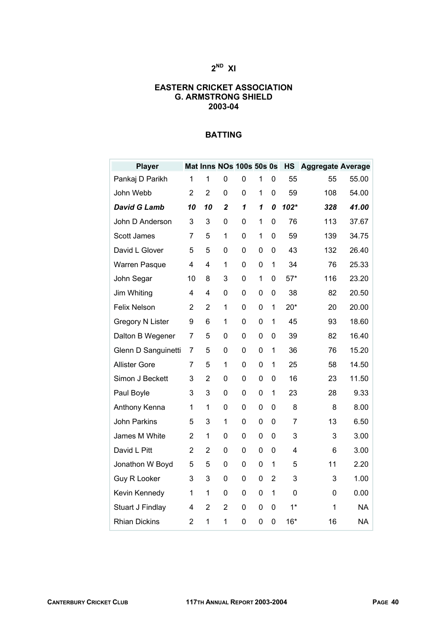#### **EASTERN CRICKET ASSOCIATION G. ARMSTRONG SHIELD 2003-04**

| <b>Player</b>        |                |                |                  | Mat Inns NOs 100s 50s 0s |             |                | <b>HS</b> | <b>Aggregate Average</b> |           |
|----------------------|----------------|----------------|------------------|--------------------------|-------------|----------------|-----------|--------------------------|-----------|
| Pankaj D Parikh      | 1              | 1              | 0                | 0                        | 1           | 0              | 55        | 55                       | 55.00     |
| John Webb            | 2              | $\overline{2}$ | 0                | 0                        | 1           | 0              | 59        | 108                      | 54.00     |
| <b>David G Lamb</b>  | 10             | 10             | $\boldsymbol{2}$ | 1                        | 1           | 0              | $102*$    | 328                      | 41.00     |
| John D Anderson      | 3              | 3              | 0                | 0                        | 1           | 0              | 76        | 113                      | 37.67     |
| Scott James          | 7              | 5              | 1                | $\mathbf 0$              | 1           | 0              | 59        | 139                      | 34.75     |
| David L Glover       | 5              | 5              | 0                | 0                        | 0           | 0              | 43        | 132                      | 26.40     |
| <b>Warren Pasque</b> | 4              | 4              | 1                | $\mathbf 0$              | 0           | 1              | 34        | 76                       | 25.33     |
| John Segar           | 10             | 8              | 3                | $\mathbf 0$              | 1           | 0              | $57*$     | 116                      | 23.20     |
| Jim Whiting          | 4              | 4              | 0                | $\mathbf 0$              | 0           | 0              | 38        | 82                       | 20.50     |
| Felix Nelson         | $\overline{2}$ | $\overline{2}$ | 1                | 0                        | 0           | 1              | $20*$     | 20                       | 20.00     |
| Gregory N Lister     | 9              | 6              | 1                | $\mathbf 0$              | 0           | 1              | 45        | 93                       | 18.60     |
| Dalton B Wegener     | 7              | 5              | 0                | $\mathbf 0$              | 0           | 0              | 39        | 82                       | 16.40     |
| Glenn D Sanguinetti  | 7              | 5              | 0                | 0                        | 0           | 1              | 36        | 76                       | 15.20     |
| <b>Allister Gore</b> | 7              | 5              | 1                | 0                        | 0           | 1              | 25        | 58                       | 14.50     |
| Simon J Beckett      | 3              | 2              | 0                | 0                        | $\mathbf 0$ | 0              | 16        | 23                       | 11.50     |
| Paul Boyle           | 3              | 3              | 0                | 0                        | 0           | 1              | 23        | 28                       | 9.33      |
| Anthony Kenna        | 1              | 1              | 0                | 0                        | 0           | 0              | 8         | 8                        | 8.00      |
| John Parkins         | 5              | 3              | 1                | $\mathbf 0$              | 0           | $\mathbf 0$    | 7         | 13                       | 6.50      |
| James M White        | $\overline{2}$ | 1              | 0                | 0                        | 0           | 0              | 3         | 3                        | 3.00      |
| David L Pitt         | $\overline{2}$ | $\overline{2}$ | 0                | 0                        | 0           | 0              | 4         | 6                        | 3.00      |
| Jonathon W Boyd      | 5              | 5              | 0                | 0                        | 0           | 1              | 5         | 11                       | 2.20      |
| Guy R Looker         | 3              | 3              | 0                | $\mathbf 0$              | 0           | $\overline{2}$ | 3         | 3                        | 1.00      |
| Kevin Kennedy        | 1              | 1              | 0                | 0                        | 0           | 1              | 0         | 0                        | 0.00      |
| Stuart J Findlay     | 4              | $\overline{2}$ | $\overline{2}$   | $\mathbf 0$              | $\mathbf 0$ | 0              | $1*$      | 1                        | <b>NA</b> |
| <b>Rhian Dickins</b> | $\overline{2}$ | 1              | 1                | 0                        | $\mathbf 0$ | 0              | $16*$     | 16                       | <b>NA</b> |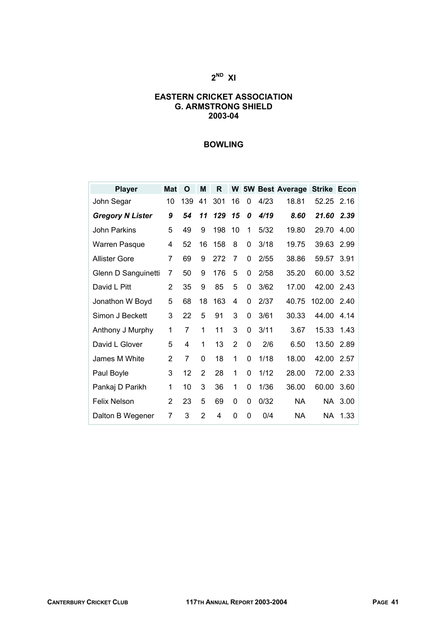#### **EASTERN CRICKET ASSOCIATION G. ARMSTRONG SHIELD 2003-04**

#### **BOWLING**

| <b>Player</b>           | <b>Mat</b>     | O   | M              | R   |    |   |      | W 5W Best Average | <b>Strike</b> | Econ |
|-------------------------|----------------|-----|----------------|-----|----|---|------|-------------------|---------------|------|
| John Segar              | 10             | 139 | 41             | 301 | 16 | 0 | 4/23 | 18.81             | 52.25         | 2.16 |
| <b>Gregory N Lister</b> | 9              | 54  | 11             | 129 | 15 | 0 | 4/19 | 8.60              | 21.60         | 2.39 |
| John Parkins            | 5              | 49  | 9              | 198 | 10 | 1 | 5/32 | 19.80             | 29.70         | 4.00 |
| <b>Warren Pasque</b>    | 4              | 52  | 16             | 158 | 8  | 0 | 3/18 | 19.75             | 39.63         | 2.99 |
| Allister Gore           | 7              | 69  | 9              | 272 | 7  | 0 | 2/55 | 38.86             | 59.57         | 3.91 |
| Glenn D Sanguinetti     | 7              | 50  | 9              | 176 | 5  | 0 | 2/58 | 35.20             | 60.00         | 3.52 |
| David L Pitt            | $\overline{2}$ | 35  | 9              | 85  | 5  | 0 | 3/62 | 17.00             | 42.00         | 2.43 |
| Jonathon W Boyd         | 5              | 68  | 18             | 163 | 4  | 0 | 2/37 | 40.75             | 102.00        | 2.40 |
| Simon J Beckett         | 3              | 22  | 5              | 91  | 3  | 0 | 3/61 | 30.33             | 44.00         | 4.14 |
| Anthony J Murphy        | 1              | 7   | 1              | 11  | 3  | 0 | 3/11 | 3.67              | 15.33         | 1.43 |
| David L Glover          | 5              | 4   | 1              | 13  | 2  | 0 | 2/6  | 6.50              | 13.50         | 2.89 |
| James M White           | 2              | 7   | $\Omega$       | 18  | 1  | 0 | 1/18 | 18.00             | 42.00         | 2.57 |
| Paul Boyle              | 3              | 12  | 2              | 28  | 1  | 0 | 1/12 | 28.00             | 72.00         | 2.33 |
| Pankaj D Parikh         | 1              | 10  | 3              | 36  | 1  | 0 | 1/36 | 36.00             | 60.00         | 3.60 |
| <b>Felix Nelson</b>     | $\overline{2}$ | 23  | 5              | 69  | 0  | 0 | 0/32 | <b>NA</b>         | NA.           | 3.00 |
| Dalton B Wegener        | 7              | 3   | $\overline{2}$ | 4   | 0  | 0 | 0/4  | <b>NA</b>         | NA.           | 1.33 |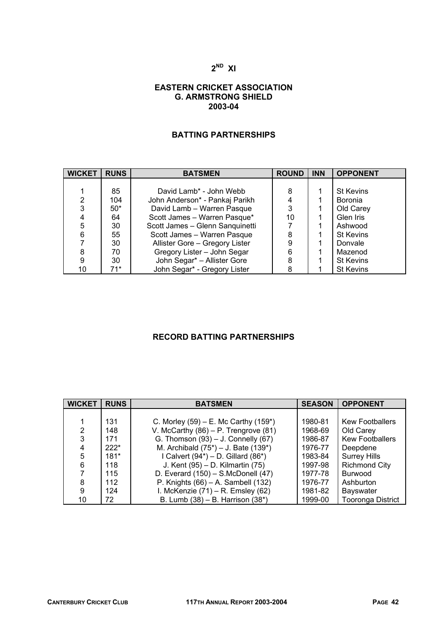#### **EASTERN CRICKET ASSOCIATION G. ARMSTRONG SHIELD 2003-04**

## **BATTING PARTNERSHIPS**

| <b>WICKET</b> | <b>RUNS</b> | <b>BATSMEN</b>                  | <b>ROUND</b> | <b>INN</b> | <b>OPPONENT</b>  |
|---------------|-------------|---------------------------------|--------------|------------|------------------|
|               |             |                                 |              |            |                  |
|               | 85          | David Lamb* - John Webb         | 8            |            | <b>St Kevins</b> |
| 2             | 104         | John Anderson* - Pankaj Parikh  |              |            | <b>Boronia</b>   |
| 3             | $50*$       | David Lamb - Warren Pasque      | 3            |            | Old Carey        |
|               | 64          | Scott James - Warren Pasque*    | 10           |            | Glen Iris        |
| 5             | 30          | Scott James - Glenn Sanguinetti |              |            | Ashwood          |
| 6             | 55          | Scott James - Warren Pasque     | 8            |            | <b>St Kevins</b> |
|               | 30          | Allister Gore - Gregory Lister  | 9            |            | Donvale          |
| 8             | 70          | Gregory Lister - John Segar     | 6            |            | Mazenod          |
| 9             | 30          | John Segar* - Allister Gore     | 8            |            | <b>St Kevins</b> |
| 10            | $71*$       | John Segar* - Gregory Lister    |              |            | <b>St Kevins</b> |

### **RECORD BATTING PARTNERSHIPS**

| <b>WICKET</b>  | <b>RUNS</b> | <b>BATSMEN</b>                            | <b>SEASON</b> | <b>OPPONENT</b>          |
|----------------|-------------|-------------------------------------------|---------------|--------------------------|
|                |             |                                           |               |                          |
|                | 131         | C. Morley $(59)$ – E. Mc Carthy $(159^*)$ | 1980-81       | <b>Kew Footballers</b>   |
| $\overline{2}$ | 148         | V. McCarthy $(86)$ – P. Trengrove $(81)$  | 1968-69       | Old Carey                |
| 3              | 171         | G. Thomson (93) - J. Connelly (67)        | 1986-87       | <b>Kew Footballers</b>   |
| 4              | $222*$      | M. Archibald (75*) - J. Bate (139*)       | 1976-77       | Deepdene                 |
| 5              | $181*$      | I Calvert $(94^*)$ – D. Gillard $(86^*)$  | 1983-84       | <b>Surrey Hills</b>      |
| 6              | 118         | J. Kent (95) - D. Kilmartin (75)          | 1997-98       | <b>Richmond City</b>     |
| 7              | 115         | D. Everard $(150)$ – S.McDonell $(47)$    | 1977-78       | <b>Burwood</b>           |
| 8              | 112         | P. Knights $(66)$ – A. Sambell $(132)$    | 1976-77       | Ashburton                |
| 9              | 124         | I. McKenzie $(71)$ – R. Emsley $(62)$     | 1981-82       | Bayswater                |
| 10             | 72          | B. Lumb (38) - B. Harrison (38*)          | 1999-00       | <b>Tooronga District</b> |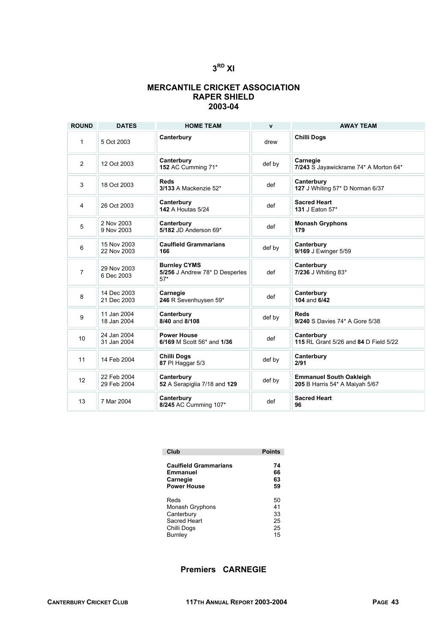#### **MERCANTILE CRICKET ASSOCIATION RAPER SHIELD 2003-04**

| <b>ROUND</b>   | <b>DATES</b>               | <b>HOME TEAM</b>                                               | $\mathbf{v}$ | <b>AWAY TEAM</b>                                                 |
|----------------|----------------------------|----------------------------------------------------------------|--------------|------------------------------------------------------------------|
| 1              | 5 Oct 2003                 | Canterbury                                                     | drew         | <b>Chilli Dogs</b>                                               |
| 2              | 12 Oct 2003                | Canterbury<br>152 AC Cumming 71*                               | def by       | Carnegie<br>7/243 S Jayawickrame 74* A Morton 64*                |
| 3              | 18 Oct 2003                | <b>Reds</b><br>3/133 A Mackenzie 52*                           | def          | Canterbury<br>127 J Whiting 57* D Norman 6/37                    |
| 4              | 26 Oct 2003                | Canterbury<br><b>142 A Houtas 5/24</b>                         | def          | <b>Sacred Heart</b><br>131 J Eaton 57*                           |
| 5              | 2 Nov 2003<br>9 Nov 2003   | Canterbury<br>5/182 JD Anderson 69*                            | def          | <b>Monash Gryphons</b><br>179                                    |
| 6              | 15 Nov 2003<br>22 Nov 2003 | <b>Caulfield Grammarians</b><br>166                            | def by       | Canterbury<br>9/169 J Ewinger 5/59                               |
| $\overline{7}$ | 29 Nov 2003<br>6 Dec 2003  | <b>Burnley CYMS</b><br>5/256 J Andrew 78* D Desperles<br>$57*$ | def          | Canterbury<br>7/236 J Whiting 83*                                |
| 8              | 14 Dec 2003<br>21 Dec 2003 | Carnegie<br>246 R Sevenhuysen 59*                              | def          | Canterbury<br>104 and 6/42                                       |
| 9              | 11 Jan 2004<br>18 Jan 2004 | Canterbury<br>8/40 and 8/108                                   | def by       | <b>Reds</b><br>9/240 S Davies 74* A Gore 5/38                    |
| 10             | 24 Jan 2004<br>31 Jan 2004 | <b>Power House</b><br>6/169 M Scott 56* and 1/36               | def          | Canterbury<br>115 RL Grant 5/26 and 84 D Field 5/22              |
| 11             | 14 Feb 2004                | <b>Chilli Dogs</b><br>87 PI Haggar 5/3                         | def by       | Canterbury<br>2/91                                               |
| 12             | 22 Feb 2004<br>29 Feb 2004 | Canterbury<br>52 A Serapiglia 7/18 and 129                     | def by       | <b>Emmanuel South Oakleigh</b><br>205 B Harris 54* A Maiyah 5/67 |
| 13             | 7 Mar 2004                 | Canterbury<br>8/245 AC Cumming 107*                            | def          | <b>Sacred Heart</b><br>96                                        |

| Club                         | <b>Points</b> |
|------------------------------|---------------|
| <b>Caulfield Grammarians</b> | 74            |
| Emmanuel                     | 66            |
| Carnegie                     | 63            |
| <b>Power House</b>           | 59            |
| Reds                         | 50            |
| Monash Gryphons              | 41            |
| Canterbury                   | 33            |
| Sacred Heart                 | 25            |
| Chilli Dogs                  | 25            |
| Burnley                      | 15            |

## **Premiers CARNEGIE**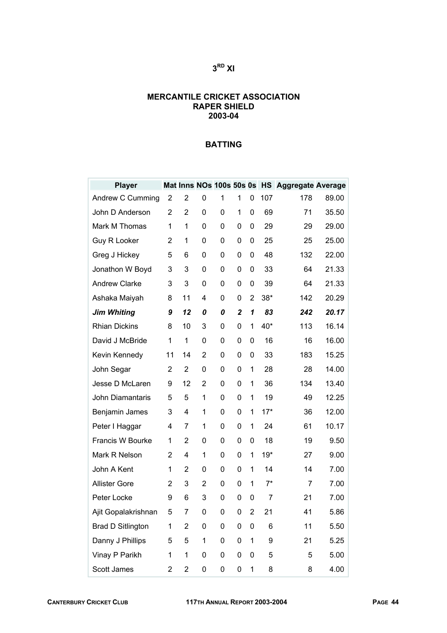#### **MERCANTILE CRICKET ASSOCIATION RAPER SHIELD 2003-04**

| <b>Player</b>            |                |                |   |   |                  |   |       | Mat Inns NOs 100s 50s 0s HS Aggregate Average |       |
|--------------------------|----------------|----------------|---|---|------------------|---|-------|-----------------------------------------------|-------|
| Andrew C Cumming         | $\overline{2}$ | 2              | 0 | 1 | 1                | 0 | 107   | 178                                           | 89.00 |
| John D Anderson          | 2              | 2              | 0 | 0 | 1                | 0 | 69    | 71                                            | 35.50 |
| Mark M Thomas            | 1              | 1              | 0 | 0 | 0                | 0 | 29    | 29                                            | 29.00 |
| Guy R Looker             | $\overline{2}$ | 1              | 0 | 0 | 0                | 0 | 25    | 25                                            | 25.00 |
| Greg J Hickey            | 5              | 6              | 0 | 0 | 0                | 0 | 48    | 132                                           | 22.00 |
| Jonathon W Boyd          | 3              | 3              | 0 | 0 | 0                | 0 | 33    | 64                                            | 21.33 |
| <b>Andrew Clarke</b>     | 3              | 3              | 0 | 0 | 0                | 0 | 39    | 64                                            | 21.33 |
| Ashaka Maiyah            | 8              | 11             | 4 | 0 | 0                | 2 | $38*$ | 142                                           | 20.29 |
| <b>Jim Whiting</b>       | 9              | 12             | 0 | 0 | $\boldsymbol{2}$ | 1 | 83    | 242                                           | 20.17 |
| <b>Rhian Dickins</b>     | 8              | 10             | 3 | 0 | 0                | 1 | 40*   | 113                                           | 16.14 |
| David J McBride          | 1              | 1              | 0 | 0 | 0                | 0 | 16    | 16                                            | 16.00 |
| Kevin Kennedy            | 11             | 14             | 2 | 0 | 0                | 0 | 33    | 183                                           | 15.25 |
| John Segar               | 2              | 2              | 0 | 0 | 0                | 1 | 28    | 28                                            | 14.00 |
| Jesse D McLaren          | 9              | 12             | 2 | 0 | 0                | 1 | 36    | 134                                           | 13.40 |
| John Diamantaris         | 5              | 5              | 1 | 0 | 0                | 1 | 19    | 49                                            | 12.25 |
| Benjamin James           | 3              | 4              | 1 | 0 | 0                | 1 | $17*$ | 36                                            | 12.00 |
| Peter I Haggar           | 4              | 7              | 1 | 0 | 0                | 1 | 24    | 61                                            | 10.17 |
| Francis W Bourke         | 1              | 2              | 0 | 0 | 0                | 0 | 18    | 19                                            | 9.50  |
| Mark R Nelson            | 2              | 4              | 1 | 0 | 0                | 1 | $19*$ | 27                                            | 9.00  |
| John A Kent              | 1              | $\overline{2}$ | 0 | 0 | 0                | 1 | 14    | 14                                            | 7.00  |
| <b>Allister Gore</b>     | 2              | 3              | 2 | 0 | 0                | 1 | $7^*$ | $\overline{7}$                                | 7.00  |
| Peter Locke              | 9              | 6              | 3 | 0 | 0                | 0 | 7     | 21                                            | 7.00  |
| Ajit Gopalakrishnan      | 5              | 7              | 0 | 0 | 0                | 2 | 21    | 41                                            | 5.86  |
| <b>Brad D Sitlington</b> | 1              | 2              | 0 | 0 | 0                | 0 | 6     | 11                                            | 5.50  |
| Danny J Phillips         | 5              | 5              | 1 | 0 | 0                | 1 | 9     | 21                                            | 5.25  |
| Vinay P Parikh           | 1              | 1              | 0 | 0 | 0                | 0 | 5     | 5                                             | 5.00  |
| Scott James              | $\overline{2}$ | $\overline{c}$ | 0 | 0 | 0                | 1 | 8     | 8                                             | 4.00  |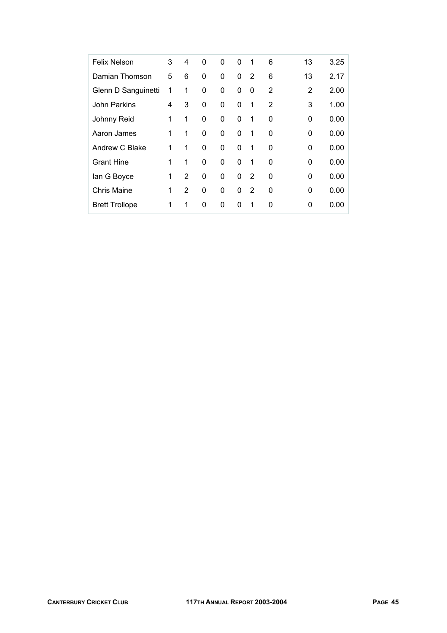| <b>Felix Nelson</b>   | 3 | 4 | 0 | 0 | $\mathbf{0}$ | 1 | 6            | 13       | 3.25 |
|-----------------------|---|---|---|---|--------------|---|--------------|----------|------|
| Damian Thomson        | 5 | 6 | 0 | 0 | $\Omega$     | 2 | 6            | 13       | 2.17 |
| Glenn D Sanguinetti   | 1 | 1 | 0 | 0 | 0            | 0 | 2            | 2        | 2.00 |
| John Parkins          | 4 | 3 | 0 | 0 | 0            | 1 | 2            | 3        | 1.00 |
| Johnny Reid           | 1 | 1 | 0 | 0 | $\Omega$     | 1 | $\mathbf{0}$ | $\Omega$ | 0.00 |
| Aaron James           | 1 | 1 | 0 | 0 | 0            | 1 | 0            | 0        | 0.00 |
| Andrew C Blake        | 1 | 1 | 0 | 0 | 0            | 1 | $\mathbf{0}$ | 0        | 0.00 |
| <b>Grant Hine</b>     | 1 | 1 | 0 | 0 | $\Omega$     | 1 | $\Omega$     | 0        | 0.00 |
| lan G Boyce           | 1 | 2 | 0 | 0 | $\Omega$     | 2 | 0            | 0        | 0.00 |
| <b>Chris Maine</b>    | 1 | 2 | 0 | 0 | $\Omega$     | 2 | 0            | 0        | 0.00 |
| <b>Brett Trollope</b> | 1 | 1 | 0 | 0 | 0            | 1 | 0            | 0        | 0.00 |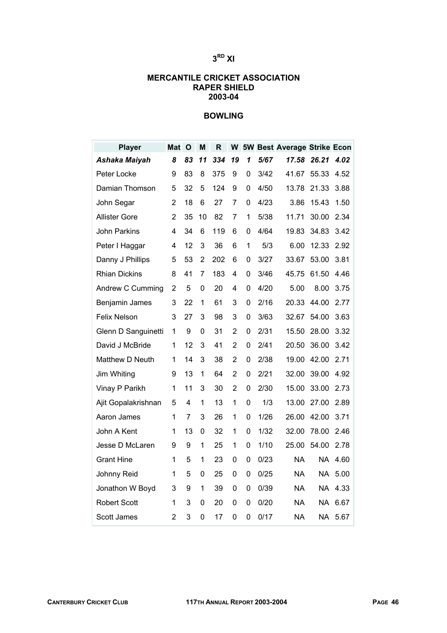#### **MERCANTILE CRICKET ASSOCIATION RAPER SHIELD 2003-04**

## **BOWLING**

| <b>Player</b>        | Mat            | $\mathbf 0$ | Μ  | R   |                |   |      | W 5W Best Average Strike Econ |       |      |
|----------------------|----------------|-------------|----|-----|----------------|---|------|-------------------------------|-------|------|
| Ashaka Maiyah        | 8              | 83          | 11 | 334 | 19             | 1 | 5/67 | 17.58                         | 26.21 | 4.02 |
| Peter Locke          | 9              | 83          | 8  | 375 | 9              | 0 | 3/42 | 41.67                         | 55.33 | 4.52 |
| Damian Thomson       | 5              | 32          | 5  | 124 | 9              | 0 | 4/50 | 13.78                         | 21.33 | 3.88 |
| John Segar           | 2              | 18          | 6  | 27  | 7              | 0 | 4/23 | 3.86                          | 15.43 | 1.50 |
| <b>Allister Gore</b> | 2              | 35          | 10 | 82  | 7              | 1 | 5/38 | 11.71                         | 30.00 | 2.34 |
| John Parkins         | 4              | 34          | 6  | 119 | 6              | 0 | 4/64 | 19.83                         | 34.83 | 3.42 |
| Peter I Haggar       | 4              | 12          | 3  | 36  | 6              | 1 | 5/3  | 6.00                          | 12.33 | 2.92 |
| Danny J Phillips     | 5              | 53          | 2  | 202 | 6              | 0 | 3/27 | 33.67                         | 53.00 | 3.81 |
| <b>Rhian Dickins</b> | 8              | 41          | 7  | 183 | 4              | 0 | 3/46 | 45.75                         | 61.50 | 4.46 |
| Andrew C Cumming     | 2              | 5           | 0  | 20  | 4              | 0 | 4/20 | 5.00                          | 8.00  | 3.75 |
| Benjamin James       | 3              | 22          | 1  | 61  | 3              | 0 | 2/16 | 20.33                         | 44.00 | 2.77 |
| <b>Felix Nelson</b>  | 3              | 27          | 3  | 98  | 3              | 0 | 3/63 | 32.67                         | 54.00 | 3.63 |
| Glenn D Sanguinetti  | 1              | 9           | 0  | 31  | 2              | 0 | 2/31 | 15.50                         | 28.00 | 3.32 |
| David J McBride      | 1              | 12          | 3  | 41  | 2              | 0 | 2/41 | 20.50                         | 36.00 | 3.42 |
| Matthew D Neuth      | 1              | 14          | 3  | 38  | 2              | 0 | 2/38 | 19.00                         | 42.00 | 2.71 |
| Jim Whiting          | 9              | 13          | 1  | 64  | $\overline{2}$ | 0 | 2/21 | 32.00                         | 39.00 | 4.92 |
| Vinay P Parikh       | 1              | 11          | 3  | 30  | $\overline{2}$ | 0 | 2/30 | 15.00                         | 33.00 | 2.73 |
| Ajit Gopalakrishnan  | 5              | 4           | 1  | 13  | 1              | 0 | 1/3  | 13.00                         | 27.00 | 2.89 |
| Aaron James          | 1              | 7           | 3  | 26  | 1              | 0 | 1/26 | 26.00                         | 42.00 | 3.71 |
| John A Kent          | 1              | 13          | 0  | 32  | 1              | 0 | 1/32 | 32.00                         | 78.00 | 2.46 |
| Jesse D McLaren      | 9              | 9           | 1  | 25  | 1              | 0 | 1/10 | 25.00                         | 54.00 | 2.78 |
| <b>Grant Hine</b>    | 1              | 5           | 1  | 23  | 0              | 0 | 0/23 | <b>NA</b>                     | NA    | 4.60 |
| Johnny Reid          | 1              | 5           | 0  | 25  | 0              | 0 | 0/25 | <b>NA</b>                     | NA.   | 5.00 |
| Jonathon W Boyd      | 3              | 9           | 1  | 39  | 0              | 0 | 0/39 | <b>NA</b>                     | NA    | 4.33 |
| <b>Robert Scott</b>  | 1              | 3           | 0  | 20  | 0              | 0 | 0/20 | ΝA                            | NA.   | 6.67 |
| Scott James          | $\overline{2}$ | 3           | 0  | 17  | 0              | 0 | 0/17 | <b>NA</b>                     | NA    | 5.67 |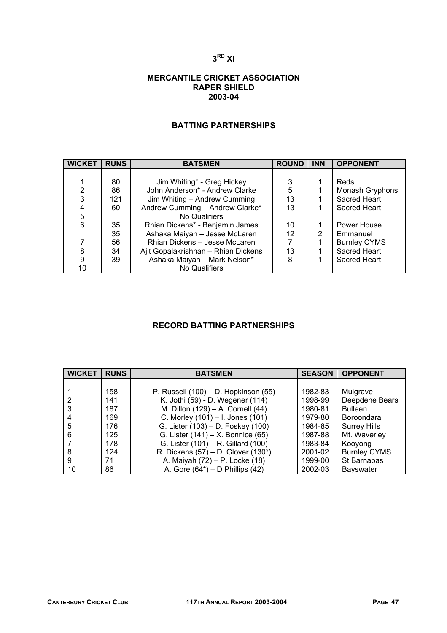#### **MERCANTILE CRICKET ASSOCIATION RAPER SHIELD 2003-04**

#### **BATTING PARTNERSHIPS**

| <b>WICKET</b> | <b>RUNS</b> | <b>BATSMEN</b>                      | <b>ROUND</b> | <b>INN</b>    | <b>OPPONENT</b>     |
|---------------|-------------|-------------------------------------|--------------|---------------|---------------------|
|               |             |                                     |              |               |                     |
|               | 80          | Jim Whiting* - Greg Hickey          | 3            |               | Reds                |
| 2             | 86          | John Anderson* - Andrew Clarke      | 5            |               | Monash Gryphons     |
| 3             | 121         | Jim Whiting - Andrew Cumming        | 13           |               | Sacred Heart        |
| 4             | 60          | Andrew Cumming - Andrew Clarke*     | 13           |               | Sacred Heart        |
| 5             |             | No Qualifiers                       |              |               |                     |
| 6             | 35          | Rhian Dickens* - Benjamin James     | 10           |               | Power House         |
|               | 35          | Ashaka Maiyah - Jesse McLaren       | 12           | $\mathcal{P}$ | Emmanuel            |
|               | 56          | Rhian Dickens - Jesse McLaren       |              |               | <b>Burnley CYMS</b> |
| 8             | 34          | Ajit Gopalakrishnan - Rhian Dickens | 13           |               | Sacred Heart        |
| 9             | 39          | Ashaka Maiyah - Mark Nelson*        | 8            |               | Sacred Heart        |
| 10            |             | No Qualifiers                       |              |               |                     |

## **RECORD BATTING PARTNERSHIPS**

| <b>WICKET</b> | <b>RUNS</b> | <b>BATSMEN</b>                           | <b>SEASON</b> | <b>OPPONENT</b>     |
|---------------|-------------|------------------------------------------|---------------|---------------------|
|               |             |                                          |               |                     |
|               | 158         | P. Russell $(100)$ – D. Hopkinson $(55)$ | 1982-83       | Mulgrave            |
|               | 141         | K. Jothi (59) - D. Wegener (114)         | 1998-99       | Deepdene Bears      |
|               | 187         | M. Dillon (129) - A. Cornell (44)        | 1980-81       | <b>Bulleen</b>      |
|               | 169         | C. Morley (101) - I. Jones (101)         | 1979-80       | <b>Boroondara</b>   |
| 5             | 176         | G. Lister (103) - D. Foskey (100)        | 1984-85       | <b>Surrey Hills</b> |
| 6             | 125         | G. Lister (141) - X. Bonnice (65)        | 1987-88       | Mt. Waverley        |
|               | 178         | G. Lister (101) - R. Gillard (100)       | 1983-84       | Kooyong             |
| 8             | 124         | R. Dickens (57) – D. Glover (130*)       | 2001-02       | <b>Burnley CYMS</b> |
| 9             | 71          | A. Maiyah (72) – P. Locke (18)           | 1999-00       | St Barnabas         |
| 10            | 86          | A. Gore $(64^*)$ – D Phillips $(42)$     | 2002-03       | Bayswater           |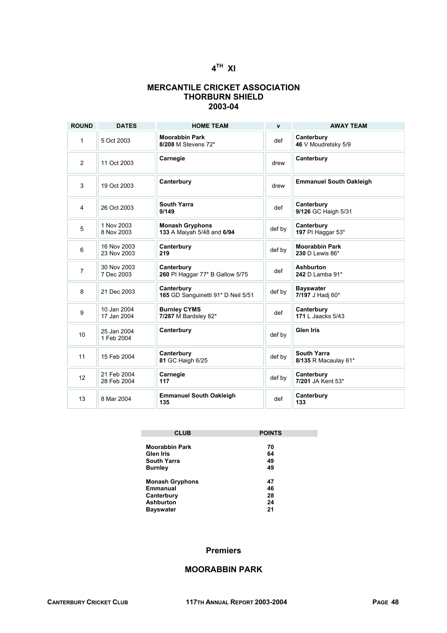## **4TH XI**

#### **MERCANTILE CRICKET ASSOCIATION THORBURN SHIELD 2003-04**

| <b>ROUND</b>   | <b>DATES</b>               | <b>HOME TEAM</b>                                     | $\mathbf{v}$ | <b>AWAY TEAM</b>                           |
|----------------|----------------------------|------------------------------------------------------|--------------|--------------------------------------------|
| 1              | 5 Oct 2003                 | <b>Moorabbin Park</b><br>8/208 M Stevens 72*         | def          | Canterbury<br>46 V Moudretsky 5/9          |
| 2              | 11 Oct 2003                | Carnegie                                             | drew         | Canterbury                                 |
| 3              | 19 Oct 2003                | Canterbury                                           | drew         | <b>Emmanuel South Oakleigh</b>             |
| $\overline{4}$ | 26 Oct 2003                | <b>South Yarra</b><br>9/149                          | def          | Canterbury<br>9/126 GC Haigh 5/31          |
| 5              | 1 Nov 2003<br>8 Nov 2003   | <b>Monash Gryphons</b><br>133 A Maiyah 5/48 and 6/94 | def by       | Canterbury<br>197 PI Haggar 53*            |
| 6              | 16 Nov 2003<br>23 Nov 2003 | Canterbury<br>219                                    | def by       | <b>Moorabbin Park</b><br>230 D Lewis 86*   |
| $\overline{7}$ | 30 Nov 2003<br>7 Dec 2003  | Canterbury<br>260 PI Haggar 77* B Gallow 5/75        | def          | <b>Ashburton</b><br>242 D Lamba 91*        |
| 8              | 21 Dec 2003                | Canterbury<br>165 GD Sanguinetti 91* D Neil 5/51     | def by       | <b>Bayswater</b><br>7/197 J Hadi 60*       |
| 9              | 10 Jan 2004<br>17 Jan 2004 | <b>Burnley CYMS</b><br>7/287 M Bardsley 82*          | def          | Canterbury<br>171 L Jaacks 5/43            |
| 10             | 25 Jan 2004<br>1 Feb 2004  | Canterbury                                           | def by       | <b>Glen Iris</b>                           |
| 11             | 15 Feb 2004                | Canterbury<br>81 GC Haigh 6/25                       | def by       | <b>South Yarra</b><br>8/135 R Macaulay 61* |
| 12             | 21 Feb 2004<br>28 Feb 2004 | Carnegie<br>117                                      | def by       | Canterbury<br>7/201 JA Kent 53*            |
| 13             | 8 Mar 2004                 | <b>Emmanuel South Oakleigh</b><br>135                | def          | Canterbury<br>133                          |

| <b>CLUB</b>            | <b>POINTS</b> |  |  |  |  |
|------------------------|---------------|--|--|--|--|
| <b>Moorabbin Park</b>  | 70            |  |  |  |  |
| Glen Iris              | 64            |  |  |  |  |
| <b>South Yarra</b>     | 49            |  |  |  |  |
| <b>Burnley</b>         | 49            |  |  |  |  |
| <b>Monash Gryphons</b> | 47            |  |  |  |  |
| Emmanual               | 46            |  |  |  |  |
| Canterbury             | 28            |  |  |  |  |
| <b>Ashburton</b>       | 24            |  |  |  |  |
| Bayswater              | 21            |  |  |  |  |

#### **Premiers**

### **MOORABBIN PARK**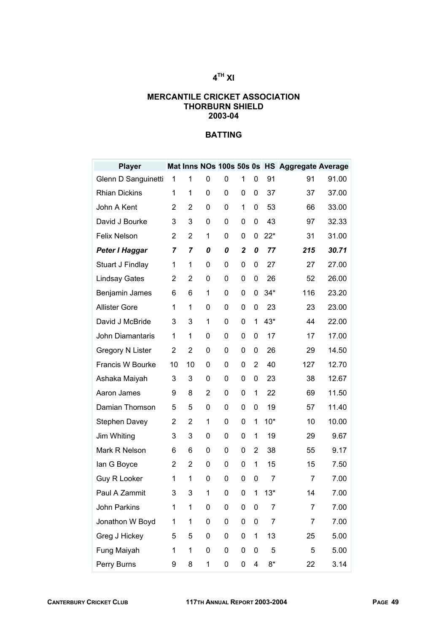## **4TH XI**

#### **MERCANTILE CRICKET ASSOCIATION THORBURN SHIELD 2003-04**

| <b>Player</b>           |    |                |   |   |                  |   |                | Mat Inns NOs 100s 50s 0s HS Aggregate Average |       |
|-------------------------|----|----------------|---|---|------------------|---|----------------|-----------------------------------------------|-------|
| Glenn D Sanguinetti     | 1  | 1              | 0 | 0 | 1                | 0 | 91             | 91                                            | 91.00 |
| <b>Rhian Dickins</b>    | 1  | 1              | 0 | 0 | 0                | 0 | 37             | 37                                            | 37.00 |
| John A Kent             | 2  | $\overline{2}$ | 0 | 0 | 1                | 0 | 53             | 66                                            | 33.00 |
| David J Bourke          | 3  | 3              | 0 | 0 | 0                | 0 | 43             | 97                                            | 32.33 |
| <b>Felix Nelson</b>     | 2  | 2              | 1 | 0 | 0                | 0 | $22*$          | 31                                            | 31.00 |
| Peter I Haggar          | 7  | 7              | 0 | 0 | $\boldsymbol{2}$ | 0 | 77             | 215                                           | 30.71 |
| Stuart J Findlay        | 1  | 1              | 0 | 0 | 0                | 0 | 27             | 27                                            | 27.00 |
| <b>Lindsay Gates</b>    | 2  | $\overline{2}$ | 0 | 0 | 0                | 0 | 26             | 52                                            | 26.00 |
| Benjamin James          | 6  | 6              | 1 | 0 | 0                | 0 | $34*$          | 116                                           | 23.20 |
| <b>Allister Gore</b>    | 1  | 1              | 0 | 0 | 0                | 0 | 23             | 23                                            | 23.00 |
| David J McBride         | 3  | 3              | 1 | 0 | 0                | 1 | 43*            | 44                                            | 22.00 |
| John Diamantaris        | 1  | 1              | 0 | 0 | 0                | 0 | 17             | 17                                            | 17.00 |
| <b>Gregory N Lister</b> | 2  | $\overline{2}$ | 0 | 0 | 0                | 0 | 26             | 29                                            | 14.50 |
| Francis W Bourke        | 10 | 10             | 0 | 0 | 0                | 2 | 40             | 127                                           | 12.70 |
| Ashaka Maiyah           | 3  | 3              | 0 | 0 | 0                | 0 | 23             | 38                                            | 12.67 |
| Aaron James             | 9  | 8              | 2 | 0 | 0                | 1 | 22             | 69                                            | 11.50 |
| Damian Thomson          | 5  | 5              | 0 | 0 | 0                | 0 | 19             | 57                                            | 11.40 |
| <b>Stephen Davey</b>    | 2  | 2              | 1 | 0 | 0                | 1 | $10*$          | 10                                            | 10.00 |
| Jim Whiting             | 3  | 3              | 0 | 0 | 0                | 1 | 19             | 29                                            | 9.67  |
| Mark R Nelson           | 6  | 6              | 0 | 0 | 0                | 2 | 38             | 55                                            | 9.17  |
| lan G Boyce             | 2  | 2              | 0 | 0 | 0                | 1 | 15             | 15                                            | 7.50  |
| Guy R Looker            | 1  | 1              | 0 | 0 | 0                | 0 | $\overline{7}$ | 7                                             | 7.00  |
| Paul A Zammit           | 3  | 3              | 1 | 0 | 0                | 1 | $13*$          | 14                                            | 7.00  |
| John Parkins            | 1  | 1              | 0 | 0 | 0                | 0 | 7              | 7                                             | 7.00  |
| Jonathon W Boyd         | 1  | 1              | 0 | 0 | 0                | 0 | 7              | 7                                             | 7.00  |
| Greg J Hickey           | 5  | 5              | 0 | 0 | 0                | 1 | 13             | 25                                            | 5.00  |
| Fung Maiyah             | 1  | 1              | 0 | 0 | 0                | 0 | 5              | 5                                             | 5.00  |
| Perry Burns             | 9  | 8              | 1 | 0 | 0                | 4 | $8*$           | 22                                            | 3.14  |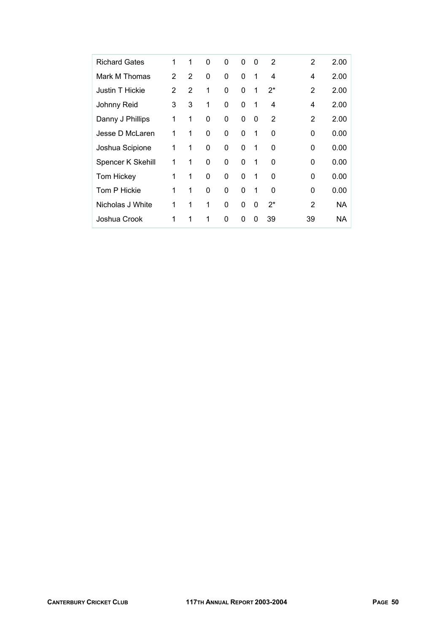| <b>Richard Gates</b> | 1             | 1              | 0            | 0 | $\Omega$ | 0 | 2     | 2        | 2.00      |
|----------------------|---------------|----------------|--------------|---|----------|---|-------|----------|-----------|
| Mark M Thomas        | $\mathcal{P}$ | 2              | 0            | 0 | $\Omega$ | 1 | 4     | 4        | 2.00      |
| Justin T Hickie      | 2             | $\overline{2}$ | 1            | 0 | $\Omega$ | 1 | $2^*$ | 2        | 2.00      |
| Johnny Reid          | 3             | 3              | 1            | 0 | 0        | 1 | 4     | 4        | 2.00      |
| Danny J Phillips     | 1             | 1              | 0            | 0 | 0        | 0 | 2     | 2        | 2.00      |
| Jesse D McLaren      | 1             | 1              | 0            | 0 | $\Omega$ | 1 | 0     | 0        | 0.00      |
| Joshua Scipione      | 1             | 1              | 0            | 0 | $\Omega$ | 1 | 0     | $\Omega$ | 0.00      |
| Spencer K Skehill    | 1             | 1              | 0            | 0 | $\Omega$ | 1 | 0     | 0        | 0.00      |
| Tom Hickey           | 1             | 1              | 0            | 0 | $\Omega$ | 1 | 0     | 0        | 0.00      |
| Tom P Hickie         | 1             | 1              | $\Omega$     | 0 | $\Omega$ | 1 | 0     | 0        | 0.00      |
| Nicholas J White     | 1             | 1              | $\mathbf{1}$ | 0 | $\Omega$ | 0 | $2^*$ | 2        | <b>NA</b> |
| Joshua Crook         | 1             | 1              | 1            | 0 | 0        | 0 | 39    | 39       | ΝA        |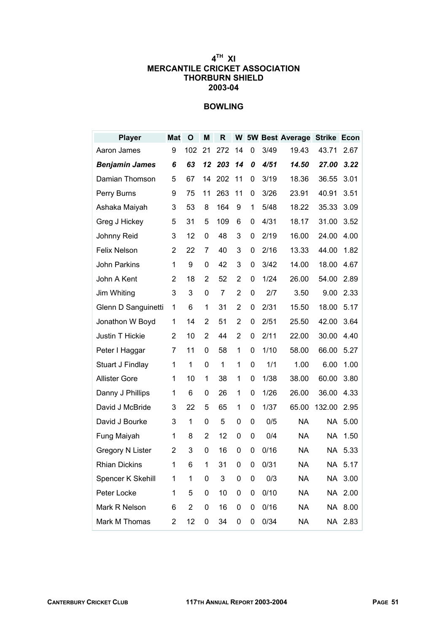## **4TH XI MERCANTILE CRICKET ASSOCIATION THORBURN SHIELD 2003-04**

## **BOWLING**

| <b>Player</b>         | <b>Mat</b>     | $\mathbf{o}$   | M              | R   |                |   |      | W 5W Best Average Strike Econ |           |         |
|-----------------------|----------------|----------------|----------------|-----|----------------|---|------|-------------------------------|-----------|---------|
| Aaron James           | 9              | 102            | 21             | 272 | 14             | 0 | 3/49 | 19.43                         | 43.71     | 2.67    |
| <b>Benjamin James</b> | 6              | 63             | 12             | 203 | 14             | 0 | 4/51 | 14.50                         | 27.00     | 3.22    |
| Damian Thomson        | 5              | 67             | 14             | 202 | 11             | 0 | 3/19 | 18.36                         | 36.55     | 3.01    |
| Perry Burns           | 9              | 75             | 11             | 263 | 11             | 0 | 3/26 | 23.91                         | 40.91     | 3.51    |
| Ashaka Maiyah         | 3              | 53             | 8              | 164 | 9              | 1 | 5/48 | 18.22                         | 35.33     | 3.09    |
| Greg J Hickey         | 5              | 31             | 5              | 109 | 6              | 0 | 4/31 | 18.17                         | 31.00     | 3.52    |
| Johnny Reid           | 3              | 12             | 0              | 48  | 3              | 0 | 2/19 | 16.00                         | 24.00     | 4.00    |
| <b>Felix Nelson</b>   | $\overline{2}$ | 22             | $\overline{7}$ | 40  | 3              | 0 | 2/16 | 13.33                         | 44.00     | 1.82    |
| John Parkins          | 1              | 9              | 0              | 42  | 3              | 0 | 3/42 | 14.00                         | 18.00     | 4.67    |
| John A Kent           | 2              | 18             | 2              | 52  | 2              | 0 | 1/24 | 26.00                         | 54.00     | 2.89    |
| Jim Whiting           | 3              | 3              | 0              | 7   | $\overline{2}$ | 0 | 2/7  | 3.50                          | 9.00      | 2.33    |
| Glenn D Sanguinetti   | 1              | 6              | 1              | 31  | $\overline{2}$ | 0 | 2/31 | 15.50                         | 18.00     | 5.17    |
| Jonathon W Boyd       | 1              | 14             | 2              | 51  | $\overline{2}$ | 0 | 2/51 | 25.50                         | 42.00     | 3.64    |
| Justin T Hickie       | 2              | 10             | $\overline{2}$ | 44  | $\overline{2}$ | 0 | 2/11 | 22.00                         | 30.00     | 4.40    |
| Peter I Haggar        | 7              | 11             | 0              | 58  | 1              | 0 | 1/10 | 58.00                         | 66.00     | 5.27    |
| Stuart J Findlay      | 1              | 1              | 0              | 1   | 1              | 0 | 1/1  | 1.00                          | 6.00      | 1.00    |
| <b>Allister Gore</b>  | 1              | 10             | 1              | 38  | 1              | 0 | 1/38 | 38.00                         | 60.00     | 3.80    |
| Danny J Phillips      | 1              | 6              | 0              | 26  | 1              | 0 | 1/26 | 26.00                         | 36.00     | 4.33    |
| David J McBride       | 3              | 22             | 5              | 65  | 1              | 0 | 1/37 | 65.00                         | 132.00    | 2.95    |
| David J Bourke        | 3              | 1              | 0              | 5   | 0              | 0 | 0/5  | <b>NA</b>                     | NA.       | 5.00    |
| Fung Maiyah           | 1              | 8              | $\overline{2}$ | 12  | 0              | 0 | 0/4  | <b>NA</b>                     | <b>NA</b> | 1.50    |
| Gregory N Lister      | 2              | 3              | 0              | 16  | 0              | 0 | 0/16 | <b>NA</b>                     |           | NA 5.33 |
| <b>Rhian Dickins</b>  | 1              | 6              | 1              | 31  | 0              | 0 | 0/31 | <b>NA</b>                     |           | NA 5.17 |
| Spencer K Skehill     | 1              | 1              | 0              | 3   | 0              | 0 | 0/3  | <b>NA</b>                     |           | NA 3.00 |
| Peter Locke           | 1              | 5              | 0              | 10  | 0              | 0 | 0/10 | <b>NA</b>                     |           | NA 2.00 |
| Mark R Nelson         | 6              | $\overline{2}$ | 0              | 16  | 0              | 0 | 0/16 | <b>NA</b>                     |           | NA 8.00 |
| Mark M Thomas         | 2              | 12             | 0              | 34  | 0              | 0 | 0/34 | <b>NA</b>                     |           | NA 2.83 |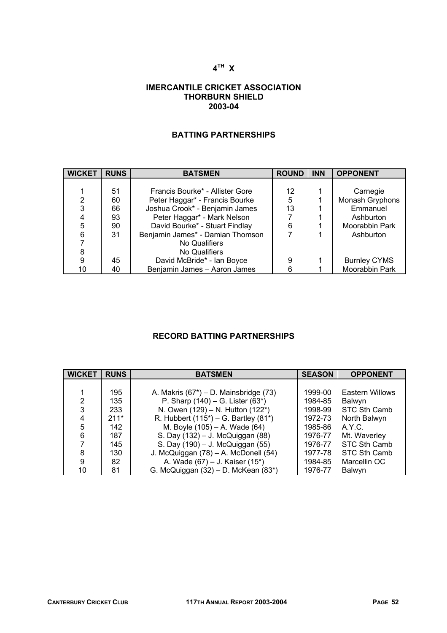## **4TH X**

#### **IMERCANTILE CRICKET ASSOCIATION THORBURN SHIELD 2003-04**

## **BATTING PARTNERSHIPS**

| <b>WICKET</b> | <b>RUNS</b> | <b>BATSMEN</b>                   | <b>ROUND</b> | <b>INN</b> | <b>OPPONENT</b>     |
|---------------|-------------|----------------------------------|--------------|------------|---------------------|
|               |             |                                  |              |            |                     |
|               | 51          | Francis Bourke* - Allister Gore  | 12           |            | Carnegie            |
| 2             | 60          | Peter Haggar* - Francis Bourke   | 5            |            | Monash Gryphons     |
| 3             | 66          | Joshua Crook* - Benjamin James   | 13           |            | Emmanuel            |
|               | 93          | Peter Haggar* - Mark Nelson      |              |            | Ashburton           |
| 5             | 90          | David Bourke* - Stuart Findlay   | 6            |            | Moorabbin Park      |
| 6             | 31          | Benjamin James* - Damian Thomson |              |            | Ashburton           |
|               |             | No Qualifiers                    |              |            |                     |
| 8             |             | No Qualifiers                    |              |            |                     |
| 9             | 45          | David McBride* - Ian Boyce       | 9            |            | <b>Burnley CYMS</b> |
| 10            | 40          | Benjamin James - Aaron James     | 6            |            | Moorabbin Park      |

## **RECORD BATTING PARTNERSHIPS**

| <b>WICKET</b> | <b>RUNS</b> | <b>BATSMEN</b>                             | <b>SEASON</b> | <b>OPPONENT</b> |
|---------------|-------------|--------------------------------------------|---------------|-----------------|
|               |             |                                            |               |                 |
|               | 195         | A. Makris $(67^*)$ – D. Mainsbridge $(73)$ | 1999-00       | Eastern Willows |
| 2             | 135         | P. Sharp $(140) - G$ . Lister $(63^*)$     | 1984-85       | Balwyn          |
| 3             | 233         | N. Owen (129) - N. Hutton (122*)           | 1998-99       | STC Sth Camb    |
| 4             | $211*$      | R. Hubbert $(115^*)$ – G. Bartley $(81^*)$ | 1972-73       | North Balwyn    |
| 5             | 142         | M. Boyle (105) - A. Wade (64)              | 1985-86       | A.Y.C.          |
| 6             | 187         | S. Day (132) - J. McQuiggan (88)           | 1976-77       | Mt. Waverley    |
|               | 145         | S. Day (190) - J. McQuiggan (55)           | 1976-77       | STC Sth Camb    |
| 8             | 130         | J. McQuiggan (78) - A. McDonell (54)       | 1977-78       | STC Sth Camb    |
| 9             | 82          | A. Wade (67) – J. Kaiser (15*)             | 1984-85       | Marcellin OC    |
| 10            | 81          | G. McQuiggan (32) - D. McKean (83*)        | 1976-77       | <b>Balwyn</b>   |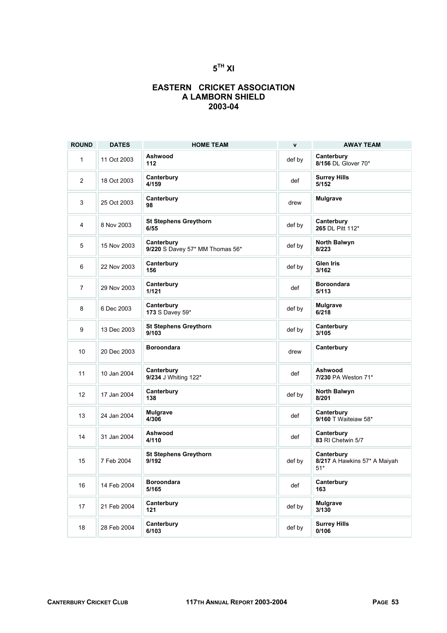## **5TH XI**

### **EASTERN CRICKET ASSOCIATION A LAMBORN SHIELD 2003-04**

| <b>ROUND</b>   | <b>DATES</b> | <b>HOME TEAM</b>                              | $\mathbf{v}$ | <b>AWAY TEAM</b>                                    |
|----------------|--------------|-----------------------------------------------|--------------|-----------------------------------------------------|
| 1              | 11 Oct 2003  | Ashwood<br>112                                | def by       | Canterbury<br>8/156 DL Glover 70*                   |
| $\overline{2}$ | 18 Oct 2003  | Canterbury<br>4/159                           | def          | <b>Surrey Hills</b><br>5/152                        |
| 3              | 25 Oct 2003  | Canterbury<br>98                              | drew         | <b>Mulgrave</b>                                     |
| 4              | 8 Nov 2003   | <b>St Stephens Greythorn</b><br>6/55          | def by       | Canterbury<br>265 DL Pitt 112*                      |
| 5              | 15 Nov 2003  | Canterbury<br>9/220 S Davey 57* MM Thomas 56* | def by       | North Balwyn<br>8/223                               |
| 6              | 22 Nov 2003  | Canterbury<br>156                             | def by       | <b>Glen Iris</b><br>3/162                           |
| $\overline{7}$ | 29 Nov 2003  | Canterbury<br>1/121                           | def          | <b>Boroondara</b><br>5/113                          |
| 8              | 6 Dec 2003   | Canterbury<br>173 S Davey 59*                 | def by       | Mulgrave<br>6/218                                   |
| 9              | 13 Dec 2003  | <b>St Stephens Greythorn</b><br>9/103         | def by       | Canterbury<br>3/105                                 |
| 10             | 20 Dec 2003  | <b>Boroondara</b>                             | drew         | Canterbury                                          |
| 11             | 10 Jan 2004  | Canterbury<br>9/234 J Whiting 122*            | def          | Ashwood<br>7/230 PA Weston 71*                      |
| 12             | 17 Jan 2004  | Canterbury<br>138                             | def by       | North Balwyn<br>8/201                               |
| 13             | 24 Jan 2004  | <b>Mulgrave</b><br>4/306                      | def          | Canterbury<br>9/160 T Waiteiaw 58*                  |
| 14             | 31 Jan 2004  | Ashwood<br>4/110                              | def          | Canterbury<br>83 RI Chetwin 5/7                     |
| 15             | 7 Feb 2004   | <b>St Stephens Greythorn</b><br>9/192         | def by       | Canterbury<br>8/217 A Hawkins 57* A Maiyah<br>$51*$ |
| 16             | 14 Feb 2004  | <b>Boroondara</b><br>5/165                    | def          | Canterbury<br>163                                   |
| 17             | 21 Feb 2004  | Canterbury<br>121                             | def by       | <b>Mulgrave</b><br>3/130                            |
| $18\,$         | 28 Feb 2004  | Canterbury<br>6/103                           | def by       | <b>Surrey Hills</b><br>0/106                        |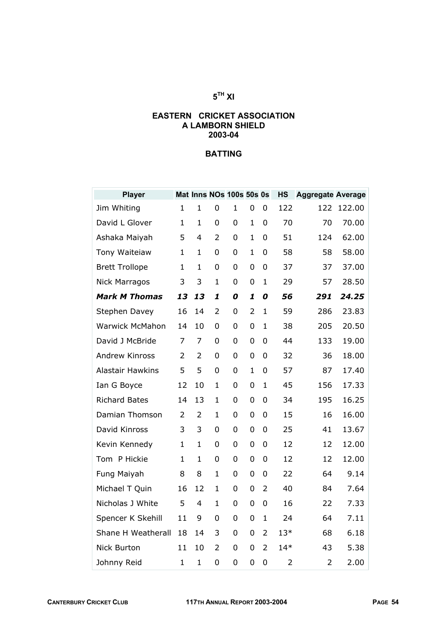## **5TH XI**

#### **EASTERN CRICKET ASSOCIATION A LAMBORN SHIELD 2003-04**

| <b>Player</b>           |                |                |                | Mat Inns NOs 100s 50s 0s |                |                | <b>HS</b>      | <b>Aggregate Average</b> |        |
|-------------------------|----------------|----------------|----------------|--------------------------|----------------|----------------|----------------|--------------------------|--------|
| Jim Whiting             | $\mathbf{1}$   | 1              | 0              | $\mathbf 1$              | 0              | 0              | 122            | 122                      | 122.00 |
| David L Glover          | $\mathbf{1}$   | $\mathbf{1}$   | 0              | 0                        | $\mathbf{1}$   | 0              | 70             | 70                       | 70.00  |
| Ashaka Maiyah           | 5              | 4              | 2              | 0                        | $\mathbf{1}$   | 0              | 51             | 124                      | 62.00  |
| Tony Waiteiaw           | $\mathbf{1}$   | $\mathbf{1}$   | 0              | 0                        | $\mathbf{1}$   | $\mathbf 0$    | 58             | 58                       | 58.00  |
| <b>Brett Trollope</b>   | $\mathbf{1}$   | 1              | 0              | 0                        | 0              | $\overline{0}$ | 37             | 37                       | 37.00  |
| <b>Nick Marragos</b>    | 3              | 3              | $\mathbf{1}$   | 0                        | 0              | $\mathbf{1}$   | 29             | 57                       | 28.50  |
| <b>Mark M Thomas</b>    | 13             | 13             | 1              | 0                        | 1              | 0              | 56             | 291                      | 24.25  |
| Stephen Davey           | 16             | 14             | $\overline{2}$ | 0                        | $\overline{2}$ | $\mathbf{1}$   | 59             | 286                      | 23.83  |
| <b>Warwick McMahon</b>  | 14             | 10             | 0              | 0                        | 0              | 1              | 38             | 205                      | 20.50  |
| David J McBride         | 7              | 7              | 0              | 0                        | 0              | $\overline{0}$ | 44             | 133                      | 19.00  |
| Andrew Kinross          | $\overline{2}$ | $\overline{2}$ | 0              | 0                        | 0              | 0              | 32             | 36                       | 18.00  |
| <b>Alastair Hawkins</b> | 5              | 5              | 0              | 0                        | $\mathbf{1}$   | 0              | 57             | 87                       | 17.40  |
| Ian G Boyce             | 12             | 10             | $\mathbf 1$    | 0                        | 0              | $\mathbf{1}$   | 45             | 156                      | 17.33  |
| <b>Richard Bates</b>    | 14             | 13             | $\mathbf{1}$   | 0                        | 0              | $\mathbf 0$    | 34             | 195                      | 16.25  |
| Damian Thomson          | 2              | $\overline{2}$ | $\mathbf{1}$   | 0                        | 0              | $\overline{0}$ | 15             | 16                       | 16.00  |
| David Kinross           | 3              | 3              | 0              | 0                        | 0              | 0              | 25             | 41                       | 13.67  |
| Kevin Kennedy           | $\mathbf{1}$   | $\mathbf{1}$   | 0              | 0                        | 0              | 0              | 12             | 12                       | 12.00  |
| Tom P Hickie            | 1              | $\mathbf{1}$   | 0              | 0                        | 0              | 0              | 12             | 12                       | 12.00  |
| Fung Maiyah             | 8              | 8              | $\mathbf{1}$   | 0                        | $\overline{0}$ | $\overline{0}$ | 22             | 64                       | 9.14   |
| Michael T Quin          | 16             | 12             | 1              | 0                        | 0              | $\overline{2}$ | 40             | 84                       | 7.64   |
| Nicholas J White        | 5              | $\overline{4}$ | $\mathbf{1}$   | 0                        | 0              | $\overline{0}$ | 16             | 22                       | 7.33   |
| Spencer K Skehill       | 11             | 9              | 0              | 0                        | 0              | $\mathbf{1}$   | 24             | 64                       | 7.11   |
| Shane H Weatherall      | 18             | 14             | 3              | 0                        | 0              | $\overline{2}$ | $13*$          | 68                       | 6.18   |
| Nick Burton             | 11             | 10             | $\overline{2}$ | 0                        | 0              | $\overline{2}$ | $14*$          | 43                       | 5.38   |
| Johnny Reid             | $\mathbf{1}$   | 1              | 0              | 0                        | 0              | 0              | $\overline{2}$ | $\overline{2}$           | 2.00   |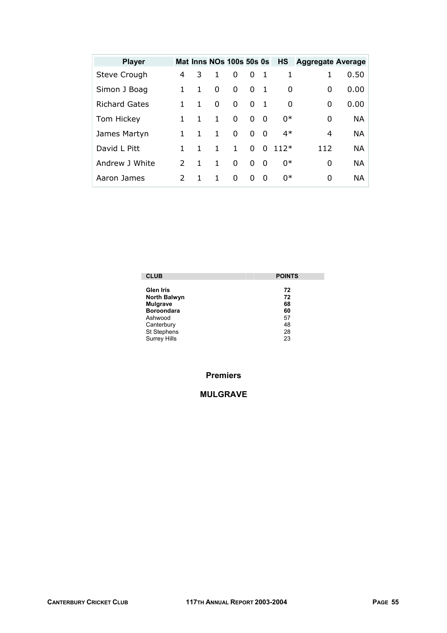| <b>Player</b>        |               |   |              | Mat Inns NOs 100s 50s 0s |          |                | <b>HS</b> | <b>Aggregate Average</b> |           |
|----------------------|---------------|---|--------------|--------------------------|----------|----------------|-----------|--------------------------|-----------|
| Steve Crough         | 4             | 3 | 1            | 0                        | 0        | $\mathbf{1}$   |           |                          | 0.50      |
| Simon J Boag         | 1             | 1 | 0            | 0                        | 0        | $\overline{1}$ | 0         | 0                        | 0.00      |
| <b>Richard Gates</b> |               | 1 | 0            | 0                        | 0        | $\mathbf{1}$   | 0         | 0                        | 0.00      |
| Tom Hickey           | 1.            | 1 | $\mathbf{1}$ | $\Omega$                 | $\Omega$ | $\Omega$       | $0*$      | 0                        | <b>NA</b> |
| James Martyn         | 1.            | 1 | $\mathbf{1}$ | $\Omega$                 | $\Omega$ | - 0            | $4*$      | 4                        | NA.       |
| David L Pitt         | 1             |   | 1            | $\mathbf{1}$             | 0        | 0              | $112*$    | 112                      | NA        |
| Andrew J White       | $\mathcal{P}$ | 1 | $\mathbf{1}$ | $\Omega$                 | 0        | $\mathbf 0$    | $0*$      | 0                        | NA        |
| Aaron James          | $\mathcal{P}$ | 1 | 1.           | 0                        | 0        | $\Omega$       | 0*        | 0                        | NA.       |

| <b>CLUB</b>         | <b>POINTS</b> |
|---------------------|---------------|
| <b>Glen Iris</b>    | 72            |
| <b>North Balwyn</b> | 72            |
| <b>Mulgrave</b>     | 68            |
| <b>Boroondara</b>   | 60            |
| Ashwood             | 57            |
| Canterbury          | 48            |
| St Stephens         | 28            |
| <b>Surrey Hills</b> | 23            |

## **Premiers**

## **MULGRAVE**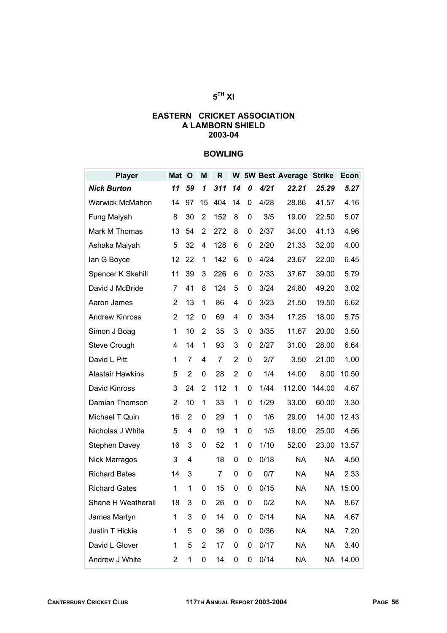## **5TH XI**

#### **EASTERN CRICKET ASSOCIATION A LAMBORN SHIELD 2003-04**

## **BOWLING**

| <b>Player</b>           | <b>Mat</b>              | $\mathbf{o}$   | M                       | $\mathsf{R}$ |                |   |      | <b>W</b> 5W Best Average | <b>Strike</b> | Econ  |
|-------------------------|-------------------------|----------------|-------------------------|--------------|----------------|---|------|--------------------------|---------------|-------|
| <b>Nick Burton</b>      | 11                      | 59             | 1                       | 311          | 14             | 0 | 4/21 | 22.21                    | 25.29         | 5.27  |
| <b>Warwick McMahon</b>  | 14                      | 97             | 15                      | 404          | 14             | 0 | 4/28 | 28.86                    | 41.57         | 4.16  |
| Fung Maiyah             | 8                       | 30             | 2                       | 152          | 8              | 0 | 3/5  | 19.00                    | 22.50         | 5.07  |
| Mark M Thomas           | 13                      | 54             | $\overline{2}$          | 272          | 8              | 0 | 2/37 | 34.00                    | 41.13         | 4.96  |
| Ashaka Maiyah           | 5                       | 32             | 4                       | 128          | 6              | 0 | 2/20 | 21.33                    | 32.00         | 4.00  |
| lan G Boyce             | 12                      | 22             | 1                       | 142          | 6              | 0 | 4/24 | 23.67                    | 22.00         | 6.45  |
| Spencer K Skehill       | 11                      | 39             | 3                       | 226          | 6              | 0 | 2/33 | 37.67                    | 39.00         | 5.79  |
| David J McBride         | 7                       | 41             | 8                       | 124          | 5              | 0 | 3/24 | 24.80                    | 49.20         | 3.02  |
| Aaron James             | $\overline{2}$          | 13             | 1                       | 86           | 4              | 0 | 3/23 | 21.50                    | 19.50         | 6.62  |
| <b>Andrew Kinross</b>   | 2                       | 12             | 0                       | 69           | 4              | 0 | 3/34 | 17.25                    | 18.00         | 5.75  |
| Simon J Boag            | 1                       | 10             | $\overline{2}$          | 35           | 3              | 0 | 3/35 | 11.67                    | 20.00         | 3.50  |
| <b>Steve Crough</b>     | 4                       | 14             | 1                       | 93           | 3              | 0 | 2/27 | 31.00                    | 28.00         | 6.64  |
| David L Pitt            | 1                       | 7              | 4                       | 7            | $\overline{2}$ | 0 | 2/7  | 3.50                     | 21.00         | 1.00  |
| <b>Alastair Hawkins</b> | 5                       | $\overline{2}$ | 0                       | 28           | $\overline{2}$ | 0 | 1/4  | 14.00                    | 8.00          | 10.50 |
| David Kinross           | 3                       | 24             | $\overline{2}$          | 112          | 1              | 0 | 1/44 | 112.00                   | 144.00        | 4.67  |
| Damian Thomson          | $\overline{2}$          | 10             | 1                       | 33           | 1              | 0 | 1/29 | 33.00                    | 60.00         | 3.30  |
| Michael T Quin          | 16                      | $\overline{2}$ | 0                       | 29           | 1              | 0 | 1/6  | 29.00                    | 14.00         | 12.43 |
| Nicholas J White        | 5                       | 4              | 0                       | 19           | 1              | 0 | 1/5  | 19.00                    | 25.00         | 4.56  |
| <b>Stephen Davey</b>    | 16                      | 3              | 0                       | 52           | 1              | 0 | 1/10 | 52.00                    | 23.00         | 13.57 |
| <b>Nick Marragos</b>    | 3                       | 4              |                         | 18           | 0              | 0 | 0/18 | <b>NA</b>                | <b>NA</b>     | 4.50  |
| <b>Richard Bates</b>    | 14                      | 3              |                         | 7            | 0              | 0 | 0/7  | <b>NA</b>                | <b>NA</b>     | 2.33  |
| <b>Richard Gates</b>    | 1                       | 1              | 0                       | 15           | 0              | 0 | 0/15 | NA                       | <b>NA</b>     | 15.00 |
| Shane H Weatherall      | 18                      | 3              | 0                       | 26           | 0              | 0 | 0/2  | <b>NA</b>                | <b>NA</b>     | 8.67  |
| James Martyn            | 1                       | 3              | 0                       | 14           | 0              | 0 | 0/14 | <b>NA</b>                | <b>NA</b>     | 4.67  |
| Justin T Hickie         | 1                       | 5              | 0                       | 36           | 0              | 0 | 0/36 | <b>NA</b>                | <b>NA</b>     | 7.20  |
| David L Glover          | 1                       | 5              | $\overline{\mathbf{c}}$ | 17           | 0              | 0 | 0/17 | <b>NA</b>                | <b>NA</b>     | 3.40  |
| Andrew J White          | $\overline{\mathbf{c}}$ | 1              | 0                       | 14           | 0              | 0 | 0/14 | <b>NA</b>                | <b>NA</b>     | 14.00 |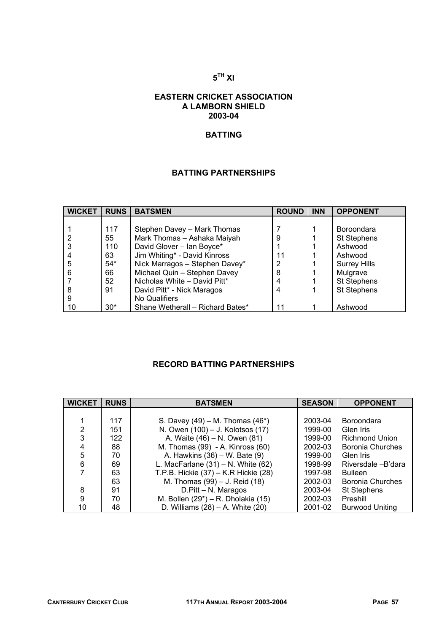### **5TH XI**

#### **EASTERN CRICKET ASSOCIATION A LAMBORN SHIELD 2003-04**

## **BATTING**

## **BATTING PARTNERSHIPS**

| <b>WICKET</b> | <b>RUNS</b> | <b>BATSMEN</b>                   | <b>ROUND</b> | <b>INN</b> | <b>OPPONENT</b>     |
|---------------|-------------|----------------------------------|--------------|------------|---------------------|
|               |             |                                  |              |            |                     |
|               | 117         | Stephen Davey - Mark Thomas      |              |            | <b>Boroondara</b>   |
|               | 55          | Mark Thomas - Ashaka Maiyah      | 9            |            | St Stephens         |
|               | 110         | David Glover - Ian Boyce*        |              |            | Ashwood             |
|               | 63          | Jim Whiting* - David Kinross     | 11           |            | Ashwood             |
| 5             | $54*$       | Nick Marragos - Stephen Davey*   | 2            |            | <b>Surrey Hills</b> |
| 6             | 66          | Michael Quin - Stephen Davey     | 8            |            | Mulgrave            |
|               | 52          | Nicholas White - David Pitt*     |              |            | <b>St Stephens</b>  |
|               | 91          | David Pitt* - Nick Maragos       |              |            | <b>St Stephens</b>  |
| 9             |             | No Qualifiers                    |              |            |                     |
| 10            | $30*$       | Shane Wetherall - Richard Bates* | 11           |            | Ashwood             |

## **RECORD BATTING PARTNERSHIPS**

| <b>WICKET</b> | <b>RUNS</b> | <b>BATSMEN</b>                          | <b>SEASON</b> | <b>OPPONENT</b>         |
|---------------|-------------|-----------------------------------------|---------------|-------------------------|
|               |             |                                         |               |                         |
|               | 117         | S. Davey $(49) - M$ . Thomas $(46*)$    | 2003-04       | Boroondara              |
| 2             | 151         | N. Owen (100) - J. Kolotsos (17)        | 1999-00       | Glen Iris               |
| 3             | 122         | A. Waite (46) – N. Owen (81)            | 1999-00       | <b>Richmond Union</b>   |
| 4             | 88          | M. Thomas (99) - A. Kinross (60)        | 2002-03       | Boronia Churches        |
| 5             | 70          | A. Hawkins (36) – W. Bate (9)           | 1999-00       | Glen Iris               |
| 6             | 69          | L. MacFarlane $(31) - N$ . White $(62)$ | 1998-99       | Riversdale - B'dara     |
|               | 63          | T.P.B. Hickie (37) – K.R Hickie (28)    | 1997-98       | <b>Bulleen</b>          |
|               | 63          | M. Thomas (99) – J. Reid (18)           | 2002-03       | <b>Boronia Churches</b> |
| 8             | 91          | D.Pitt - N. Maragos                     | 2003-04       | <b>St Stephens</b>      |
| 9             | 70          | M. Bollen (29*) – R. Dholakia (15)      | 2002-03       | Preshill                |
| 10            | 48          | D. Williams $(28) - A$ . White $(20)$   | 2001-02       | <b>Burwood Uniting</b>  |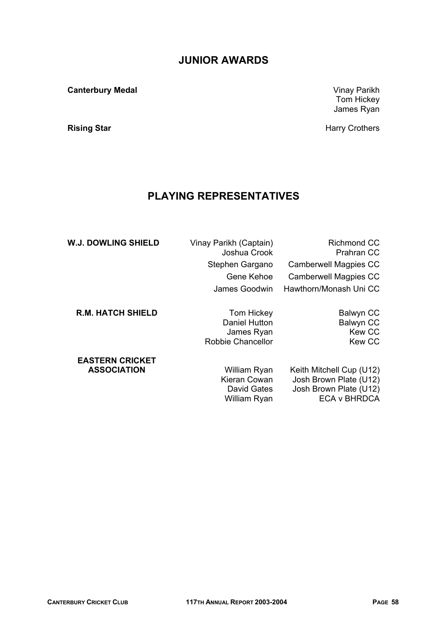## **JUNIOR AWARDS**

**Canterbury Medal** Vinay Parikh

## **PLAYING REPRESENTATIVES**

| <b>W.J. DOWLING SHIELD</b> | Vinay Parikh (Captain)<br>Joshua Crook | <b>Richmond CC</b><br><b>Prahran CC</b> |
|----------------------------|----------------------------------------|-----------------------------------------|
|                            | Stephen Gargano                        | <b>Camberwell Magpies CC</b>            |
|                            | Gene Kehoe                             | Camberwell Magpies CC                   |
|                            | James Goodwin                          | Hawthorn/Monash Uni CC                  |
| <b>R.M. HATCH SHIELD</b>   | Tom Hickey                             | Balwyn CC                               |
|                            | Daniel Hutton                          | <b>Balwyn CC</b>                        |
|                            | James Ryan                             | <b>Kew CC</b>                           |
|                            | Robbie Chancellor                      | <b>Kew CC</b>                           |
| <b>EASTERN CRICKET</b>     |                                        |                                         |
| <b>ASSOCIATION</b>         | William Ryan                           | Keith Mitchell Cup (U12)                |
|                            | Kieran Cowan                           | Josh Brown Plate (U12)                  |
|                            | David Gates                            | Josh Brown Plate (U12)                  |

William Ryan **ECA v BHRDCA** 

Tom Hickey James Ryan

**Rising Star Rising Star** *Alexanders* **Harry Crothers**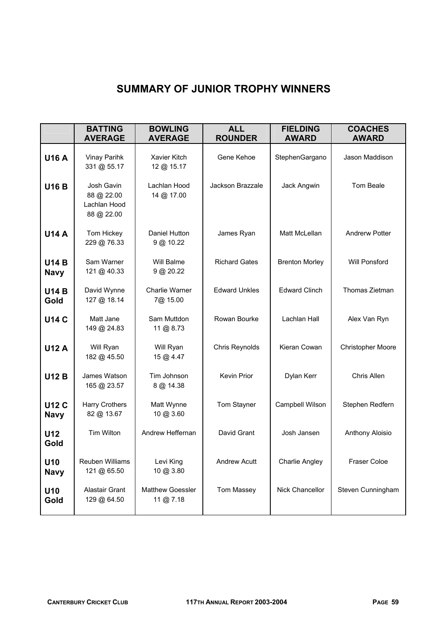# **SUMMARY OF JUNIOR TROPHY WINNERS**

|                             | <b>BATTING</b><br><b>AVERAGE</b>                       | <b>BOWLING</b><br><b>AVERAGE</b>  | <b>ALL</b><br><b>ROUNDER</b> | <b>FIELDING</b><br><b>AWARD</b> | <b>COACHES</b><br><b>AWARD</b> |  |
|-----------------------------|--------------------------------------------------------|-----------------------------------|------------------------------|---------------------------------|--------------------------------|--|
| <b>U16 A</b>                | Vinay Parihk<br>331 @ 55.17                            | Xavier Kitch<br>12 @ 15.17        | Gene Kehoe                   | StephenGargano                  | Jason Maddison                 |  |
| <b>U16 B</b>                | Josh Gavin<br>88 @ 22.00<br>Lachlan Hood<br>88 @ 22.00 | Lachlan Hood<br>14 @ 17.00        | Jackson Brazzale             | Jack Angwin                     | Tom Beale                      |  |
| <b>U14 A</b>                | Tom Hickey<br>229 @ 76.33                              | Daniel Hutton<br>9 @ 10.22        | James Ryan                   | Matt McLellan                   | <b>Andrerw Potter</b>          |  |
| <b>U14 B</b><br><b>Navy</b> | Sam Warner<br>121 @ 40.33                              | Will Balme<br>$9$ @ 20.22         | <b>Richard Gates</b>         | <b>Brenton Morley</b>           | Will Ponsford                  |  |
| <b>U14 B</b><br>Gold        | David Wynne<br>127 @ 18.14                             | <b>Charlie Warner</b><br>7@ 15.00 | <b>Edward Unkles</b>         | <b>Edward Clinch</b>            | Thomas Zietman                 |  |
| <b>U14 C</b>                | Matt Jane<br>149 @ 24.83                               | Sam Muttdon<br>11 @ 8.73          | Rowan Bourke                 | Lachlan Hall                    | Alex Van Ryn                   |  |
| <b>U12 A</b>                | Will Ryan<br>182 @ 45.50                               | Will Ryan<br>15 @ 4.47            | Chris Reynolds               | Kieran Cowan                    | Christopher Moore              |  |
| <b>U12 B</b>                | James Watson<br>165 @ 23.57                            | Tim Johnson<br>8 @ 14.38          | Kevin Prior                  | Dylan Kerr                      | Chris Allen                    |  |
| <b>U12 C</b><br><b>Navy</b> | Harry Crothers<br>82 @ 13.67                           | Matt Wynne<br>10 @ 3.60           | Tom Stayner                  | Campbell Wilson                 | Stephen Redfern                |  |
| U12<br>Gold                 | Tim Wilton                                             | Andrew Heffernan                  | David Grant                  | Josh Jansen                     | Anthony Aloisio                |  |
| U10<br><b>Navy</b>          | Reuben Williams<br>121 @ 65.50                         | Levi King<br>10 @ 3.80            | Andrew Acutt                 | <b>Charlie Angley</b>           | Fraser Coloe                   |  |
| U10<br>Gold                 | Alastair Grant<br>129 @ 64.50                          | Matthew Goessler<br>11 @ 7.18     | Tom Massey                   | Nick Chancellor                 | Steven Cunningham              |  |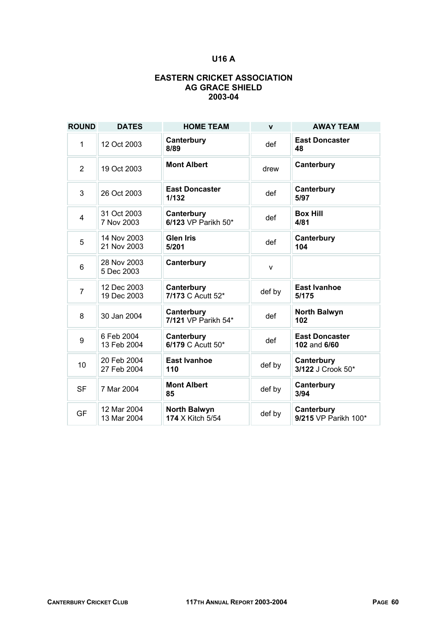## **U16 A**

#### **EASTERN CRICKET ASSOCIATION AG GRACE SHIELD 2003-04**

| <b>ROUND</b>   | <b>DATES</b>               | <b>HOME TEAM</b>                        | $\mathbf{v}$ | <b>AWAY TEAM</b>                      |
|----------------|----------------------------|-----------------------------------------|--------------|---------------------------------------|
| 1              | 12 Oct 2003                | Canterbury<br>8/89                      | def          | <b>East Doncaster</b><br>48           |
| $\overline{2}$ | 19 Oct 2003                | <b>Mont Albert</b>                      | drew         | Canterbury                            |
| 3              | 26 Oct 2003                | <b>East Doncaster</b><br>1/132          | def          | Canterbury<br>5/97                    |
| $\overline{4}$ | 31 Oct 2003<br>7 Nov 2003  | Canterbury<br>6/123 VP Parikh 50*       | def          | <b>Box Hill</b><br>4/81               |
| 5              | 14 Nov 2003<br>21 Nov 2003 | <b>Glen Iris</b><br>5/201               | def          | Canterbury<br>104                     |
| 6              | 28 Nov 2003<br>5 Dec 2003  | Canterbury                              | $\mathsf{v}$ |                                       |
| $\overline{7}$ | 12 Dec 2003<br>19 Dec 2003 | Canterbury<br>7/173 C Acutt 52*         | def by       | <b>East Ivanhoe</b><br>5/175          |
| 8              | 30 Jan 2004                | Canterbury<br>7/121 VP Parikh 54*       | def          | <b>North Balwyn</b><br>102            |
| 9              | 6 Feb 2004<br>13 Feb 2004  | Canterbury<br>6/179 C Acutt 50*         | def          | <b>East Doncaster</b><br>102 and 6/60 |
| 10             | 20 Feb 2004<br>27 Feb 2004 | <b>East Ivanhoe</b><br>110              | def by       | Canterbury<br>3/122 J Crook 50*       |
| <b>SF</b>      | 7 Mar 2004                 | <b>Mont Albert</b><br>85                | def by       | Canterbury<br>3/94                    |
| <b>GF</b>      | 12 Mar 2004<br>13 Mar 2004 | <b>North Balwyn</b><br>174 X Kitch 5/54 | def by       | Canterbury<br>9/215 VP Parikh 100*    |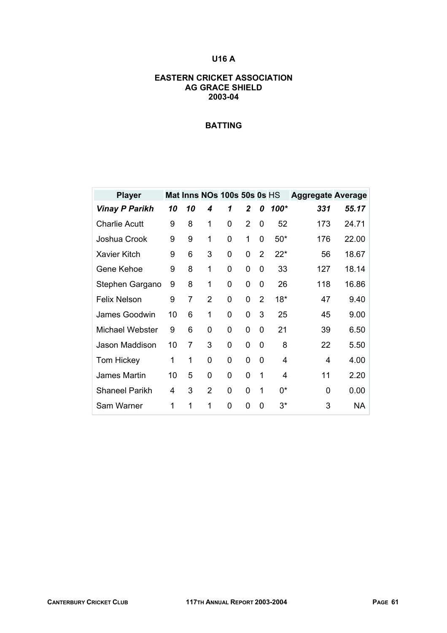## **U16 A**

#### **EASTERN CRICKET ASSOCIATION AG GRACE SHIELD 2003-04**

| <b>Player</b>         |    |    |               | Mat Inns NOs 100s 50s 0s HS |                |                |                | <b>Aggregate Average</b> |           |
|-----------------------|----|----|---------------|-----------------------------|----------------|----------------|----------------|--------------------------|-----------|
| <b>Vinay P Parikh</b> | 10 | 10 | 4             | 1                           | $\mathbf 2$    | 0              | 100*           | 331                      | 55.17     |
| <b>Charlie Acutt</b>  | 9  | 8  | 1             | 0                           | $\overline{2}$ | 0              | 52             | 173                      | 24.71     |
| Joshua Crook          | 9  | 9  | 1             | 0                           | 1              | 0              | $50*$          | 176                      | 22.00     |
| <b>Xavier Kitch</b>   | 9  | 6  | 3             | 0                           | 0              | $\overline{2}$ | $22*$          | 56                       | 18.67     |
| Gene Kehoe            | 9  | 8  | 1             | 0                           | 0              | 0              | 33             | 127                      | 18.14     |
| Stephen Gargano       | 9  | 8  | 1             | 0                           | 0              | $\Omega$       | 26             | 118                      | 16.86     |
| <b>Felix Nelson</b>   | 9  | 7  | $\mathcal{P}$ | 0                           | 0              | $\overline{2}$ | $18*$          | 47                       | 9.40      |
| <b>James Goodwin</b>  | 10 | 6  | 1             | 0                           | 0              | 3              | 25             | 45                       | 9.00      |
| Michael Webster       | 9  | 6  | 0             | 0                           | 0              | 0              | 21             | 39                       | 6.50      |
| Jason Maddison        | 10 | 7  | 3             | 0                           | 0              | 0              | 8              | 22                       | 5.50      |
| <b>Tom Hickey</b>     | 1  | 1  | 0             | 0                           | 0              | 0              | 4              | 4                        | 4.00      |
| <b>James Martin</b>   | 10 | 5  | 0             | 0                           | 0              | 1              | 4              | 11                       | 2.20      |
| <b>Shaneel Parikh</b> | 4  | 3  | 2             | 0                           | 0              | 1              | U <sub>*</sub> | 0                        | 0.00      |
| Sam Warner            | 1  | 1  | 1             | 0                           | 0              | 0              | 3*             | 3                        | <b>NA</b> |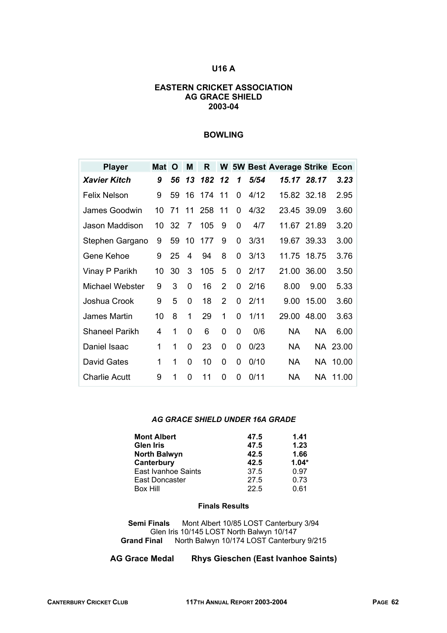#### **U16 A**

#### **EASTERN CRICKET ASSOCIATION AG GRACE SHIELD 2003-04**

#### **BOWLING**

| <b>Player</b>         | Mat | O  | M        | R   |                |   |      | <b>W 5W Best Average Strike Econ</b> |             |          |
|-----------------------|-----|----|----------|-----|----------------|---|------|--------------------------------------|-------------|----------|
| <b>Xavier Kitch</b>   | 9   | 56 | 13       | 182 | 12             | 1 | 5/54 |                                      | 15.17 28.17 | 3.23     |
| <b>Felix Nelson</b>   | 9   | 59 | 16       | 174 | 11             | 0 | 4/12 |                                      | 15.82 32.18 | 2.95     |
| <b>James Goodwin</b>  | 10  | 71 | 11       | 258 | 11             | 0 | 4/32 | 23.45 39.09                          |             | 3.60     |
| Jason Maddison        | 10  | 32 | 7        | 105 | 9              | 0 | 4/7  |                                      | 11.67 21.89 | 3.20     |
| Stephen Gargano       | 9   | 59 | 10       | 177 | 9              | 0 | 3/31 | 19.67                                | 39.33       | 3.00     |
| Gene Kehoe            | 9   | 25 | 4        | 94  | 8              | 0 | 3/13 |                                      | 11.75 18.75 | 3.76     |
| Vinay P Parikh        | 10  | 30 | 3        | 105 | 5              | 0 | 2/17 | 21.00                                | 36.00       | 3.50     |
| Michael Webster       | 9   | 3  | 0        | 16  | $\overline{2}$ | 0 | 2/16 | 8.00                                 | 9.00        | 5.33     |
| Joshua Crook          | 9   | 5  | $\Omega$ | 18  | $\overline{2}$ | 0 | 2/11 | 9.00                                 | 15.00       | 3.60     |
| James Martin          | 10  | 8  | 1        | 29  | 1              | 0 | 1/11 | 29.00                                | 48.00       | 3.63     |
| <b>Shaneel Parikh</b> | 4   | 1  | $\Omega$ | 6   | 0              | 0 | 0/6  | <b>NA</b>                            | <b>NA</b>   | 6.00     |
| Daniel Isaac          | 1   | 1  | 0        | 23  | 0              | 0 | 0/23 | NA.                                  |             | NA 23.00 |
| David Gates           | 1   | 1  | $\Omega$ | 10  | 0              | 0 | 0/10 | NA.                                  |             | NA 10.00 |
| <b>Charlie Acutt</b>  | 9   | 1  | 0        | 11  | 0              | 0 | 0/11 | NA.                                  |             | NA 11.00 |

#### *AG GRACE SHIELD UNDER 16A GRADE*

| <b>Mont Albert</b>  | 47.5 | 1.41    |
|---------------------|------|---------|
| <b>Glen Iris</b>    | 47.5 | 1.23    |
| <b>North Balwyn</b> | 42.5 | 1.66    |
| Canterbury          | 42.5 | $1.04*$ |
| East Ivanhoe Saints | 37.5 | 0.97    |
| East Doncaster      | 27.5 | 0.73    |
| Box Hill            | 22.5 | 0.61    |

#### **Finals Results**

**Semi Finals** Mont Albert 10/85 LOST Canterbury 3/94 Glen Iris 10/145 LOST North Balwyn 10/147 **Grand Final** North Balwyn 10/174 LOST Canterbury 9/215

**AG Grace Medal Rhys Gieschen (East Ivanhoe Saints)**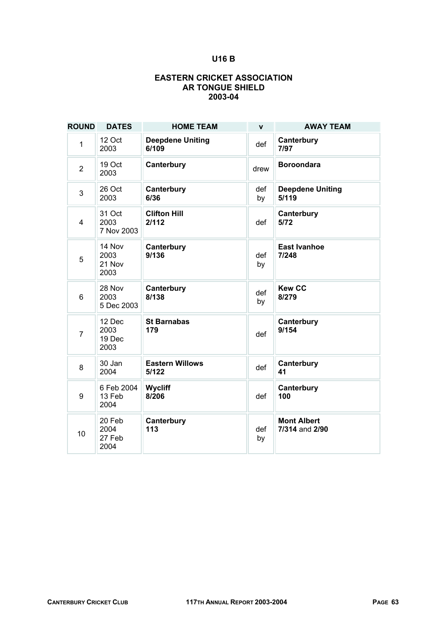## **U16 B**

#### **EASTERN CRICKET ASSOCIATION AR TONGUE SHIELD 2003-04**

| <b>ROUND</b>     | <b>DATES</b>                     | <b>HOME TEAM</b>                 | $\mathbf{v}$ | <b>AWAY TEAM</b>                     |
|------------------|----------------------------------|----------------------------------|--------------|--------------------------------------|
| 1                | 12 Oct<br>2003                   | <b>Deepdene Uniting</b><br>6/109 | def          | Canterbury<br>7/97                   |
| $\overline{2}$   | 19 Oct<br>2003                   | Canterbury                       | drew         | <b>Boroondara</b>                    |
| 3                | 26 Oct<br>2003                   | Canterbury<br>6/36               | def<br>by    | <b>Deepdene Uniting</b><br>5/119     |
| $\overline{4}$   | 31 Oct<br>2003<br>7 Nov 2003     | <b>Clifton Hill</b><br>2/112     | def          | Canterbury<br>5/72                   |
| 5                | 14 Nov<br>2003<br>21 Nov<br>2003 | Canterbury<br>9/136              | def<br>by    | <b>East Ivanhoe</b><br>7/248         |
| 6                | 28 Nov<br>2003<br>5 Dec 2003     | Canterbury<br>8/138              | def<br>by    | <b>Kew CC</b><br>8/279               |
| $\overline{7}$   | 12 Dec<br>2003<br>19 Dec<br>2003 | <b>St Barnabas</b><br>179        | def          | Canterbury<br>9/154                  |
| 8                | 30 Jan<br>2004                   | <b>Eastern Willows</b><br>5/122  | def          | Canterbury<br>41                     |
| $\boldsymbol{9}$ | 6 Feb 2004<br>13 Feb<br>2004     | Wycliff<br>8/206                 | def          | Canterbury<br>100                    |
| 10               | 20 Feb<br>2004<br>27 Feb<br>2004 | Canterbury<br>113                | def<br>by    | <b>Mont Albert</b><br>7/314 and 2/90 |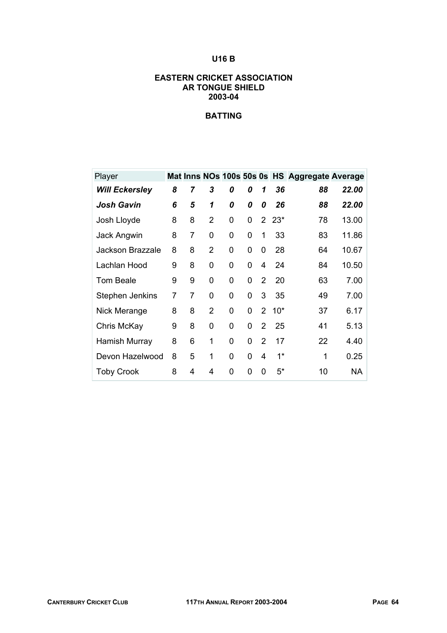## **U16 B**

#### **EASTERN CRICKET ASSOCIATION AR TONGUE SHIELD 2003-04**

| Player                |   |                |                |   |   |                |        | Mat Inns NOs 100s 50s 0s HS Aggregate Average |           |
|-----------------------|---|----------------|----------------|---|---|----------------|--------|-----------------------------------------------|-----------|
| <b>Will Eckersley</b> | 8 | 7              | 3              | 0 | 0 | 1              | 36     | 88                                            | 22.00     |
| <b>Josh Gavin</b>     | 6 | 5              | 1              | 0 | 0 | 0              | 26     | 88                                            | 22.00     |
| Josh Lloyde           | 8 | 8              | $\overline{2}$ | 0 | 0 |                | $223*$ | 78                                            | 13.00     |
| Jack Angwin           | 8 | 7              | 0              | 0 | 0 | 1              | 33     | 83                                            | 11.86     |
| Jackson Brazzale      | 8 | 8              | 2              | 0 | 0 | 0              | 28     | 64                                            | 10.67     |
| Lachlan Hood          | 9 | 8              | 0              | 0 | 0 | 4              | 24     | 84                                            | 10.50     |
| <b>Tom Beale</b>      | 9 | 9              | 0              | 0 | 0 | 2              | 20     | 63                                            | 7.00      |
| Stephen Jenkins       | 7 | $\overline{7}$ | 0              | 0 | 0 | 3              | 35     | 49                                            | 7.00      |
| Nick Merange          | 8 | 8              | $\overline{2}$ | 0 | 0 | $\overline{2}$ | $10*$  | 37                                            | 6.17      |
| Chris McKay           | 9 | 8              | 0              | 0 | 0 | 2              | 25     | 41                                            | 5.13      |
| Hamish Murray         | 8 | 6              | 1              | 0 | 0 | $\overline{2}$ | 17     | 22                                            | 4.40      |
| Devon Hazelwood       | 8 | 5              | 1              | 0 | 0 | 4              | $1^*$  | 1                                             | 0.25      |
| <b>Toby Crook</b>     | 8 | 4              | 4              | 0 | 0 | 0              | 5*     | 10                                            | <b>NA</b> |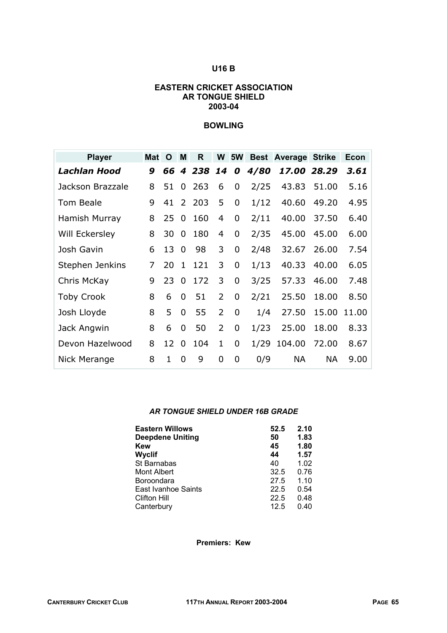#### **U16 B**

#### **EASTERN CRICKET ASSOCIATION AR TONGUE SHIELD 2003-04**

#### **BOWLING**

| <b>Player</b>     | <b>Mat</b> | O  | M                | R   | W              | <b>5W</b> |      | <b>Best Average Strike</b> |           | Econ  |
|-------------------|------------|----|------------------|-----|----------------|-----------|------|----------------------------|-----------|-------|
| Lachlan Hood      | 9          | 66 | $\boldsymbol{4}$ | 238 | 14             | 0         | 4/80 | 17.00                      | 28.29     | 3.61  |
| Jackson Brazzale  | 8          | 51 | 0                | 263 | 6              | 0         | 2/25 | 43.83                      | 51.00     | 5.16  |
| Tom Beale         | 9          | 41 | $\overline{2}$   | 203 | 5              | 0         | 1/12 | 40.60                      | 49.20     | 4.95  |
| Hamish Murray     | 8          | 25 | $\mathbf 0$      | 160 | 4              | 0         | 2/11 | 40.00                      | 37.50     | 6.40  |
| Will Eckersley    | 8          | 30 | 0                | 180 | 4              | 0         | 2/35 | 45.00                      | 45.00     | 6.00  |
| Josh Gavin        | 6          | 13 | 0                | 98  | 3              | 0         | 2/48 | 32.67                      | 26.00     | 7.54  |
| Stephen Jenkins   | 7          | 20 | $\mathbf{1}$     | 121 | 3              | 0         | 1/13 | 40.33                      | 40.00     | 6.05  |
| Chris McKay       | 9          | 23 | 0                | 172 | 3              | 0         | 3/25 | 57.33                      | 46.00     | 7.48  |
| <b>Toby Crook</b> | 8          | 6  | 0                | 51  | $\overline{2}$ | 0         | 2/21 | 25.50                      | 18.00     | 8.50  |
| Josh Lloyde       | 8          | 5  | 0                | 55  | $\overline{2}$ | 0         | 1/4  | 27.50                      | 15.00     | 11.00 |
| Jack Angwin       | 8          | 6  | 0                | 50  | $\overline{2}$ | 0         | 1/23 | 25.00                      | 18.00     | 8.33  |
| Devon Hazelwood   | 8          | 12 | $\overline{0}$   | 104 | 1              | 0         | 1/29 | 104.00                     | 72.00     | 8.67  |
| Nick Merange      | 8          | 1  | 0                | 9   | 0              | 0         | 0/9  | <b>NA</b>                  | <b>NA</b> | 9.00  |

#### *AR TONGUE SHIELD UNDER 16B GRADE*

| <b>Eastern Willows</b>  | 52.5 | 2.10 |
|-------------------------|------|------|
| <b>Deepdene Uniting</b> | 50   | 1.83 |
| <b>Kew</b>              | 45   | 1.80 |
| Wyclif                  | 44   | 1.57 |
| St Barnabas             | 40   | 1.02 |
| Mont Albert             | 32.5 | 0.76 |
| Boroondara              | 27.5 | 1.10 |
| East Ivanhoe Saints     | 22.5 | 0.54 |
| <b>Clifton Hill</b>     | 22.5 | 0.48 |
| Canterbury              | 12.5 | 0.40 |

**Premiers: Kew**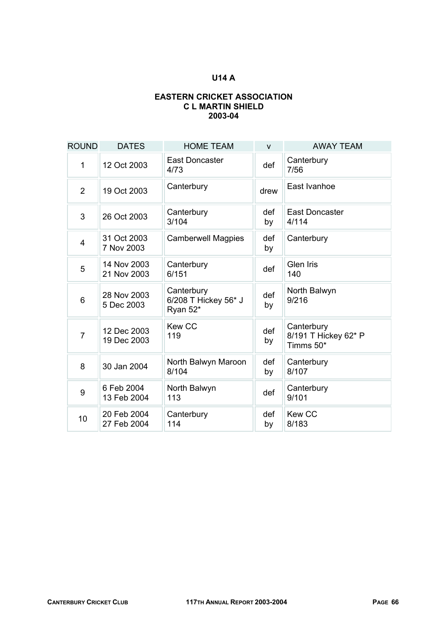### **U14 A**

#### **EASTERN CRICKET ASSOCIATION C L MARTIN SHIELD 2003-04**

| <b>ROUND</b>    | <b>DATES</b>               | <b>HOME TEAM</b>                               | $\mathsf{V}$ | <b>AWAY TEAM</b>                                |
|-----------------|----------------------------|------------------------------------------------|--------------|-------------------------------------------------|
| 1               | 12 Oct 2003                | <b>East Doncaster</b><br>4/73                  | def          | Canterbury<br>7/56                              |
| 2               | 19 Oct 2003                | Canterbury                                     | drew         | East Ivanhoe                                    |
| 3               | 26 Oct 2003                | Canterbury<br>3/104                            | def<br>by    | <b>East Doncaster</b><br>4/114                  |
| 4               | 31 Oct 2003<br>7 Nov 2003  | <b>Camberwell Magpies</b>                      | def<br>by    | Canterbury                                      |
| 5               | 14 Nov 2003<br>21 Nov 2003 | Canterbury<br>6/151                            | def          | <b>Glen Iris</b><br>140                         |
| 6               | 28 Nov 2003<br>5 Dec 2003  | Canterbury<br>6/208 T Hickey 56* J<br>Ryan 52* | def<br>by    | North Balwyn<br>9/216                           |
| $\overline{7}$  | 12 Dec 2003<br>19 Dec 2003 | <b>Kew CC</b><br>119                           | def<br>by    | Canterbury<br>8/191 T Hickey 62* P<br>Timms 50* |
| 8               | 30 Jan 2004                | North Balwyn Maroon<br>8/104                   | def<br>by    | Canterbury<br>8/107                             |
| 9               | 6 Feb 2004<br>13 Feb 2004  | North Balwyn<br>113                            | def          | Canterbury<br>9/101                             |
| 10 <sup>1</sup> | 20 Feb 2004<br>27 Feb 2004 | Canterbury<br>114                              | def<br>by    | Kew CC<br>8/183                                 |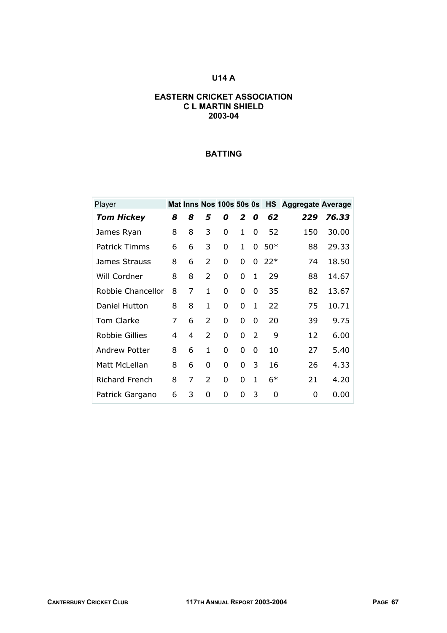## **U14 A**

#### **EASTERN CRICKET ASSOCIATION C L MARTIN SHIELD 2003-04**

| Player                |   |   |                |          |          |                |       | Mat Inns Nos 100s 50s 0s HS Aggregate Average |       |
|-----------------------|---|---|----------------|----------|----------|----------------|-------|-----------------------------------------------|-------|
| <b>Tom Hickey</b>     | 8 | 8 | 5              | 0        | 2        | 0              | 62    | 229                                           | 76.33 |
| James Ryan            | 8 | 8 | 3              | 0        | 1        | 0              | 52    | 150                                           | 30.00 |
| <b>Patrick Timms</b>  | 6 | 6 | 3              | 0        | 1        | 0              | $50*$ | 88                                            | 29.33 |
| James Strauss         | 8 | 6 | $\mathcal{P}$  | 0        | 0        | 0              | $22*$ | 74                                            | 18.50 |
| Will Cordner          | 8 | 8 | $\overline{2}$ | 0        | $\Omega$ | $\mathbf{1}$   | 29    | 88                                            | 14.67 |
| Robbie Chancellor     | 8 | 7 | 1              | 0        | 0        | 0              | 35    | 82                                            | 13.67 |
| Daniel Hutton         | 8 | 8 | 1              | 0        | 0        | 1              | 22    | 75                                            | 10.71 |
| Tom Clarke            | 7 | 6 | $\mathcal{P}$  | 0        | $\Omega$ | 0              | 20    | 39                                            | 9.75  |
| <b>Robbie Gillies</b> | 4 | 4 | $\overline{2}$ | 0        | 0        | $\overline{2}$ | 9     | 12                                            | 6.00  |
| Andrew Potter         | 8 | 6 | 1              | 0        | 0        | 0              | 10    | 27                                            | 5.40  |
| Matt McLellan         | 8 | 6 | 0              | 0        | 0        | 3              | 16    | 26                                            | 4.33  |
| <b>Richard French</b> | 8 | 7 | $\mathcal{P}$  | $\Omega$ | $\Omega$ | $\mathbf{1}$   | $6*$  | 21                                            | 4.20  |
| Patrick Gargano       | 6 | 3 | 0              | 0        | 0        | 3              | 0     | 0                                             | 0.00  |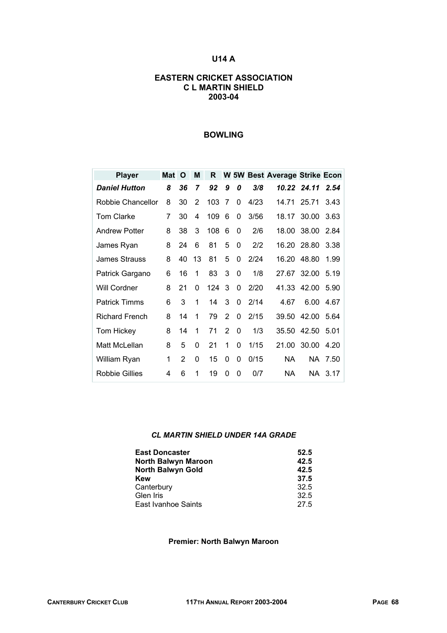## **U14 A**

#### **EASTERN CRICKET ASSOCIATION C L MARTIN SHIELD 2003-04**

#### **BOWLING**

| <b>Player</b>         | <b>Mat</b> | O  | M  | R   |                |   |      | W 5W Best Average Strike Econ |             |         |
|-----------------------|------------|----|----|-----|----------------|---|------|-------------------------------|-------------|---------|
| <b>Daniel Hutton</b>  | 8          | 36 | 7  | 92  | 9              | 0 | 3/8  |                               | 10.22 24.11 | 2.54    |
| Robbie Chancellor     | 8          | 30 | 2  | 103 | 7              | 0 | 4/23 | 14.71                         | 25.71       | 3.43    |
| <b>Tom Clarke</b>     | 7          | 30 | 4  | 109 | 6              | 0 | 3/56 | 18.17                         | 30.00       | 3.63    |
| <b>Andrew Potter</b>  | 8          | 38 | 3  | 108 | 6              | 0 | 2/6  | 18.00                         | 38.00       | 2.84    |
| James Ryan            | 8          | 24 | 6  | 81  | 5              | 0 | 2/2  | 16.20                         | 28.80       | 3.38    |
| James Strauss         | 8          | 40 | 13 | 81  | 5              | 0 | 2/24 | 16.20                         | 48.80       | 1.99    |
| Patrick Gargano       | 6          | 16 | 1  | 83  | 3              | 0 | 1/8  | 27.67                         | 32.00       | 5.19    |
| Will Cordner          | 8          | 21 | 0  | 124 | 3              | 0 | 2/20 | 41.33                         | 42.00       | 5.90    |
| <b>Patrick Timms</b>  | 6          | 3  | 1  | 14  | 3              | 0 | 2/14 | 4.67                          | 6.00        | 4.67    |
| <b>Richard French</b> | 8          | 14 | 1  | 79  | 2              | 0 | 2/15 | 39.50                         | 42.00       | 5.64    |
| <b>Tom Hickey</b>     | 8          | 14 | 1  | 71  | $\overline{2}$ | 0 | 1/3  | 35.50                         | 42.50       | 5.01    |
| Matt McLellan         | 8          | 5  | 0  | 21  | 1              | 0 | 1/15 | 21.00                         | 30.00       | 4.20    |
| William Ryan          | 1          | 2  | 0  | 15  | 0              | 0 | 0/15 | NА                            | NA.         | 7.50    |
| Robbie Gillies        | 4          | 6  | 1  | 19  | 0              | 0 | 0/7  | NA                            |             | NA 3.17 |

#### *CL MARTIN SHIELD UNDER 14A GRADE*

| <b>East Doncaster</b>    | 52.5 |
|--------------------------|------|
| North Balwyn Maroon      | 42.5 |
| <b>North Balwyn Gold</b> | 42.5 |
| <b>Kew</b>               | 37.5 |
| Canterbury               | 32.5 |
| Glen Iris                | 32.5 |
| East Ivanhoe Saints      | 27.5 |

#### **Premier: North Balwyn Maroon**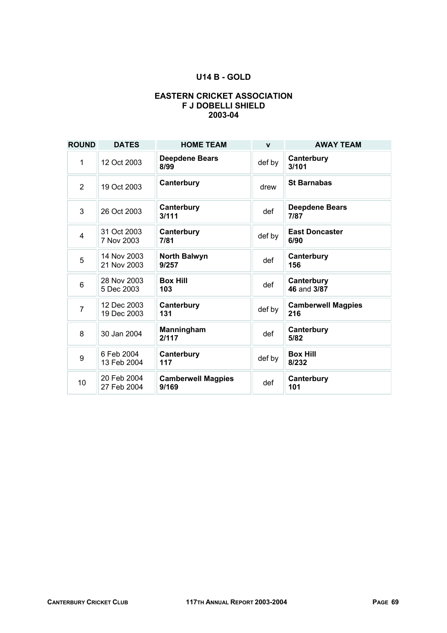### **U14 B - GOLD**

#### **EASTERN CRICKET ASSOCIATION F J DOBELLI SHIELD 2003-04**

| <b>ROUND</b>   | <b>DATES</b>               | <b>HOME TEAM</b>                   | $\mathbf{v}$ | <b>AWAY TEAM</b>                 |
|----------------|----------------------------|------------------------------------|--------------|----------------------------------|
| 1              | 12 Oct 2003                | <b>Deepdene Bears</b><br>8/99      | def by       | Canterbury<br>3/101              |
| $\overline{2}$ | 19 Oct 2003                | Canterbury                         | drew         | <b>St Barnabas</b>               |
| 3              | 26 Oct 2003                | Canterbury<br>3/111                | def          | <b>Deepdene Bears</b><br>7/87    |
| $\overline{4}$ | 31 Oct 2003<br>7 Nov 2003  | Canterbury<br>7/81                 | def by       | <b>East Doncaster</b><br>6/90    |
| 5              | 14 Nov 2003<br>21 Nov 2003 | <b>North Balwyn</b><br>9/257       | def          | Canterbury<br>156                |
| 6              | 28 Nov 2003<br>5 Dec 2003  | <b>Box Hill</b><br>103             | def          | Canterbury<br>46 and 3/87        |
| $\overline{7}$ | 12 Dec 2003<br>19 Dec 2003 | Canterbury<br>131                  | def by       | <b>Camberwell Magpies</b><br>216 |
| 8              | 30 Jan 2004                | Manningham<br>2/117                | def          | Canterbury<br>5/82               |
| 9              | 6 Feb 2004<br>13 Feb 2004  | Canterbury<br>117                  | def by       | <b>Box Hill</b><br>8/232         |
| 10             | 20 Feb 2004<br>27 Feb 2004 | <b>Camberwell Magpies</b><br>9/169 | def          | Canterbury<br>101                |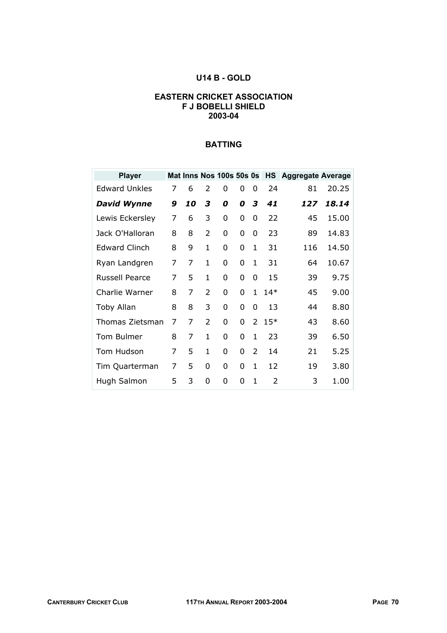### **U14 B - GOLD**

#### **EASTERN CRICKET ASSOCIATION F J BOBELLI SHIELD 2003-04**

| <b>Player</b>        |   |    |                | Mat Inns Nos 100s 50s 0s |   |              |       | <b>HS</b> Aggregate Average |       |
|----------------------|---|----|----------------|--------------------------|---|--------------|-------|-----------------------------|-------|
| <b>Edward Unkles</b> | 7 | 6  | $\mathcal{P}$  | 0                        | 0 | $\Omega$     | 24    | 81                          | 20.25 |
| <b>David Wynne</b>   | 9 | 10 | 3              | 0                        | 0 | 3            | 41    | 127                         | 18.14 |
| Lewis Eckersley      | 7 | 6  | 3              | 0                        | 0 | 0            | 22    | 45                          | 15.00 |
| Jack O'Halloran      | 8 | 8  | 2              | 0                        | 0 | 0            | 23    | 89                          | 14.83 |
| <b>Edward Clinch</b> | 8 | 9  | $\mathbf{1}$   | 0                        | 0 | 1            | 31    | 116                         | 14.50 |
| Ryan Landgren        | 7 | 7  | 1              | 0                        | 0 | 1            | 31    | 64                          | 10.67 |
| Russell Pearce       | 7 | 5  | 1              | 0                        | 0 | 0            | 15    | 39                          | 9.75  |
| Charlie Warner       | 8 | 7  | 2              | 0                        | 0 | 1            | $14*$ | 45                          | 9.00  |
| Toby Allan           | 8 | 8  | 3              | 0                        | 0 | 0            | 13    | 44                          | 8.80  |
| Thomas Zietsman      | 7 | 7  | $\overline{2}$ | 0                        | 0 | 2            | $15*$ | 43                          | 8.60  |
| Tom Bulmer           | 8 | 7  | $\mathbf{1}$   | 0                        | 0 | $\mathbf{1}$ | 23    | 39                          | 6.50  |
| Tom Hudson           | 7 | 5  | 1              | 0                        | 0 | 2            | 14    | 21                          | 5.25  |
| Tim Quarterman       | 7 | 5  | $\Omega$       | 0                        | 0 | $\mathbf{1}$ | 12    | 19                          | 3.80  |
| Hugh Salmon          | 5 | 3  | 0              | 0                        | 0 | 1            | 2     | 3                           | 1.00  |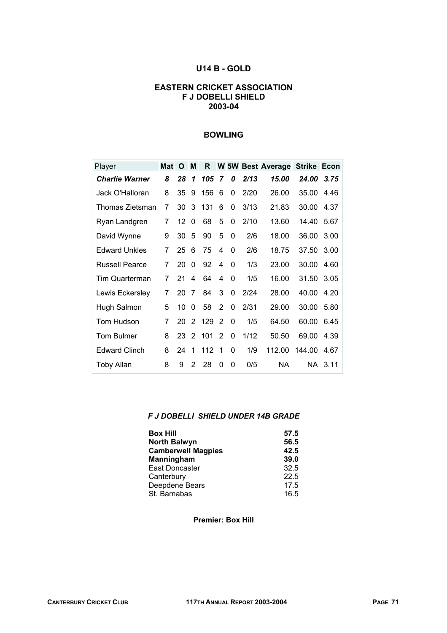#### **U14 B - GOLD**

#### **EASTERN CRICKET ASSOCIATION F J DOBELLI SHIELD 2003-04**

#### **BOWLING**

| Player                | Mat | O    | M              | R   |    |          |      | <b>W 5W Best Average</b> | <b>Strike Econ</b> |         |
|-----------------------|-----|------|----------------|-----|----|----------|------|--------------------------|--------------------|---------|
| <b>Charlie Warner</b> | 8   | 28   | 1              | 105 | 7  | 0        | 2/13 | 15.00                    | 24.00              | 3.75    |
| Jack O'Halloran       | 8   | 35   | 9              | 156 | -6 | 0        | 2/20 | 26.00                    | 35.00              | 4.46    |
| Thomas Zietsman       | 7   | 30   | 3              | 131 | 6  | 0        | 3/13 | 21.83                    | 30.00              | 4.37    |
| Ryan Landgren         | 7   | 12   | 0              | 68  | 5  | 0        | 2/10 | 13.60                    | 14.40              | 5.67    |
| David Wynne           | 9   | 30   | 5              | 90  | 5  | 0        | 2/6  | 18.00                    | 36.00              | 3.00    |
| <b>Edward Unkles</b>  | 7   | 25   | 6              | 75  | 4  | 0        | 2/6  | 18.75                    | 37.50              | 3.00    |
| <b>Russell Pearce</b> | 7   | 20   | 0              | 92  | 4  | 0        | 1/3  | 23.00                    | 30.00              | 4.60    |
| Tim Quarterman        | 7   | 21   | 4              | 64  | 4  | $\Omega$ | 1/5  | 16.00                    | 31.50              | 3.05    |
| Lewis Eckersley       | 7   | 20   | 7              | 84  | 3  | 0        | 2/24 | 28.00                    | 40.00              | 4.20    |
| Hugh Salmon           | 5   | 10   | 0              | 58  | 2  | 0        | 2/31 | 29.00                    | 30.00              | 5.80    |
| Tom Hudson            | 7   | 20   | $\overline{2}$ | 129 | 2  | 0        | 1/5  | 64.50                    | 60.00              | 6.45    |
| <b>Tom Bulmer</b>     | 8   | 23 2 |                | 101 | 2  | 0        | 1/12 | 50.50                    | 69.00              | 4.39    |
| <b>Edward Clinch</b>  | 8   | 24   | 1              | 112 | 1  | 0        | 1/9  | 112.00                   | 144.00             | 4.67    |
| <b>Toby Allan</b>     | 8   | 9    | $\overline{2}$ | 28  | 0  | 0        | 0/5  | <b>NA</b>                |                    | NA 3.11 |

#### *F J DOBELLI SHIELD UNDER 14B GRADE*

| <b>Box Hill</b>           | 57.5 |
|---------------------------|------|
| <b>North Balwyn</b>       | 56.5 |
| <b>Camberwell Magpies</b> | 42.5 |
| Manningham                | 39.0 |
| <b>East Doncaster</b>     | 32.5 |
| Canterbury                | 22.5 |
| Deepdene Bears            | 17.5 |
| St. Barnabas              | 16.5 |

**Premier: Box Hill**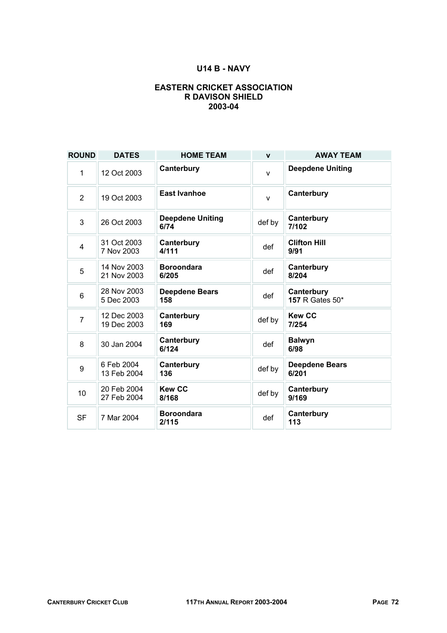### **U14 B - NAVY**

#### **EASTERN CRICKET ASSOCIATION R DAVISON SHIELD 2003-04**

| <b>ROUND</b>   | <b>DATES</b>               | <b>HOME TEAM</b>                | $\mathbf{v}$ | <b>AWAY TEAM</b>               |
|----------------|----------------------------|---------------------------------|--------------|--------------------------------|
| 1              | 12 Oct 2003                | Canterbury                      | $\mathsf{v}$ | <b>Deepdene Uniting</b>        |
| 2              | 19 Oct 2003                | East Ivanhoe                    | $\mathsf{V}$ | Canterbury                     |
| 3              | 26 Oct 2003                | <b>Deepdene Uniting</b><br>6/74 | def by       | Canterbury<br>7/102            |
| 4              | 31 Oct 2003<br>7 Nov 2003  | Canterbury<br>4/111             | def          | <b>Clifton Hill</b><br>9/91    |
| 5              | 14 Nov 2003<br>21 Nov 2003 | <b>Boroondara</b><br>6/205      | def          | Canterbury<br>8/204            |
| 6              | 28 Nov 2003<br>5 Dec 2003  | <b>Deepdene Bears</b><br>158    | def          | Canterbury<br>157 R Gates 50*  |
| $\overline{7}$ | 12 Dec 2003<br>19 Dec 2003 | Canterbury<br>169               | def by       | <b>Kew CC</b><br>7/254         |
| 8              | 30 Jan 2004                | Canterbury<br>6/124             | def          | <b>Balwyn</b><br>6/98          |
| 9              | 6 Feb 2004<br>13 Feb 2004  | Canterbury<br>136               | def by       | <b>Deepdene Bears</b><br>6/201 |
| 10             | 20 Feb 2004<br>27 Feb 2004 | <b>Kew CC</b><br>8/168          | def by       | Canterbury<br>9/169            |
| <b>SF</b>      | 7 Mar 2004                 | <b>Boroondara</b><br>2/115      | def          | Canterbury<br>113              |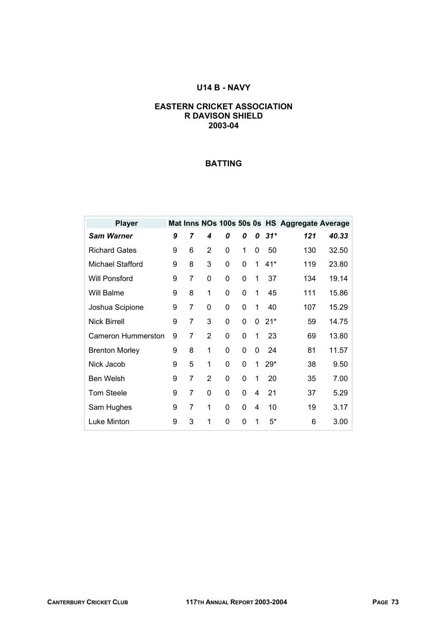# **U14 B - NAVY**

#### **EASTERN CRICKET ASSOCIATION R DAVISON SHIELD 2003-04**

| <b>Player</b>         |   |                |                |   |   |   |       | Mat Inns NOs 100s 50s 0s HS Aggregate Average |       |
|-----------------------|---|----------------|----------------|---|---|---|-------|-----------------------------------------------|-------|
| <b>Sam Warner</b>     | 9 | 7              | 4              | 0 | 0 | 0 | $31*$ | 121                                           | 40.33 |
| <b>Richard Gates</b>  | 9 | 6              | 2              | 0 | 1 | 0 | 50    | 130                                           | 32.50 |
| Michael Stafford      | 9 | 8              | 3              | 0 | 0 | 1 | $41*$ | 119                                           | 23.80 |
| Will Ponsford         | 9 | $\overline{7}$ | 0              | 0 | 0 | 1 | 37    | 134                                           | 19.14 |
| Will Balme            | 9 | 8              | 1              | 0 | 0 | 1 | 45    | 111                                           | 15.86 |
| Joshua Scipione       | 9 | 7              | 0              | 0 | 0 | 1 | 40    | 107                                           | 15.29 |
| <b>Nick Birrell</b>   | 9 | 7              | 3              | 0 | 0 | 0 | $21*$ | 59                                            | 14.75 |
| Cameron Hummerston    | 9 | 7              | 2              | 0 | 0 | 1 | 23    | 69                                            | 13.80 |
| <b>Brenton Morley</b> | 9 | 8              | 1              | 0 | 0 | 0 | 24    | 81                                            | 11.57 |
| Nick Jacob            | 9 | 5              | 1              | 0 | 0 | 1 | 29*   | 38                                            | 9.50  |
| <b>Ben Welsh</b>      | 9 | 7              | $\overline{2}$ | 0 | 0 | 1 | 20    | 35                                            | 7.00  |
| <b>Tom Steele</b>     | 9 | 7              | 0              | 0 | 0 | 4 | 21    | 37                                            | 5.29  |
| Sam Hughes            | 9 | 7              | 1              | 0 | 0 | 4 | 10    | 19                                            | 3.17  |
| Luke Minton           | 9 | 3              | 1              | 0 | 0 | 1 | 5*    | 6                                             | 3.00  |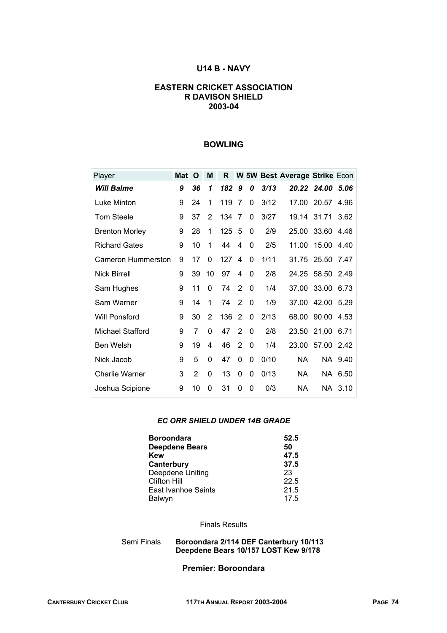#### **U14 B - NAVY**

#### **EASTERN CRICKET ASSOCIATION R DAVISON SHIELD 2003-04**

# **BOWLING**

| Player                  | <b>Mat</b> | O              | M        | R   |          |          |      | W 5W Best Average Strike Econ |       |         |
|-------------------------|------------|----------------|----------|-----|----------|----------|------|-------------------------------|-------|---------|
| <b>Will Balme</b>       | 9          | 36             | 1        | 182 | 9        | 0        | 3/13 | 20.22                         | 24.00 | 5.06    |
| Luke Minton             | 9          | 24             | 1        | 119 | 7        | 0        | 3/12 | 17.00                         | 20.57 | 4.96    |
| <b>Tom Steele</b>       | 9          | 37             | 2        | 134 | 7        | 0        | 3/27 | 19.14                         | 31.71 | 3.62    |
| <b>Brenton Morley</b>   | 9          | 28             | 1        | 125 | 5        | 0        | 2/9  | 25.00                         | 33.60 | 4.46    |
| <b>Richard Gates</b>    | 9          | 10             | 1        | 44  | 4        | 0        | 2/5  | 11.00                         | 15.00 | 4.40    |
| Cameron Hummerston      | 9          | 17             | 0        | 127 | 4        | 0        | 1/11 | 31.75                         | 25.50 | 7.47    |
| <b>Nick Birrell</b>     | 9          | 39             | 10       | 97  | 4        | $\Omega$ | 2/8  | 24.25                         | 58.50 | 2.49    |
| Sam Hughes              | 9          | 11             | 0        | 74  | 2        | 0        | 1/4  | 37.00                         | 33.00 | 6.73    |
| Sam Warner              | 9          | 14             | 1        | 74  | 2        | $\Omega$ | 1/9  | 37.00                         | 42.00 | 5.29    |
| Will Ponsford           | 9          | 30             | 2        | 136 | 2        | $\Omega$ | 2/13 | 68.00                         | 90.00 | 4.53    |
| <b>Michael Stafford</b> | 9          | 7              | 0        | 47  | 2        | $\Omega$ | 2/8  | 23.50                         | 21.00 | 6.71    |
| <b>Ben Welsh</b>        | 9          | 19             | 4        | 46  | 2        | $\Omega$ | 1/4  | 23.00                         | 57.00 | 2.42    |
| Nick Jacob              | 9          | 5              | 0        | 47  | $\Omega$ | 0        | 0/10 | NA                            |       | NA 9.40 |
| <b>Charlie Warner</b>   | 3          | $\overline{2}$ | $\Omega$ | 13  | 0        | 0        | 0/13 | ΝA                            |       | NA 6.50 |
| Joshua Scipione         | 9          | 10             | 0        | 31  | 0        | 0        | 0/3  | NА                            |       | NA 3.10 |

#### *EC ORR SHIELD UNDER 14B GRADE*

| <b>Boroondara</b>     | 52.5 |
|-----------------------|------|
| <b>Deepdene Bears</b> | 50   |
| <b>Kew</b>            | 47.5 |
| Canterbury            | 37.5 |
| Deepdene Uniting      | 23   |
| <b>Clifton Hill</b>   | 22.5 |
| East Ivanhoe Saints   | 21.5 |
| Balwyn                | 17.5 |

#### Finals Results

#### Semi Finals **Boroondara 2/114 DEF Canterbury 10/113 Deepdene Bears 10/157 LOST Kew 9/178**

#### **Premier: Boroondara**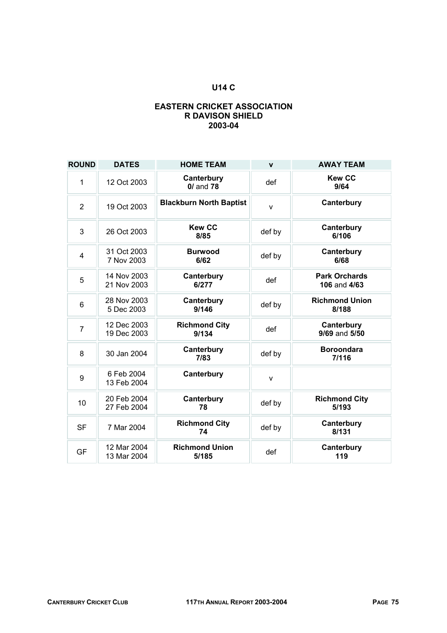# **U14 C**

#### **EASTERN CRICKET ASSOCIATION R DAVISON SHIELD 2003-04**

| <b>ROUND</b>   | <b>DATES</b>               | <b>HOME TEAM</b>               | $\mathbf{v}$ | <b>AWAY TEAM</b>                     |
|----------------|----------------------------|--------------------------------|--------------|--------------------------------------|
| 1              | 12 Oct 2003                | Canterbury<br>$0/$ and $78$    | def          | <b>Kew CC</b><br>9/64                |
| $\overline{2}$ | 19 Oct 2003                | <b>Blackburn North Baptist</b> | $\mathsf{v}$ | Canterbury                           |
| 3              | 26 Oct 2003                | <b>Kew CC</b><br>8/85          | def by       | Canterbury<br>6/106                  |
| $\overline{4}$ | 31 Oct 2003<br>7 Nov 2003  | <b>Burwood</b><br>6/62         | def by       | Canterbury<br>6/68                   |
| 5              | 14 Nov 2003<br>21 Nov 2003 | Canterbury<br>6/277            | def          | <b>Park Orchards</b><br>106 and 4/63 |
| 6              | 28 Nov 2003<br>5 Dec 2003  | Canterbury<br>9/146            | def by       | <b>Richmond Union</b><br>8/188       |
| $\overline{7}$ | 12 Dec 2003<br>19 Dec 2003 | <b>Richmond City</b><br>9/134  | def          | Canterbury<br>9/69 and 5/50          |
| 8              | 30 Jan 2004                | Canterbury<br>7/83             | def by       | <b>Boroondara</b><br>7/116           |
| 9              | 6 Feb 2004<br>13 Feb 2004  | Canterbury                     | $\mathsf{V}$ |                                      |
| 10             | 20 Feb 2004<br>27 Feb 2004 | Canterbury<br>78               | def by       | <b>Richmond City</b><br>5/193        |
| <b>SF</b>      | 7 Mar 2004                 | <b>Richmond City</b><br>74     | def by       | Canterbury<br>8/131                  |
| <b>GF</b>      | 12 Mar 2004<br>13 Mar 2004 | <b>Richmond Union</b><br>5/185 | def          | Canterbury<br>119                    |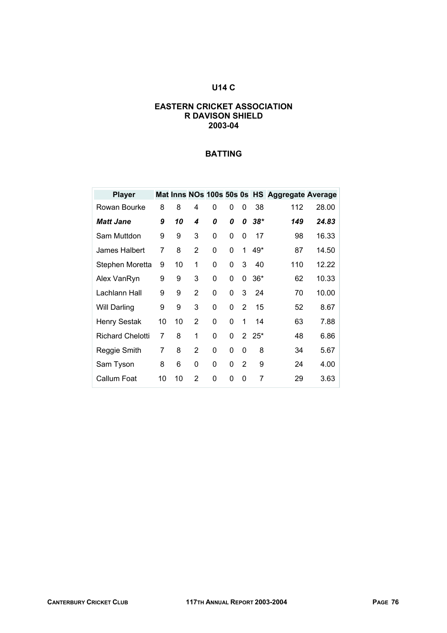# **U14 C**

#### **EASTERN CRICKET ASSOCIATION R DAVISON SHIELD 2003-04**

| <b>Player</b>           |    |    |                |          |          |                |             | Mat Inns NOs 100s 50s 0s HS Aggregate Average |       |
|-------------------------|----|----|----------------|----------|----------|----------------|-------------|-----------------------------------------------|-------|
| Rowan Bourke            | 8  | 8  | 4              | 0        | 0        | 0              | 38          | 112                                           | 28.00 |
| <b>Matt Jane</b>        | 9  | 10 | 4              | 0        | 0        | 0              | $38*$       | 149                                           | 24.83 |
| Sam Muttdon             | 9  | 9  | 3              | 0        | 0        | 0              | 17          | 98                                            | 16.33 |
| James Halbert           | 7  | 8  | 2              | 0        | $\Omega$ | 1              | 49*         | 87                                            | 14.50 |
| Stephen Moretta         | 9  | 10 | 1              | 0        | 0        | 3              | 40          | 110                                           | 12.22 |
| Alex VanRyn             | 9  | 9  | 3              | 0        | 0        | 0              | $36*$       | 62                                            | 10.33 |
| Lachlann Hall           | 9  | 9  | 2              | 0        | 0        | 3              | 24          | 70                                            | 10.00 |
| Will Darling            | 9  | 9  | 3              | $\Omega$ | 0        | $\overline{2}$ | 15          | 52                                            | 8.67  |
| <b>Henry Sestak</b>     | 10 | 10 | $\overline{2}$ | 0        | 0        | 1              | 14          | 63                                            | 7.88  |
| <b>Richard Chelotti</b> | 7  | 8  | 1              | 0        | 0        |                | $2\;\;25^*$ | 48                                            | 6.86  |
| Reggie Smith            | 7  | 8  | 2              | 0        | 0        | 0              | 8           | 34                                            | 5.67  |
| Sam Tyson               | 8  | 6  | 0              | 0        | 0        | 2              | 9           | 24                                            | 4.00  |
| Callum Foat             | 10 | 10 | 2              | 0        | 0        | 0              | 7           | 29                                            | 3.63  |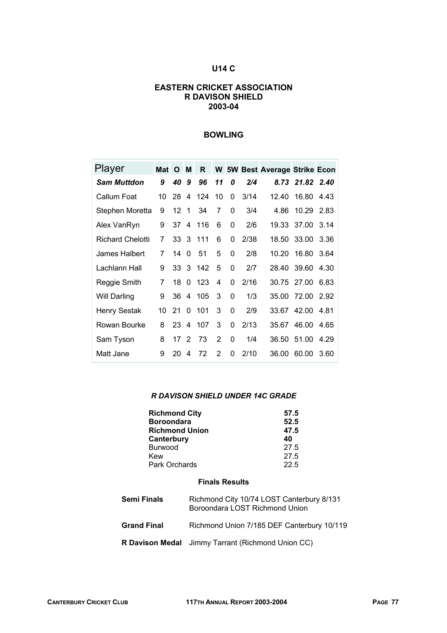# **U14 C**

#### **EASTERN CRICKET ASSOCIATION R DAVISON SHIELD 2003-04**

### **BOWLING**

| Player                  | Mat O |                 | M              | R        |                |          |      | <b>W</b> 5W Best Average Strike Econ |                  |      |
|-------------------------|-------|-----------------|----------------|----------|----------------|----------|------|--------------------------------------|------------------|------|
| <b>Sam Muttdon</b>      | 9     | 40              | 9              | 96       | 11             | 0        | 2/4  |                                      | 8.73 21.82 2.40  |      |
| Callum Foat             | 10    | 28              | 4              | 124      | 10             | 0        | 3/14 | 12.40                                | 16.80            | 4.43 |
| Stephen Moretta         | 9     | 12              | -1             | 34       | 7              | 0        | 3/4  | 4.86                                 | 10.29 2.83       |      |
| Alex VanRyn             | 9     | 37              | $\overline{4}$ | 116      | 6              | $\Omega$ | 2/6  |                                      | 19.33 37.00 3.14 |      |
| <b>Richard Chelotti</b> | 7     |                 |                | 33 3 111 | 6              | 0        | 2/38 |                                      | 18.50 33.00      | 3.36 |
| James Halbert           | 7     | 14              | $\Omega$       | 51       | 5              | $\Omega$ | 2/8  | 10.20                                | 16.80            | 3.64 |
| Lachlann Hall           | 9     |                 |                | 33 3 142 | 5              | $\Omega$ | 2/7  |                                      | 28.40 39.60      | 4.30 |
| Reggie Smith            | 7     | 18              | 0              | 123      | 4              | 0        | 2/16 |                                      | 30.75 27.00      | 6.83 |
| <b>Will Darling</b>     | 9     | 36              | 4              | 105      | 3              | $\Omega$ | 1/3  | 35.00                                | 72.00            | 2.92 |
| <b>Henry Sestak</b>     | 10    | 21              | $\Omega$       | 101      | 3              | $\Omega$ | 2/9  | 33.67                                | 42.00 4.81       |      |
| Rowan Bourke            | 8     | 23              | 4              | 107      | 3              | 0        | 2/13 | 35.67                                | 46.00            | 4.65 |
| Sam Tyson               | 8     | 17 <sup>2</sup> |                | 73       | $\overline{2}$ | 0        | 1/4  | 36.50                                | 51.00            | 4.29 |
| Matt Jane               | 9     | 20              | 4              | 72       | 2              | 0        | 2/10 | 36.00                                | 60.00            | 3.60 |

#### *R DAVISON SHIELD UNDER 14C GRADE*

| <b>Richmond City</b>  | 57.5 |
|-----------------------|------|
| <b>Boroondara</b>     | 52.5 |
| <b>Richmond Union</b> | 47.5 |
| Canterbury            | 40   |
| <b>Burwood</b>        | 27.5 |
| Kew                   | 27.5 |
| Park Orchards         | 22.5 |

#### **Finals Results**

| <b>Semi Finals</b> | Richmond City 10/74 LOST Canterbury 8/131<br>Boroondara LOST Richmond Union |
|--------------------|-----------------------------------------------------------------------------|
| <b>Grand Final</b> | Richmond Union 7/185 DEF Canterbury 10/119                                  |
|                    | R Davison Medal Jimmy Tarrant (Richmond Union CC)                           |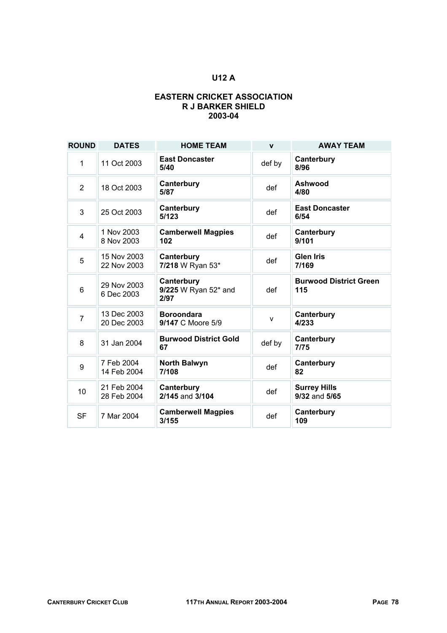# **U12 A**

#### **EASTERN CRICKET ASSOCIATION R J BARKER SHIELD 2003-04**

| <b>ROUND</b>   | <b>DATES</b>               | <b>HOME TEAM</b>                           | $\mathbf{v}$ | <b>AWAY TEAM</b>                     |
|----------------|----------------------------|--------------------------------------------|--------------|--------------------------------------|
| 1              | 11 Oct 2003                | <b>East Doncaster</b><br>5/40              | def by       | Canterbury<br>8/96                   |
| $\overline{2}$ | 18 Oct 2003                | Canterbury<br>5/87                         | def          | Ashwood<br>4/80                      |
| 3              | 25 Oct 2003                | Canterbury<br>5/123                        | def          | <b>East Doncaster</b><br>6/54        |
| $\overline{4}$ | 1 Nov 2003<br>8 Nov 2003   | <b>Camberwell Magpies</b><br>102           | def          | Canterbury<br>9/101                  |
| 5              | 15 Nov 2003<br>22 Nov 2003 | Canterbury<br>7/218 W Ryan 53*             | def          | <b>Glen Iris</b><br>7/169            |
| 6              | 29 Nov 2003<br>6 Dec 2003  | Canterbury<br>9/225 W Ryan 52* and<br>2/97 | def          | <b>Burwood District Green</b><br>115 |
| $\overline{7}$ | 13 Dec 2003<br>20 Dec 2003 | <b>Boroondara</b><br>9/147 C Moore 5/9     | $\mathsf{v}$ | Canterbury<br>4/233                  |
| 8              | 31 Jan 2004                | <b>Burwood District Gold</b><br>67         | def by       | Canterbury<br>7/75                   |
| 9              | 7 Feb 2004<br>14 Feb 2004  | <b>North Balwyn</b><br>7/108               | def          | Canterbury<br>82                     |
| 10             | 21 Feb 2004<br>28 Feb 2004 | Canterbury<br>2/145 and 3/104              | def          | <b>Surrey Hills</b><br>9/32 and 5/65 |
| <b>SF</b>      | 7 Mar 2004                 | <b>Camberwell Magpies</b><br>3/155         | def          | Canterbury<br>109                    |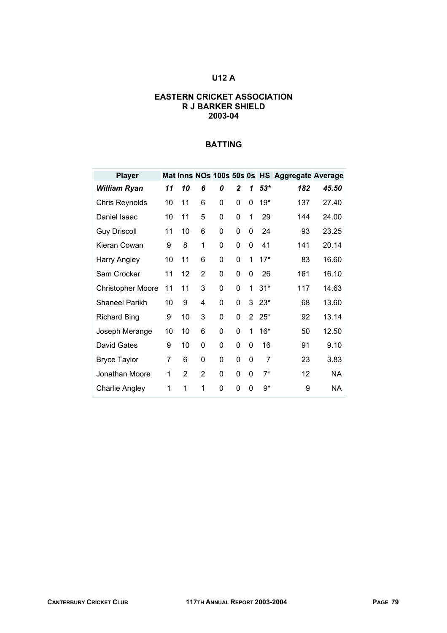# **U12 A**

#### **EASTERN CRICKET ASSOCIATION R J BARKER SHIELD 2003-04**

| <b>Player</b>            |    |                |                |   |          |                |       | Mat Inns NOs 100s 50s 0s HS Aggregate Average |           |
|--------------------------|----|----------------|----------------|---|----------|----------------|-------|-----------------------------------------------|-----------|
| <b>William Ryan</b>      | 11 | 10             | 6              | 0 | 2        | 1              | $53*$ | 182                                           | 45.50     |
| Chris Reynolds           | 10 | 11             | 6              | 0 | $\Omega$ | $\Omega$       | 19*   | 137                                           | 27.40     |
| Daniel Isaac             | 10 | 11             | 5              | 0 | 0        | 1              | 29    | 144                                           | 24.00     |
| <b>Guy Driscoll</b>      | 11 | 10             | 6              | 0 | 0        | 0              | 24    | 93                                            | 23.25     |
| Kieran Cowan             | 9  | 8              | 1              | 0 | 0        | 0              | 41    | 141                                           | 20.14     |
| Harry Angley             | 10 | 11             | 6              | 0 | 0        | 1              | $17*$ | 83                                            | 16.60     |
| Sam Crocker              | 11 | 12             | 2              | 0 | 0        | 0              | 26    | 161                                           | 16.10     |
| <b>Christopher Moore</b> | 11 | 11             | 3              | 0 | $\Omega$ | 1              | $31*$ | 117                                           | 14.63     |
| <b>Shaneel Parikh</b>    | 10 | 9              | 4              | 0 | 0        | 3              | $23*$ | 68                                            | 13.60     |
| <b>Richard Bing</b>      | 9  | 10             | 3              | 0 | 0        | $\overline{2}$ | $25*$ | 92                                            | 13.14     |
| Joseph Merange           | 10 | 10             | 6              | 0 | 0        | 1              | $16*$ | 50                                            | 12.50     |
| David Gates              | 9  | 10             | 0              | 0 | 0        | 0              | 16    | 91                                            | 9.10      |
| <b>Bryce Taylor</b>      | 7  | 6              | 0              | 0 | 0        | 0              | 7     | 23                                            | 3.83      |
| Jonathan Moore           | 1  | $\overline{2}$ | $\overline{2}$ | 0 | 0        | 0              | $7^*$ | 12                                            | <b>NA</b> |
| <b>Charlie Angley</b>    | 1  | 1              | 1              | 0 | 0        | 0              | 9*    | 9                                             | NA        |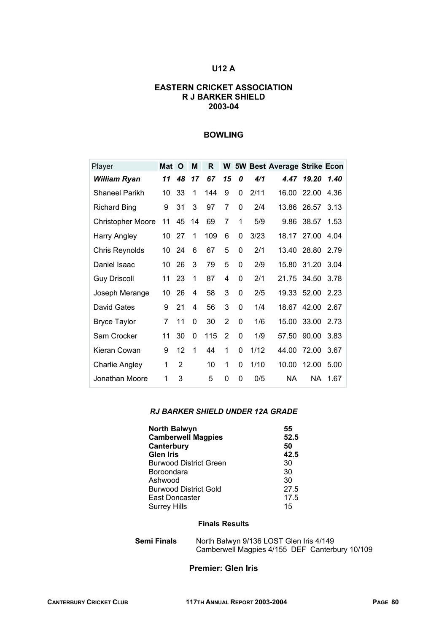### **U12 A**

#### **EASTERN CRICKET ASSOCIATION R J BARKER SHIELD 2003-04**

#### **BOWLING**

| Player                   | Mat | O              | M  | R   | W              |          |      | 5W Best Average Strike Econ |       |      |
|--------------------------|-----|----------------|----|-----|----------------|----------|------|-----------------------------|-------|------|
| William Ryan             | 11  | 48             | 17 | 67  | 15             | 0        | 4/1  | 4.47                        | 19.20 | 1.40 |
| <b>Shaneel Parikh</b>    | 10  | 33             | 1  | 144 | 9              | 0        | 2/11 | 16.00                       | 22.00 | 4.36 |
| <b>Richard Bing</b>      | 9   | 31             | 3  | 97  | 7              | 0        | 2/4  | 13.86                       | 26.57 | 3.13 |
| <b>Christopher Moore</b> | 11  | 45             | 14 | 69  | 7              | 1        | 5/9  | 9.86                        | 38.57 | 1.53 |
| <b>Harry Angley</b>      | 10  | 27             | 1  | 109 | 6              | 0        | 3/23 | 18.17                       | 27.00 | 4.04 |
| Chris Reynolds           | 10  | 24             | 6  | 67  | 5              | 0        | 2/1  | 13.40                       | 28.80 | 2.79 |
| Daniel Isaac             | 10  | 26             | 3  | 79  | 5              | 0        | 2/9  | 15.80                       | 31.20 | 3.04 |
| <b>Guy Driscoll</b>      | 11  | 23             | 1  | 87  | 4              | $\Omega$ | 2/1  | 21.75                       | 34.50 | 3.78 |
| Joseph Merange           | 10  | 26             | 4  | 58  | 3              | 0        | 2/5  | 19.33                       | 52.00 | 2.23 |
| David Gates              | 9   | 21             | 4  | 56  | 3              | 0        | 1/4  | 18.67                       | 42.00 | 2.67 |
| <b>Bryce Taylor</b>      | 7   | 11             | 0  | 30  | 2              | 0        | 1/6  | 15.00                       | 33.00 | 2.73 |
| Sam Crocker              | 11  | 30             | 0  | 115 | $\overline{2}$ | 0        | 1/9  | 57.50                       | 90.00 | 3.83 |
| Kieran Cowan             | 9   | 12             | 1  | 44  | 1              | 0        | 1/12 | 44.00                       | 72.00 | 3.67 |
| Charlie Angley           | 1   | $\overline{2}$ |    | 10  | 1              | 0        | 1/10 | 10.00                       | 12.00 | 5.00 |
| Jonathan Moore           | 1   | 3              |    | 5   | 0              | 0        | 0/5  | NA                          | NА    | 1.67 |

#### *RJ BARKER SHIELD UNDER 12A GRADE*

| <b>North Balwyn</b>           | 55   |
|-------------------------------|------|
| <b>Camberwell Magpies</b>     | 52.5 |
| Canterbury                    | 50   |
| <b>Glen Iris</b>              | 42.5 |
| <b>Burwood District Green</b> | 30   |
| Boroondara                    | 30   |
| Ashwood                       | 30   |
| <b>Burwood District Gold</b>  | 27.5 |
| East Doncaster                | 17.5 |
| <b>Surrey Hills</b>           | 15   |

# **Finals Results**

**Semi Finals** North Balwyn 9/136 LOST Glen Iris 4/149 Camberwell Magpies 4/155 DEF Canterbury 10/109

#### **Premier: Glen Iris**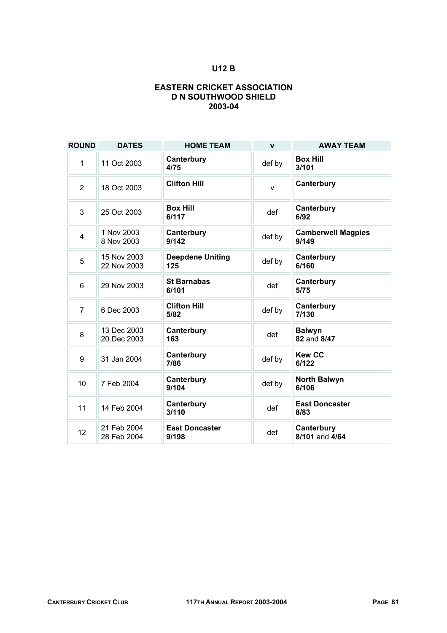# **U12 B**

### **EASTERN CRICKET ASSOCIATION D N SOUTHWOOD SHIELD 2003-04**

| <b>ROUND</b>   | <b>DATES</b>               | <b>HOME TEAM</b>               | $\mathbf{v}$ | <b>AWAY TEAM</b>                   |
|----------------|----------------------------|--------------------------------|--------------|------------------------------------|
| $\mathbf 1$    | 11 Oct 2003                | Canterbury<br>4/75             | def by       | <b>Box Hill</b><br>3/101           |
| $\overline{2}$ | 18 Oct 2003                | <b>Clifton Hill</b>            | $\mathsf{v}$ | Canterbury                         |
| 3              | 25 Oct 2003                | <b>Box Hill</b><br>6/117       | def          | Canterbury<br>6/92                 |
| $\overline{4}$ | 1 Nov 2003<br>8 Nov 2003   | Canterbury<br>9/142            | def by       | <b>Camberwell Magpies</b><br>9/149 |
| 5              | 15 Nov 2003<br>22 Nov 2003 | <b>Deepdene Uniting</b><br>125 | def by       | Canterbury<br>6/160                |
| 6              | 29 Nov 2003                | <b>St Barnabas</b><br>6/101    | def          | Canterbury<br>5/75                 |
| $\overline{7}$ | 6 Dec 2003                 | <b>Clifton Hill</b><br>5/82    | def by       | Canterbury<br>7/130                |
| 8              | 13 Dec 2003<br>20 Dec 2003 | Canterbury<br>163              | def          | <b>Balwyn</b><br>82 and 8/47       |
| 9              | 31 Jan 2004                | Canterbury<br>7/86             | def by       | <b>Kew CC</b><br>6/122             |
| 10             | 7 Feb 2004                 | Canterbury<br>9/104            | def by       | <b>North Balwyn</b><br>6/106       |
| 11             | 14 Feb 2004                | Canterbury<br>3/110            | def          | <b>East Doncaster</b><br>8/83      |
| 12             | 21 Feb 2004<br>28 Feb 2004 | <b>East Doncaster</b><br>9/198 | def          | Canterbury<br>8/101 and 4/64       |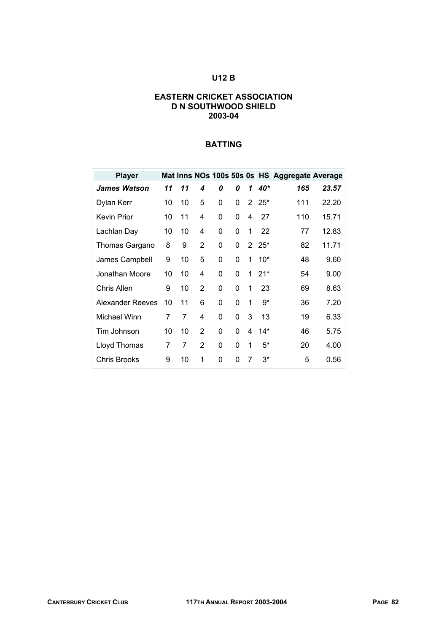# **U12 B**

#### **EASTERN CRICKET ASSOCIATION D N SOUTHWOOD SHIELD 2003-04**

| <b>Player</b>       |    |    |   |   |          |                |             | Mat Inns NOs 100s 50s 0s HS Aggregate Average |       |
|---------------------|----|----|---|---|----------|----------------|-------------|-----------------------------------------------|-------|
| <b>James Watson</b> | 11 | 11 | 4 | 0 | 0        | 1              | 40*         | 165                                           | 23.57 |
| Dylan Kerr          | 10 | 10 | 5 | 0 | 0        | $\overline{2}$ | $25*$       | 111                                           | 22.20 |
| <b>Kevin Prior</b>  | 10 | 11 | 4 | 0 | 0        | 4              | 27          | 110                                           | 15.71 |
| Lachlan Day         | 10 | 10 | 4 | 0 | 0        | 1              | 22          | 77                                            | 12.83 |
| Thomas Gargano      | 8  | 9  | 2 | 0 | 0        |                | $2\;\;25^*$ | 82                                            | 11.71 |
| James Campbell      | 9  | 10 | 5 | 0 | 0        | 1              | $10*$       | 48                                            | 9.60  |
| Jonathan Moore      | 10 | 10 | 4 | 0 | 0        | 1              | $21*$       | 54                                            | 9.00  |
| Chris Allen         | 9  | 10 | 2 | 0 | $\Omega$ | 1              | 23          | 69                                            | 8.63  |
| Alexander Reeves    | 10 | 11 | 6 | 0 | 0        | 1              | 9*          | 36                                            | 7.20  |
| Michael Winn        | 7  | 7  | 4 | 0 | 0        | 3              | 13          | 19                                            | 6.33  |
| Tim Johnson         | 10 | 10 | 2 | 0 | $\Omega$ | 4              | $14*$       | 46                                            | 5.75  |
| Lloyd Thomas        | 7  | 7  | 2 | 0 | 0        | 1              | $5^*$       | 20                                            | 4.00  |
| Chris Brooks        | 9  | 10 | 1 | 0 | 0        | 7              | $3^*$       | 5                                             | 0.56  |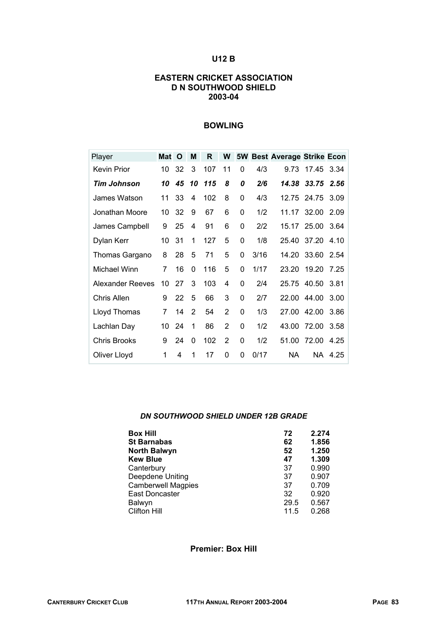# **U12 B**

#### **EASTERN CRICKET ASSOCIATION D N SOUTHWOOD SHIELD 2003-04**

#### **BOWLING**

| Player              | Mat | O  | M        | R   | W              | <b>5W</b> |      | <b>Best Average Strike Econ</b> |             |         |
|---------------------|-----|----|----------|-----|----------------|-----------|------|---------------------------------|-------------|---------|
| <b>Kevin Prior</b>  | 10  | 32 | 3        | 107 | 11             | $\Omega$  | 4/3  | 9.73                            | 17.45       | 3.34    |
| Tim Johnson         | 10  | 45 | 10       | 115 | 8              | 0         | 2/6  | 14.38                           | 33.75       | 2.56    |
| James Watson        | 11  | 33 | 4        | 102 | 8              | 0         | 4/3  | 12.75                           | 24.75       | 3.09    |
| Jonathan Moore      | 10  | 32 | 9        | 67  | 6              | 0         | 1/2  |                                 | 11.17 32.00 | 2.09    |
| James Campbell      | 9   | 25 | 4        | 91  | 6              | 0         | 2/2  | 15.17                           | 25.00       | 3.64    |
| Dylan Kerr          | 10  | 31 | 1        | 127 | 5              | 0         | 1/8  | 25.40                           | 37.20       | 4.10    |
| Thomas Gargano      | 8   | 28 | 5        | 71  | 5              | 0         | 3/16 | 14.20                           | 33.60       | 2.54    |
| Michael Winn        | 7   | 16 | 0        | 116 | 5              | 0         | 1/17 | 23.20                           | 19.20       | 7.25    |
| Alexander Reeves    | 10  | 27 | 3        | 103 | 4              | $\Omega$  | 2/4  | 25.75                           | 40.50       | 3.81    |
| Chris Allen         | 9   | 22 | 5        | 66  | 3              | 0         | 2/7  |                                 | 22.00 44.00 | 3.00    |
| Lloyd Thomas        | 7   | 14 | 2        | 54  | 2              | 0         | 1/3  | 27.00                           | 42.00       | 3.86    |
| Lachlan Day         | 10  | 24 | 1        | 86  | 2              | 0         | 1/2  | 43.00                           | 72.00       | 3.58    |
| <b>Chris Brooks</b> | 9   | 24 | $\Omega$ | 102 | $\overline{2}$ | 0         | 1/2  | 51.00                           | 72.00       | 4.25    |
| Oliver Lloyd        | 1   | 4  | 1        | 17  | 0              | 0         | 0/17 | ΝA                              |             | NA 4.25 |

#### *DN SOUTHWOOD SHIELD UNDER 12B GRADE*

| <b>Box Hill</b>           | 72   | 2.274 |
|---------------------------|------|-------|
| <b>St Barnabas</b>        | 62   | 1.856 |
| <b>North Balwyn</b>       | 52   | 1.250 |
| <b>Kew Blue</b>           | 47   | 1.309 |
| Canterbury                | 37   | 0.990 |
| Deepdene Uniting          | 37   | 0.907 |
| <b>Camberwell Magpies</b> | 37   | 0.709 |
| <b>East Doncaster</b>     | 32   | 0.920 |
| Balwyn                    | 29.5 | 0.567 |
| <b>Clifton Hill</b>       | 11.5 | 0.268 |

**Premier: Box Hill**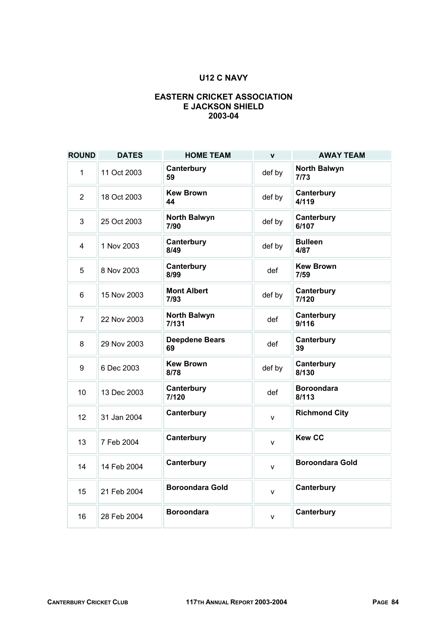# **U12 C NAVY**

### **EASTERN CRICKET ASSOCIATION E JACKSON SHIELD 2003-04**

| <b>ROUND</b>   | <b>DATES</b> | <b>HOME TEAM</b>            | $\mathbf{v}$ | <b>AWAY TEAM</b>            |
|----------------|--------------|-----------------------------|--------------|-----------------------------|
| 1              | 11 Oct 2003  | Canterbury<br>59            | def by       | <b>North Balwyn</b><br>7/73 |
| $\overline{2}$ | 18 Oct 2003  | <b>Kew Brown</b><br>44      | def by       | Canterbury<br>4/119         |
| 3              | 25 Oct 2003  | <b>North Balwyn</b><br>7/90 | def by       | Canterbury<br>6/107         |
| $\overline{4}$ | 1 Nov 2003   | Canterbury<br>8/49          | def by       | <b>Bulleen</b><br>4/87      |
| 5              | 8 Nov 2003   | Canterbury<br>8/99          | def          | <b>Kew Brown</b><br>7/59    |
| 6              | 15 Nov 2003  | <b>Mont Albert</b><br>7/93  | def by       | Canterbury<br>7/120         |
| 7              | 22 Nov 2003  | North Balwyn<br>7/131       | def          | Canterbury<br>9/116         |
| 8              | 29 Nov 2003  | <b>Deepdene Bears</b><br>69 | def          | Canterbury<br>39            |
| 9              | 6 Dec 2003   | <b>Kew Brown</b><br>8/78    | def by       | Canterbury<br>8/130         |
| 10             | 13 Dec 2003  | Canterbury<br>7/120         | def          | <b>Boroondara</b><br>8/113  |
| 12             | 31 Jan 2004  | Canterbury                  | $\mathsf{v}$ | <b>Richmond City</b>        |
| 13             | 7 Feb 2004   | Canterbury                  | v            | <b>Kew CC</b>               |
| 14             | 14 Feb 2004  | Canterbury                  | $\mathsf{v}$ | <b>Boroondara Gold</b>      |
| 15             | 21 Feb 2004  | <b>Boroondara Gold</b>      | $\mathsf{V}$ | Canterbury                  |
| 16             | 28 Feb 2004  | Boroondara                  | $\mathsf{v}$ | Canterbury                  |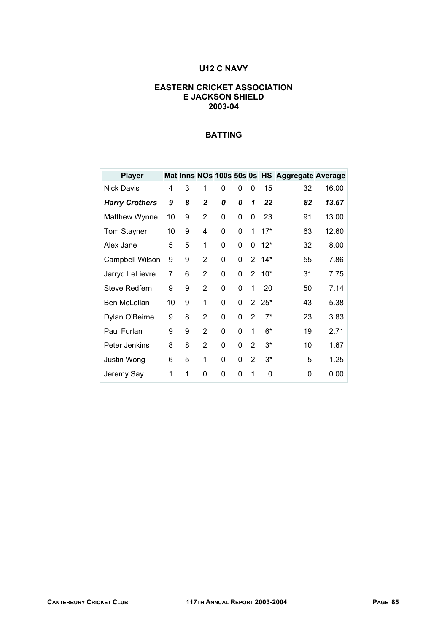# **U12 C NAVY**

#### **EASTERN CRICKET ASSOCIATION E JACKSON SHIELD 2003-04**

| <b>Player</b>          |    |   |                |   |   |                |       | Mat Inns NOs 100s 50s 0s HS Aggregate Average |       |
|------------------------|----|---|----------------|---|---|----------------|-------|-----------------------------------------------|-------|
| <b>Nick Davis</b>      | 4  | 3 | 1              | 0 | 0 | 0              | 15    | 32                                            | 16.00 |
| <b>Harry Crothers</b>  | 9  | 8 | $\overline{2}$ | 0 | 0 | 1              | 22    | 82                                            | 13.67 |
| Matthew Wynne          | 10 | 9 | $\overline{2}$ | 0 | 0 | 0              | 23    | 91                                            | 13.00 |
| <b>Tom Stayner</b>     | 10 | 9 | 4              | 0 | 0 | 1              | $17*$ | 63                                            | 12.60 |
| Alex Jane              | 5  | 5 | 1              | 0 | 0 | 0              | $12*$ | 32                                            | 8.00  |
| <b>Campbell Wilson</b> | 9  | 9 | 2              | 0 | 0 | $2^{\circ}$    | $14*$ | 55                                            | 7.86  |
| Jarryd LeLievre        | 7  | 6 | $\overline{2}$ | 0 | 0 | $\overline{2}$ | $10*$ | 31                                            | 7.75  |
| Steve Redfern          | 9  | 9 | $\overline{2}$ | 0 | 0 | 1              | 20    | 50                                            | 7.14  |
| Ben McLellan           | 10 | 9 | 1              | 0 | 0 | $\overline{2}$ | $25*$ | 43                                            | 5.38  |
| Dylan O'Beirne         | 9  | 8 | $\overline{2}$ | 0 | 0 | 2              | $7^*$ | 23                                            | 3.83  |
| Paul Furlan            | 9  | 9 | $\overline{2}$ | 0 | 0 | 1              | 6*    | 19                                            | 2.71  |
| Peter Jenkins          | 8  | 8 | 2              | 0 | 0 | $\overline{2}$ | $3^*$ | 10                                            | 1.67  |
| Justin Wong            | 6  | 5 | 1              | 0 | 0 | $\overline{2}$ | $3^*$ | 5                                             | 1.25  |
| Jeremy Say             | 1  | 1 | 0              | 0 | 0 | 1              | 0     | 0                                             | 0.00  |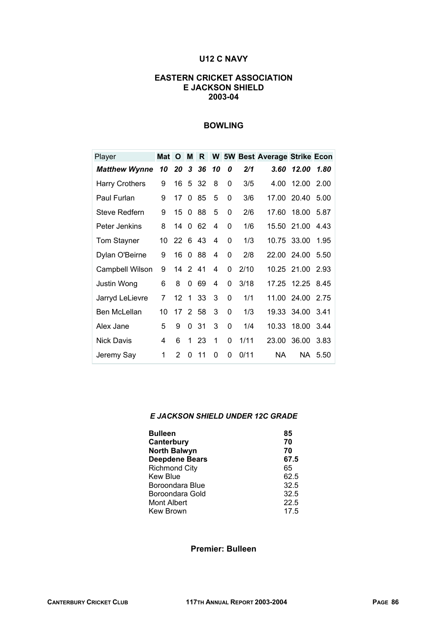# **U12 C NAVY**

#### **EASTERN CRICKET ASSOCIATION E JACKSON SHIELD 2003-04**

#### **BOWLING**

| Player                | Mat | O       | M | R    |    |          |      | W 5W Best Average Strike Econ |                  |         |
|-----------------------|-----|---------|---|------|----|----------|------|-------------------------------|------------------|---------|
| <b>Matthew Wynne</b>  | 10  | 20      | 3 | 36   | 10 | 0        | 2/1  | 3.60                          | 12.00            | 1.80    |
| <b>Harry Crothers</b> | 9   | 16      | 5 | - 32 | 8  | 0        | 3/5  | 4.00                          | 12.00            | 2.00    |
| Paul Furlan           | 9   | 17      | 0 | 85   | 5  | 0        | 3/6  | 17.00                         | 20.40            | 5.00    |
| Steve Redfern         | 9   | 15      | 0 | 88   | 5  | 0        | 2/6  | 17.60                         | 18.00            | 5.87    |
| Peter Jenkins         | 8   | 14      | 0 | 62   | 4  | $\Omega$ | 1/6  | 15.50                         | 21.00            | 4.43    |
| <b>Tom Stayner</b>    | 10  | 226     |   | -43  | 4  | 0        | 1/3  |                               | 10.75 33.00      | 1.95    |
| Dylan O'Beirne        | 9   | 16      | 0 | 88   | 4  | 0        | 2/8  |                               | 22.00 24.00      | 5.50    |
| Campbell Wilson       | 9   | 14 2 41 |   |      | 4  | $\Omega$ | 2/10 |                               | 10.25 21.00 2.93 |         |
| Justin Wong           | 6   | 8       | 0 | 69   | 4  | 0        | 3/18 | 17.25                         | 12.25            | 8.45    |
| Jarryd LeLievre       | 7   | 12      | 1 | 33   | 3  | 0        | 1/1  |                               | 11.00 24.00      | 2.75    |
| Ben McLellan          | 10  | 17      |   | 2 58 | 3  | $\Omega$ | 1/3  |                               | 19.33 34.00      | 3.41    |
| Alex Jane             | 5   | 9       | 0 | 31   | 3  | 0        | 1/4  | 10.33                         | 18.00            | 3.44    |
| <b>Nick Davis</b>     | 4   | 6       | 1 | 23   | 1  | 0        | 1/11 | 23.00                         | 36.00            | 3.83    |
| Jeremy Say            | 1   | 2       | 0 | 11   | 0  | $\Omega$ | 0/11 | NA.                           |                  | NA 5.50 |

#### *E JACKSON SHIELD UNDER 12C GRADE*

| <b>Bulleen</b>        | 85   |
|-----------------------|------|
| Canterbury            | 70   |
| <b>North Balwyn</b>   | 70   |
| <b>Deepdene Bears</b> | 67.5 |
| <b>Richmond City</b>  | 65   |
| <b>Kew Blue</b>       | 62.5 |
| Boroondara Blue       | 32.5 |
| Boroondara Gold       | 32.5 |
| Mont Albert           | 22.5 |
| <b>Kew Brown</b>      | 17.5 |

**Premier: Bulleen**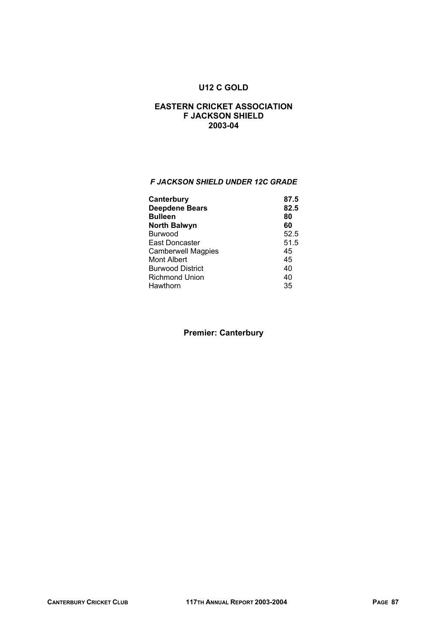# **U12 C GOLD**

#### **EASTERN CRICKET ASSOCIATION F JACKSON SHIELD 2003-04**

#### *F JACKSON SHIELD UNDER 12C GRADE*

| 87.5 |
|------|
| 82.5 |
| 80   |
| 60   |
| 52.5 |
| 51.5 |
| 45   |
| 45   |
| 40   |
| 40   |
| 35   |
|      |

# **Premier: Canterbury**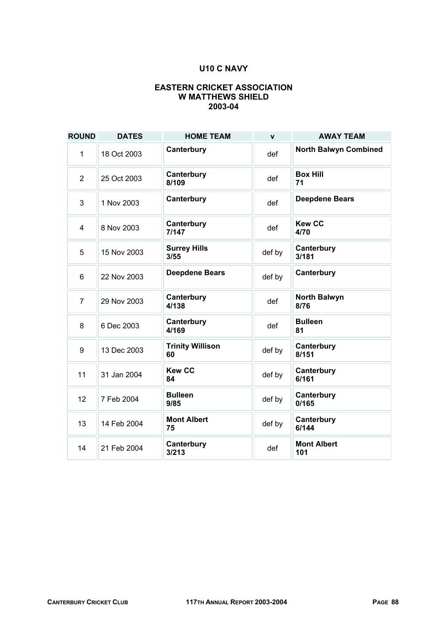## **U10 C NAVY**

#### **EASTERN CRICKET ASSOCIATION W MATTHEWS SHIELD 2003-04**

| <b>ROUND</b>   | <b>DATES</b> | <b>HOME TEAM</b>              | $\mathbf{v}$ | <b>AWAY TEAM</b>             |
|----------------|--------------|-------------------------------|--------------|------------------------------|
| 1              | 18 Oct 2003  | Canterbury                    | def          | <b>North Balwyn Combined</b> |
| $\overline{2}$ | 25 Oct 2003  | Canterbury<br>8/109           | def          | <b>Box Hill</b><br>71        |
| 3              | 1 Nov 2003   | Canterbury                    | def          | <b>Deepdene Bears</b>        |
| 4              | 8 Nov 2003   | Canterbury<br>7/147           | def          | <b>Kew CC</b><br>4/70        |
| 5              | 15 Nov 2003  | <b>Surrey Hills</b><br>3/55   | def by       | Canterbury<br>3/181          |
| 6              | 22 Nov 2003  | <b>Deepdene Bears</b>         | def by       | Canterbury                   |
| $\overline{7}$ | 29 Nov 2003  | Canterbury<br>4/138           | def          | <b>North Balwyn</b><br>8/76  |
| 8              | 6 Dec 2003   | Canterbury<br>4/169           | def          | <b>Bulleen</b><br>81         |
| 9              | 13 Dec 2003  | <b>Trinity Willison</b><br>60 | def by       | Canterbury<br>8/151          |
| 11             | 31 Jan 2004  | <b>Kew CC</b><br>84           | def by       | Canterbury<br>6/161          |
| 12             | 7 Feb 2004   | <b>Bulleen</b><br>9/85        | def by       | Canterbury<br>0/165          |
| 13             | 14 Feb 2004  | <b>Mont Albert</b><br>75      | def by       | Canterbury<br>6/144          |
| 14             | 21 Feb 2004  | Canterbury<br>3/213           | def          | <b>Mont Albert</b><br>101    |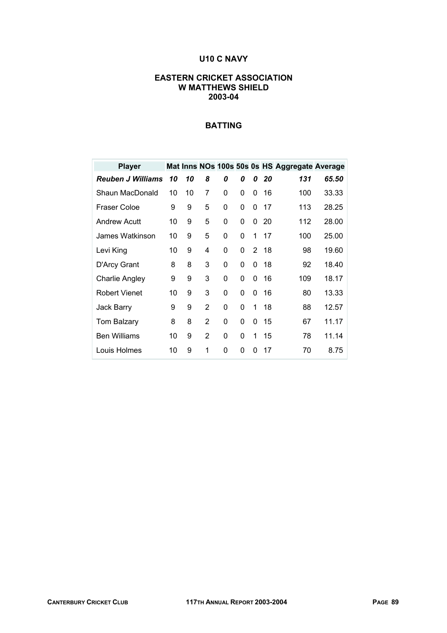# **U10 C NAVY**

#### **EASTERN CRICKET ASSOCIATION W MATTHEWS SHIELD 2003-04**

| <b>Player</b>            |    |    |                |   |   |   |    | Mat Inns NOs 100s 50s 0s HS Aggregate Average |       |
|--------------------------|----|----|----------------|---|---|---|----|-----------------------------------------------|-------|
| <b>Reuben J Williams</b> | 10 | 10 | 8              | 0 | 0 | 0 | 20 | 131                                           | 65.50 |
| Shaun MacDonald          | 10 | 10 | 7              | 0 | 0 | 0 | 16 | 100                                           | 33.33 |
| Fraser Coloe             | 9  | 9  | 5              | 0 | 0 | 0 | 17 | 113                                           | 28.25 |
| <b>Andrew Acutt</b>      | 10 | 9  | 5              | 0 | 0 | 0 | 20 | 112                                           | 28.00 |
| James Watkinson          | 10 | 9  | 5              | 0 | 0 | 1 | 17 | 100                                           | 25.00 |
| Levi King                | 10 | 9  | 4              | 0 | 0 | 2 | 18 | 98                                            | 19.60 |
| D'Arcy Grant             | 8  | 8  | 3              | 0 | 0 | 0 | 18 | 92                                            | 18.40 |
| Charlie Angley           | 9  | 9  | 3              | 0 | 0 | 0 | 16 | 109                                           | 18.17 |
| <b>Robert Vienet</b>     | 10 | 9  | 3              | 0 | 0 | 0 | 16 | 80                                            | 13.33 |
| Jack Barry               | 9  | 9  | 2              | 0 | 0 | 1 | 18 | 88                                            | 12.57 |
| <b>Tom Balzary</b>       | 8  | 8  | $\overline{2}$ | 0 | 0 | 0 | 15 | 67                                            | 11.17 |
| <b>Ben Williams</b>      | 10 | 9  | 2              | 0 | 0 | 1 | 15 | 78                                            | 11.14 |
| Louis Holmes             | 10 | 9  | 1              | 0 | 0 | 0 | 17 | 70                                            | 8.75  |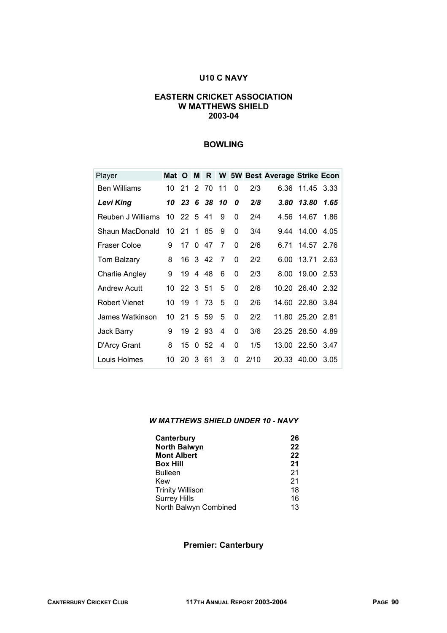# **U10 C NAVY**

#### **EASTERN CRICKET ASSOCIATION W MATTHEWS SHIELD 2003-04**

### **BOWLING**

| Player               | Mat O |            | М           | $\mathsf{R}$ |                |          |      | W 5W Best Average Strike Econ |                  |      |
|----------------------|-------|------------|-------------|--------------|----------------|----------|------|-------------------------------|------------------|------|
| <b>Ben Williams</b>  | 10    | 21         | 2           | 70           | 11             | $\Omega$ | 2/3  | 6.36                          | 11.45            | 3.33 |
| <b>Levi King</b>     | 10    | 23         |             | 6 38         | 10             | 0        | 2/8  | $3.80^{\circ}$                | 13.80            | 1.65 |
| Reuben J Williams    |       | 10 22 5 41 |             |              | 9              | 0        | 2/4  |                               | 4.56 14.67       | 1.86 |
| Shaun MacDonald      | 10    | 21         | 1           | 85           | 9              | 0        | 3/4  | 9.44                          | 14.00            | 4.05 |
| Fraser Coloe         | 9     | 17         | $\Omega$    | 47           | 7              | $\Omega$ | 2/6  | 6 71                          | 14.57            | 2.76 |
| <b>Tom Balzary</b>   | 8     |            |             | 16 3 42      | $\overline{7}$ | $\Omega$ | 2/2  |                               | 6.00 13.71       | 2.63 |
| Charlie Angley       | 9     | 19         | 4           | 48           | 6              | 0        | 2/3  | 8.00                          | 19.00            | 2.53 |
| <b>Andrew Acutt</b>  | 10    | 22 3 51    |             |              | 5              | $\Omega$ | 2/6  |                               | 10.20 26.40      | 2.32 |
| <b>Robert Vienet</b> | 10    | 19         |             | 1 73         | 5              | 0        | 2/6  |                               | 14.60 22.80      | 3.84 |
| James Watkinson      | 10    | 21         |             | 5 59         | 5              | $\Omega$ | 2/2  |                               | 11.80 25.20 2.81 |      |
| Jack Barry           | 9     | 19         | $2^{\circ}$ | 93           | 4              | $\Omega$ | 3/6  |                               | 23.25 28.50      | 4.89 |
| D'Arcy Grant         | 8     | 15         | 0           | 52           | 4              | $\Omega$ | 1/5  | 13.00                         | 22.50            | 3.47 |
| Louis Holmes         | 10    | 20         | 3           | 61           | 3              | $\Omega$ | 2/10 |                               | 20.33 40.00      | 3.05 |

#### *W MATTHEWS SHIELD UNDER 10 - NAVY*

| Canterbury              | 26 |
|-------------------------|----|
| <b>North Balwyn</b>     | 22 |
| <b>Mont Albert</b>      | 22 |
| <b>Box Hill</b>         | 21 |
| <b>Bulleen</b>          | 21 |
| Kew                     | 21 |
| <b>Trinity Willison</b> | 18 |
| <b>Surrey Hills</b>     | 16 |
| North Balwyn Combined   | 13 |

#### **Premier: Canterbury**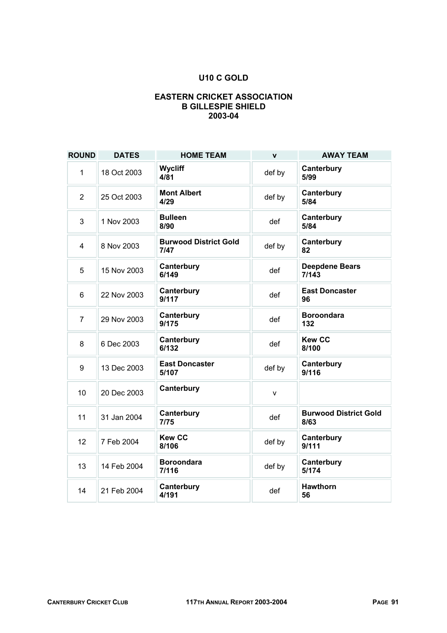# **U10 C GOLD**

### **EASTERN CRICKET ASSOCIATION B GILLESPIE SHIELD 2003-04**

| <b>ROUND</b>   | <b>DATES</b> | <b>HOME TEAM</b>                     | $\mathbf v$ | <b>AWAY TEAM</b>                     |
|----------------|--------------|--------------------------------------|-------------|--------------------------------------|
| 1              | 18 Oct 2003  | <b>Wycliff</b><br>4/81               | def by      | Canterbury<br>5/99                   |
| $\overline{2}$ | 25 Oct 2003  | <b>Mont Albert</b><br>4/29           | def by      | Canterbury<br>5/84                   |
| 3              | 1 Nov 2003   | <b>Bulleen</b><br>8/90               | def         | Canterbury<br>5/84                   |
| 4              | 8 Nov 2003   | <b>Burwood District Gold</b><br>7/47 | def by      | Canterbury<br>82                     |
| 5              | 15 Nov 2003  | Canterbury<br>6/149                  | def         | <b>Deepdene Bears</b><br>7/143       |
| 6              | 22 Nov 2003  | Canterbury<br>9/117                  | def         | <b>East Doncaster</b><br>96          |
| $\overline{7}$ | 29 Nov 2003  | Canterbury<br>9/175                  | def         | <b>Boroondara</b><br>132             |
| 8              | 6 Dec 2003   | Canterbury<br>6/132                  | def         | <b>Kew CC</b><br>8/100               |
| 9              | 13 Dec 2003  | <b>East Doncaster</b><br>5/107       | def by      | Canterbury<br>9/116                  |
| 10             | 20 Dec 2003  | Canterbury                           | v           |                                      |
| 11             | 31 Jan 2004  | Canterbury<br>7/75                   | def         | <b>Burwood District Gold</b><br>8/63 |
| 12             | 7 Feb 2004   | <b>Kew CC</b><br>8/106               | def by      | Canterbury<br>9/111                  |
| 13             | 14 Feb 2004  | <b>Boroondara</b><br>7/116           | def by      | Canterbury<br>5/174                  |
| 14             | 21 Feb 2004  | Canterbury<br>4/191                  | def         | <b>Hawthorn</b><br>56                |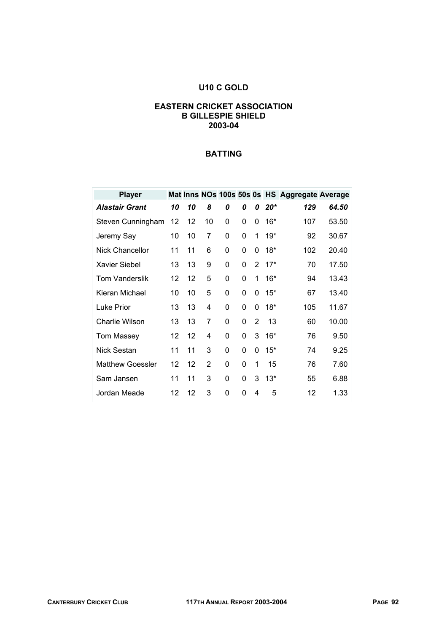# **U10 C GOLD**

#### **EASTERN CRICKET ASSOCIATION B GILLESPIE SHIELD 2003-04**

| <b>Player</b>           |    |    |                |   |   |   |       | Mat Inns NOs 100s 50s 0s HS Aggregate Average |       |
|-------------------------|----|----|----------------|---|---|---|-------|-----------------------------------------------|-------|
| <b>Alastair Grant</b>   | 10 | 10 | 8              | 0 | 0 | 0 | $20*$ | 129                                           | 64.50 |
| Steven Cunningham       | 12 | 12 | 10             | 0 | 0 | 0 | $16*$ | 107                                           | 53.50 |
| Jeremy Say              | 10 | 10 | 7              | 0 | 0 | 1 | $19*$ | 92                                            | 30.67 |
| Nick Chancellor         | 11 | 11 | 6              | 0 | 0 | 0 | $18*$ | 102                                           | 20.40 |
| Xavier Siebel           | 13 | 13 | 9              | 0 | 0 | 2 | $17*$ | 70                                            | 17.50 |
| <b>Tom Vanderslik</b>   | 12 | 12 | 5              | 0 | 0 | 1 | $16*$ | 94                                            | 13.43 |
| Kieran Michael          | 10 | 10 | 5              | 0 | 0 | 0 | $15*$ | 67                                            | 13.40 |
| Luke Prior              | 13 | 13 | 4              | 0 | 0 | 0 | $18*$ | 105                                           | 11.67 |
| <b>Charlie Wilson</b>   | 13 | 13 | 7              | 0 | 0 | 2 | 13    | 60                                            | 10.00 |
| <b>Tom Massey</b>       | 12 | 12 | 4              | 0 | 0 | 3 | $16*$ | 76                                            | 9.50  |
| <b>Nick Sestan</b>      | 11 | 11 | 3              | 0 | 0 | 0 | $15*$ | 74                                            | 9.25  |
| <b>Matthew Goessler</b> | 12 | 12 | $\overline{2}$ | 0 | 0 | 1 | 15    | 76                                            | 7.60  |
| Sam Jansen              | 11 | 11 | 3              | 0 | 0 | 3 | $13*$ | 55                                            | 6.88  |
| Jordan Meade            | 12 | 12 | 3              | 0 | 0 | 4 | 5     | 12                                            | 1.33  |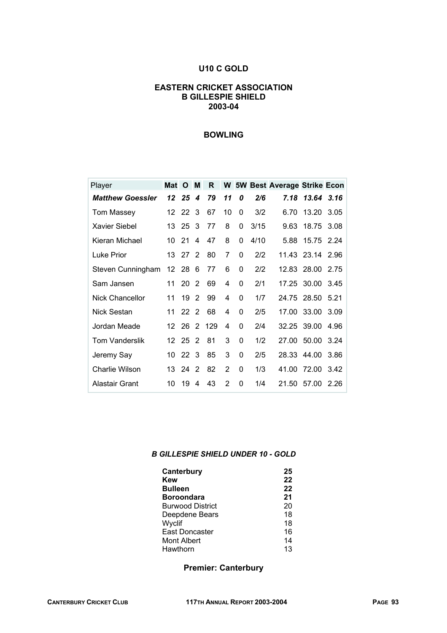#### **U10 C GOLD**

#### **EASTERN CRICKET ASSOCIATION B GILLESPIE SHIELD 2003-04**

# **BOWLING**

| Player                  | Mat             | O               | M             | R     |               |          |      | W 5W Best Average Strike Econ |             |       |
|-------------------------|-----------------|-----------------|---------------|-------|---------------|----------|------|-------------------------------|-------------|-------|
| <b>Matthew Goessler</b> | 12              | 25              | 4             | 79    | 11            | 0        | 2/6  | 7.18                          | 13.64       | 3.16  |
| Tom Massey              | 12.             | 22 <sub>3</sub> |               | 67    | 10            | 0        | 3/2  | 6.70                          | 13.20       | 3.05  |
| <b>Xavier Siebel</b>    | 13              | 25              | -3            | 77    | 8             | 0        | 3/15 | 9.63                          | 18.75       | 3.08  |
| Kieran Michael          | 10              | 21              | 4             | 47    | 8             | $\Omega$ | 4/10 | 5.88                          | 15.75 2.24  |       |
| Luke Prior              | 13              | 27              | $\mathcal{P}$ | 80    | 7             | 0        | 2/2  |                               | 11.43 23.14 | 2.96  |
| Steven Cunningham       | 12 28           |                 | -6            | 77    | 6             | 0        | 2/2  |                               | 12.83 28.00 | 2.75  |
| Sam Jansen              | 11              | 20              | 2             | 69    | 4             | 0        | 2/1  |                               | 17.25 30.00 | 3.45  |
| <b>Nick Chancellor</b>  | 11              | 19              | $\mathcal{P}$ | 99    | 4             | 0        | 1/7  |                               | 24.75 28.50 | -5.21 |
| Nick Sestan             | 11              | 22              | - 2           | 68    | 4             | 0        | 2/5  | 17.00                         | 33.00       | 3.09  |
| Jordan Meade            | 12              | 26              |               | 2 129 | 4             | 0        | 2/4  |                               | 32.25 39.00 | 4.96  |
| <b>Tom Vanderslik</b>   | 12 <sup>°</sup> | 25              | 2             | 81    | 3             | 0        | 1/2  | 27.00                         | 50.00       | 3.24  |
| Jeremy Say              | 10              | 22 <sub>3</sub> |               | 85    | 3             | 0        | 2/5  |                               | 28.33 44.00 | 3.86  |
| <b>Charlie Wilson</b>   | 13              | 24              | 2             | 82    | 2             | 0        | 1/3  | 41.00                         | 72.00       | 3.42  |
| Alastair Grant          | 10              | 19              | 4             | 43    | $\mathcal{P}$ | 0        | 1/4  | 21.50                         | 57.00       | 2.26  |

#### *B GILLESPIE SHIELD UNDER 10 - GOLD*

| Canterbury              | 25 |
|-------------------------|----|
| Kew                     | 22 |
| <b>Bulleen</b>          | 22 |
| <b>Boroondara</b>       | 21 |
| <b>Burwood District</b> | 20 |
| Deepdene Bears          | 18 |
| Wyclif                  | 18 |
| East Doncaster          | 16 |
| Mont Albert             | 14 |
| Hawthorn                | 13 |

#### **Premier: Canterbury**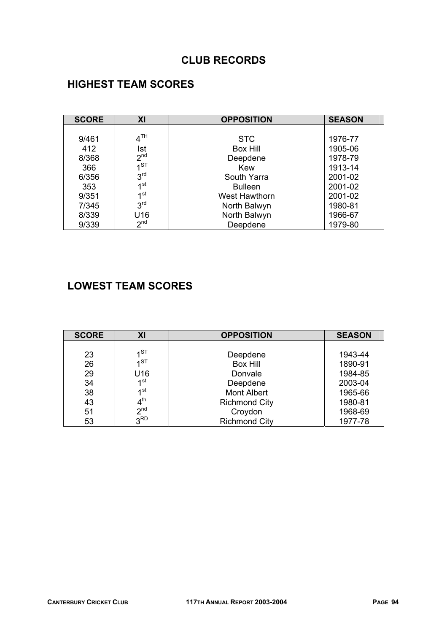# **CLUB RECORDS**

# **HIGHEST TEAM SCORES**

| <b>SCORE</b> | XI                | <b>OPPOSITION</b> | <b>SEASON</b> |
|--------------|-------------------|-------------------|---------------|
|              |                   |                   |               |
| 9/461        | $4^{\textsf{TH}}$ | <b>STC</b>        | 1976-77       |
| 412          | Ist               | <b>Box Hill</b>   | 1905-06       |
| 8/368        | 2 <sup>nd</sup>   | Deepdene          | 1978-79       |
| 366          | $11$ ST           | Kew               | 1913-14       |
| 6/356        | 3 <sup>rd</sup>   | South Yarra       | 2001-02       |
| 353          | 1 <sup>st</sup>   | <b>Bulleen</b>    | 2001-02       |
| 9/351        | 1 <sub>st</sub>   | West Hawthorn     | 2001-02       |
| 7/345        | 3 <sup>rd</sup>   | North Balwyn      | 1980-81       |
| 8/339        | U16               | North Balwyn      | 1966-67       |
| 9/339        | 2 <sup>nd</sup>   | Deepdene          | 1979-80       |

# **LOWEST TEAM SCORES**

| <b>SCORE</b> | XI              | <b>OPPOSITION</b>    | <b>SEASON</b> |
|--------------|-----------------|----------------------|---------------|
|              |                 |                      |               |
| 23           | $1^{ST}$        | Deepdene             | 1943-44       |
| 26           | $1^{ST}$        | <b>Box Hill</b>      | 1890-91       |
| 29           | U16             | Donvale              | 1984-85       |
| 34           | 1st             | Deepdene             | 2003-04       |
| 38           | 1 <sup>st</sup> | <b>Mont Albert</b>   | 1965-66       |
| 43           | 4 <sup>th</sup> | <b>Richmond City</b> | 1980-81       |
| 51           | 2 <sub>nd</sub> | Croydon              | 1968-69       |
| 53           | 3 <sup>RD</sup> | <b>Richmond City</b> | 1977-78       |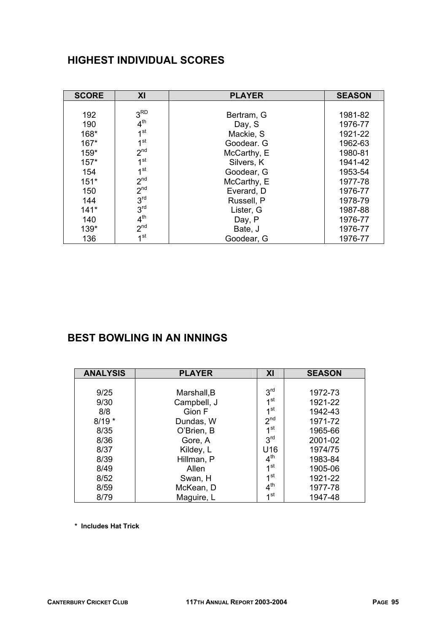# **HIGHEST INDIVIDUAL SCORES**

| <b>SCORE</b> | XI              | <b>PLAYER</b> | <b>SEASON</b> |
|--------------|-----------------|---------------|---------------|
|              |                 |               |               |
| 192          | 3 <sup>RD</sup> | Bertram, G    | 1981-82       |
| 190          | 4 <sup>th</sup> | Day, S        | 1976-77       |
| 168*         | 1 <sup>st</sup> | Mackie, S     | 1921-22       |
| $167*$       | 1 <sup>st</sup> | Goodear, G    | 1962-63       |
| $159*$       | 2 <sup>nd</sup> | McCarthy, E   | 1980-81       |
| $157*$       | 1 <sup>st</sup> | Silvers, K    | 1941-42       |
| 154          | 1 <sup>st</sup> | Goodear, G    | 1953-54       |
| $151*$       | 2 <sup>nd</sup> | McCarthy, E   | 1977-78       |
| 150          | 2 <sup>nd</sup> | Everard, D    | 1976-77       |
| 144          | 3 <sup>rd</sup> | Russell, P    | 1978-79       |
| $141*$       | 3 <sup>rd</sup> | Lister, G     | 1987-88       |
| 140          | 4 <sup>th</sup> | Day, P        | 1976-77       |
| 139*         | 2 <sup>nd</sup> | Bate, J       | 1976-77       |
| 136          | 1 <sup>st</sup> | Goodear, G    | 1976-77       |

# **BEST BOWLING IN AN INNINGS**

| <b>ANALYSIS</b> | <b>PLAYER</b> | XI              | <b>SEASON</b> |
|-----------------|---------------|-----------------|---------------|
|                 |               |                 |               |
| 9/25            | Marshall, B   | 3 <sup>rd</sup> | 1972-73       |
| 9/30            | Campbell, J   | 1 <sup>st</sup> | 1921-22       |
| 8/8             | Gion F        | 1 <sup>st</sup> | 1942-43       |
| $8/19*$         | Dundas, W     | 2 <sub>nd</sub> | 1971-72       |
| 8/35            | O'Brien, B    | 1 <sup>st</sup> | 1965-66       |
| 8/36            | Gore, A       | 3 <sup>rd</sup> | 2001-02       |
| 8/37            | Kildey, L     | U <sub>16</sub> | 1974/75       |
| 8/39            | Hillman, P    | 4 <sup>th</sup> | 1983-84       |
| 8/49            | Allen         | 1 <sup>st</sup> | 1905-06       |
| 8/52            | Swan, H       | 1 <sup>st</sup> | 1921-22       |
| 8/59            | McKean, D     | 4 <sup>th</sup> | 1977-78       |
| 8/79            | Maguire, L    | 1 <sup>st</sup> | 1947-48       |

 **\* Includes Hat Trick**